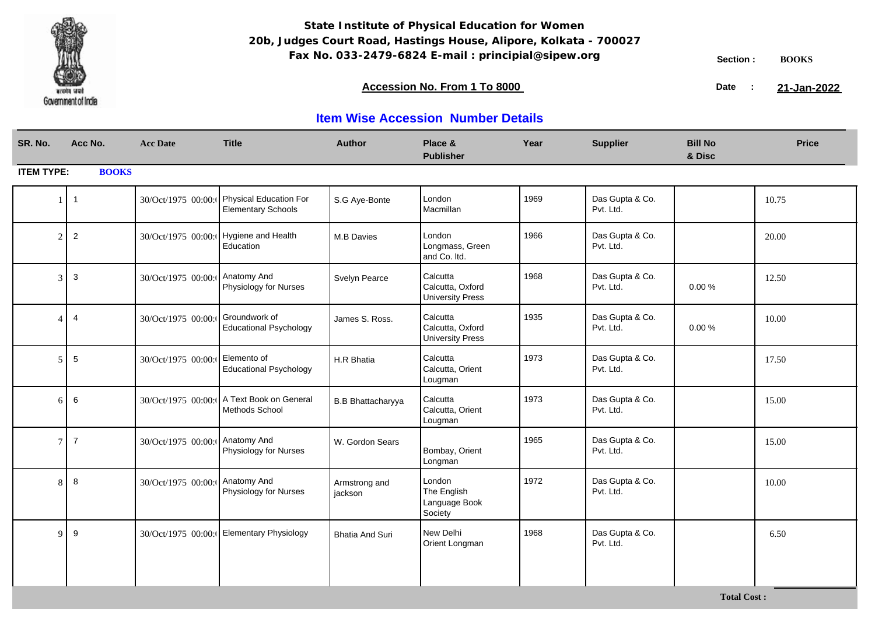

**Total Cost :**

### **Accession No. From 1 To 8000 21-January 2008 21-January 2008 21-January 2008 21-January 2009**

21-Jan-2022

| SR. No.                | Acc No.        | <b>Acc Date</b>     | <b>Title</b>                                        | <b>Author</b>            | Place &<br><b>Publisher</b>                             | Year | <b>Supplier</b>              | <b>Bill No</b><br>& Disc | <b>Price</b> |
|------------------------|----------------|---------------------|-----------------------------------------------------|--------------------------|---------------------------------------------------------|------|------------------------------|--------------------------|--------------|
| <b>ITEM TYPE:</b>      | <b>BOOKS</b>   |                     |                                                     |                          |                                                         |      |                              |                          |              |
|                        | $\mathbf{1}$   | 30/Oct/1975 00:00:  | Physical Education For<br><b>Elementary Schools</b> | S.G Aye-Bonte            | London<br>Macmillan                                     | 1969 | Das Gupta & Co.<br>Pvt. Ltd. |                          | 10.75        |
| $\mathcal{D}_{\alpha}$ | $\sqrt{2}$     |                     | 30/Oct/1975 00:00: Hygiene and Health<br>Education  | M.B Davies               | London<br>Longmass, Green<br>and Co. Itd.               | 1966 | Das Gupta & Co.<br>Pvt. Ltd. |                          | 20.00        |
|                        | 3              | 30/Oct/1975 00:00:  | Anatomy And<br>Physiology for Nurses                | Svelyn Pearce            | Calcutta<br>Calcutta, Oxford<br><b>University Press</b> | 1968 | Das Gupta & Co.<br>Pvt. Ltd. | 0.00%                    | 12.50        |
|                        | $\overline{4}$ | 30/Oct/1975 00:00:0 | Groundwork of<br><b>Educational Psychology</b>      | James S. Ross.           | Calcutta<br>Calcutta, Oxford<br><b>University Press</b> | 1935 | Das Gupta & Co.<br>Pvt. Ltd. | 0.00%                    | 10.00        |
|                        | 5              | 30/Oct/1975 00:00:  | Elemento of<br><b>Educational Psychology</b>        | H.R Bhatia               | Calcutta<br>Calcutta, Orient<br>Lougman                 | 1973 | Das Gupta & Co.<br>Pvt. Ltd. |                          | 17.50        |
| 6                      | 6              | 30/Oct/1975 00:00:  | A Text Book on General<br>Methods School            | <b>B.B Bhattacharyya</b> | Calcutta<br>Calcutta, Orient<br>Lougman                 | 1973 | Das Gupta & Co.<br>Pvt. Ltd. |                          | 15.00        |
| 7                      | $\overline{7}$ | 30/Oct/1975 00:00:  | Anatomy And<br>Physiology for Nurses                | W. Gordon Sears          | Bombay, Orient<br>Longman                               | 1965 | Das Gupta & Co.<br>Pvt. Ltd. |                          | 15.00        |
|                        | 8              | 30/Oct/1975 00:00:  | Anatomy And<br>Physiology for Nurses                | Armstrong and<br>jackson | London<br>The English<br>Language Book<br>Society       | 1972 | Das Gupta & Co.<br>Pvt. Ltd. |                          | 10.00        |
| $\Omega$               | 9              |                     | 30/Oct/1975 00:00:   Elementary Physiology          | <b>Bhatia And Suri</b>   | New Delhi<br>Orient Longman                             | 1968 | Das Gupta & Co.<br>Pvt. Ltd. |                          | 6.50         |
|                        |                |                     |                                                     |                          |                                                         |      |                              |                          |              |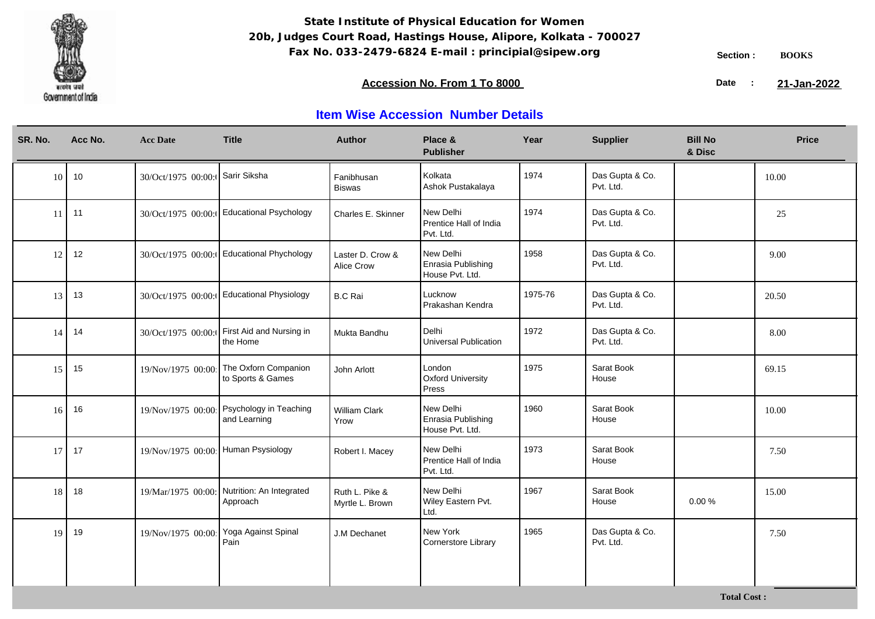

**Total Cost :**

### **Accession No. From 1 To 8000 21-January 2008 21-January 2008 21-January 2008 21-January 2009**

21-Jan-2022

| SR. No. | Acc No. | <b>Acc Date</b>                 | <b>Title</b>                                            | <b>Author</b>                         | Place &<br><b>Publisher</b>                        | Year    | <b>Supplier</b>              | <b>Bill No</b><br>& Disc | <b>Price</b> |
|---------|---------|---------------------------------|---------------------------------------------------------|---------------------------------------|----------------------------------------------------|---------|------------------------------|--------------------------|--------------|
| 10      | 10      | 30/Oct/1975 00:00: Sarir Siksha |                                                         | Fanibhusan<br><b>Biswas</b>           | Kolkata<br>Ashok Pustakalaya                       | 1974    | Das Gupta & Co.<br>Pvt. Ltd. |                          | 10.00        |
| 11      | 11      |                                 | 30/Oct/1975 00:00: Educational Psychology               | Charles E. Skinner                    | New Delhi<br>Prentice Hall of India<br>Pvt. Ltd.   | 1974    | Das Gupta & Co.<br>Pvt. Ltd. |                          | 25           |
| 12      | 12      |                                 | 30/Oct/1975 00:00: Educational Phychology               | Laster D. Crow &<br><b>Alice Crow</b> | New Delhi<br>Enrasia Publishing<br>House Pvt. Ltd. | 1958    | Das Gupta & Co.<br>Pvt. Ltd. |                          | 9.00         |
| 13      | 13      |                                 | 30/Oct/1975 00:00: Educational Physiology               | <b>B.C Rai</b>                        | Lucknow<br>Prakashan Kendra                        | 1975-76 | Das Gupta & Co.<br>Pvt. Ltd. |                          | 20.50        |
| 14      | 14      | 30/Oct/1975 00:00:              | First Aid and Nursing in<br>the Home                    | Mukta Bandhu                          | Delhi<br>Universal Publication                     | 1972    | Das Gupta & Co.<br>Pvt. Ltd. |                          | 8.00         |
| 15      | 15      | 19/Nov/1975 00:00               | The Oxforn Companion<br>to Sports & Games               | John Arlott                           | London<br><b>Oxford University</b><br>Press        | 1975    | Sarat Book<br>House          |                          | 69.15        |
| 16      | 16      | 19/Nov/1975 00:00               | Psychology in Teaching<br>and Learning                  | <b>William Clark</b><br>Yrow          | New Delhi<br>Enrasia Publishing<br>House Pvt. Ltd. | 1960    | Sarat Book<br>House          |                          | 10.00        |
| 17      | 17      | 19/Nov/1975 00:00               | Human Psysiology                                        | Robert I. Macey                       | New Delhi<br>Prentice Hall of India<br>Pvt. Ltd.   | 1973    | Sarat Book<br>House          |                          | 7.50         |
| 18      | 18      |                                 | 19/Mar/1975 00:00: Nutrition: An Integrated<br>Approach | Ruth L. Pike &<br>Myrtle L. Brown     | New Delhi<br>Wiley Eastern Pvt.<br>Ltd.            | 1967    | Sarat Book<br>House          | 0.00%                    | 15.00        |
| 19      | 19      | 19/Nov/1975 00:00               | Yoga Against Spinal<br>Pain                             | J.M Dechanet                          | New York<br>Cornerstore Library                    | 1965    | Das Gupta & Co.<br>Pvt. Ltd. |                          | 7.50         |
|         |         |                                 |                                                         |                                       |                                                    |         |                              |                          |              |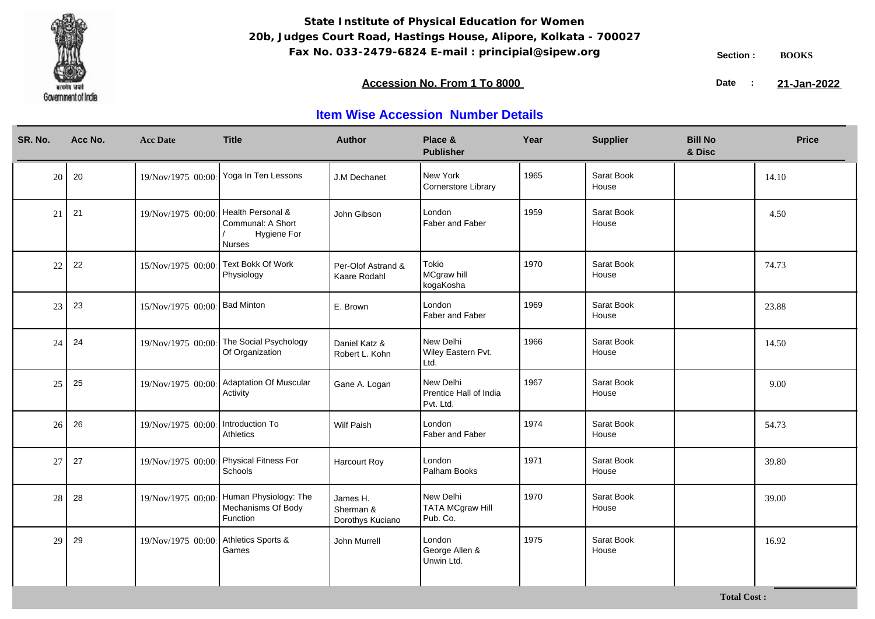

### **Accession No. From 1 To 8000 21-January 2008 21-January 2008 21-January 2008 21-January 2009**

21-Jan-2022

| SR. No. | Acc No. | <b>Acc Date</b>    | <b>Title</b>                                                              | <b>Author</b>                             | Place &<br><b>Publisher</b>                      | Year | <b>Supplier</b>     | <b>Bill No</b><br>& Disc | <b>Price</b> |
|---------|---------|--------------------|---------------------------------------------------------------------------|-------------------------------------------|--------------------------------------------------|------|---------------------|--------------------------|--------------|
| 20      | 20      | 19/Nov/1975 00:00  | Yoga In Ten Lessons                                                       | J.M Dechanet                              | New York<br>Cornerstore Library                  | 1965 | Sarat Book<br>House |                          | 14.10        |
| 21      | 21      | 19/Nov/1975 00:00  | Health Personal &<br>Communal: A Short<br>Hygiene For<br><b>Nurses</b>    | John Gibson                               | London<br>Faber and Faber                        | 1959 | Sarat Book<br>House |                          | 4.50         |
| 22      | 22      | 15/Nov/1975 00:00  | Text Bokk Of Work<br>Physiology                                           | Per-Olof Astrand &<br>Kaare Rodahl        | Tokio<br>MCgraw hill<br>kogaKosha                | 1970 | Sarat Book<br>House |                          | 74.73        |
| 23      | 23      | 15/Nov/1975 00:00  | <b>Bad Minton</b>                                                         | E. Brown                                  | London<br>Faber and Faber                        | 1969 | Sarat Book<br>House |                          | 23.88        |
| 24      | 24      | 19/Nov/1975 00:00: | The Social Psychology<br>Of Organization                                  | Daniel Katz &<br>Robert L. Kohn           | New Delhi<br>Wiley Eastern Pvt.<br>Ltd.          | 1966 | Sarat Book<br>House |                          | 14.50        |
| 25      | 25      | 19/Nov/1975 00:00  | <b>Adaptation Of Muscular</b><br>Activity                                 | Gane A. Logan                             | New Delhi<br>Prentice Hall of India<br>Pvt. Ltd. | 1967 | Sarat Book<br>House |                          | 9.00         |
| 26      | 26      | 19/Nov/1975 00:00  | Introduction To<br>Athletics                                              | Wilf Paish                                | London<br>Faber and Faber                        | 1974 | Sarat Book<br>House |                          | 54.73        |
| 27      | 27      |                    | 19/Nov/1975 00:00 Physical Fitness For<br>Schools                         | <b>Harcourt Roy</b>                       | London<br>Palham Books                           | 1971 | Sarat Book<br>House |                          | 39.80        |
| 28      | 28      |                    | 19/Nov/1975 00:00 Human Physiology: The<br>Mechanisms Of Body<br>Function | James H.<br>Sherman &<br>Dorothys Kuciano | New Delhi<br><b>TATA MCgraw Hill</b><br>Pub. Co. | 1970 | Sarat Book<br>House |                          | 39.00        |
| 29      | 29      | 19/Nov/1975 00:00  | Athletics Sports &<br>Games                                               | John Murrell                              | London<br>George Allen &<br>Unwin Ltd.           | 1975 | Sarat Book<br>House |                          | 16.92        |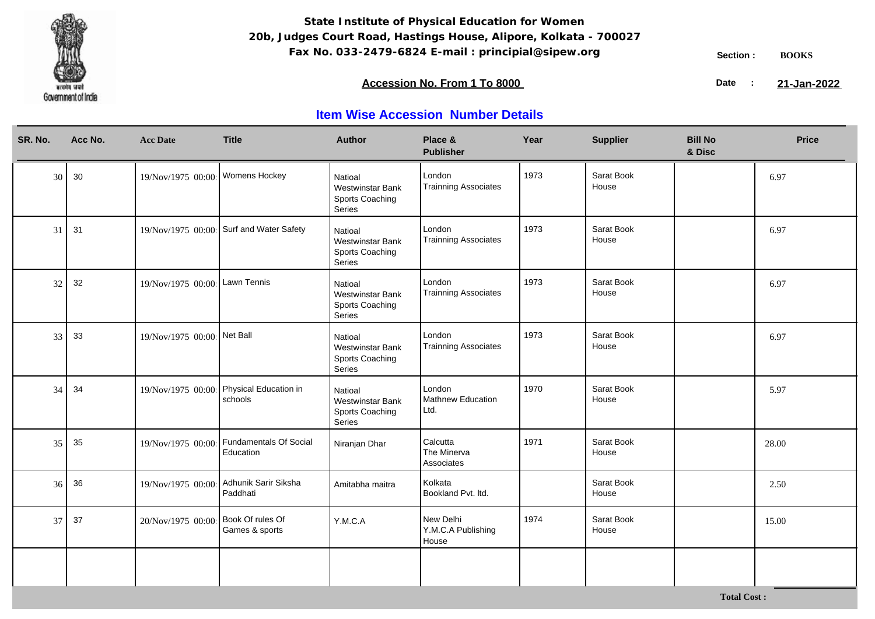

### **Accession No. From 1 To 8000 21-January 2008 21-January 2008 21-January 2008 21-January 2009**

21-Jan-2022

| SR. No. | Acc No. | <b>Acc Date</b>                 | <b>Title</b>                        | Author                                                          | Place &<br><b>Publisher</b>              | Year | <b>Supplier</b>     | <b>Bill No</b><br>& Disc | <b>Price</b> |
|---------|---------|---------------------------------|-------------------------------------|-----------------------------------------------------------------|------------------------------------------|------|---------------------|--------------------------|--------------|
| 30      | 30      | 19/Nov/1975 00:00 Womens Hockey |                                     | Natioal<br><b>Westwinstar Bank</b><br>Sports Coaching<br>Series | London<br><b>Trainning Associates</b>    | 1973 | Sarat Book<br>House |                          | 6.97         |
| 31      | 31      | 19/Nov/1975 00:00               | Surf and Water Safety               | Natioal<br><b>Westwinstar Bank</b><br>Sports Coaching<br>Series | London<br><b>Trainning Associates</b>    | 1973 | Sarat Book<br>House |                          | 6.97         |
| 32      | 32      | 19/Nov/1975 00:00 Lawn Tennis   |                                     | Natioal<br><b>Westwinstar Bank</b><br>Sports Coaching<br>Series | London<br><b>Trainning Associates</b>    | 1973 | Sarat Book<br>House |                          | 6.97         |
| 33      | 33      | 19/Nov/1975 00:00 Net Ball      |                                     | Natioal<br><b>Westwinstar Bank</b><br>Sports Coaching<br>Series | London<br><b>Trainning Associates</b>    | 1973 | Sarat Book<br>House |                          | 6.97         |
| 34      | 34      | 19/Nov/1975 00:00               | Physical Education in<br>schools    | Natioal<br><b>Westwinstar Bank</b><br>Sports Coaching<br>Series | London<br>Mathnew Education<br>Ltd.      | 1970 | Sarat Book<br>House |                          | 5.97         |
| 35      | 35      | 19/Nov/1975 00:00               | Fundamentals Of Social<br>Education | Niranjan Dhar                                                   | Calcutta<br>The Minerva<br>Associates    | 1971 | Sarat Book<br>House |                          | 28.00        |
| 36      | 36      | 19/Nov/1975 00:00               | Adhunik Sarir Siksha<br>Paddhati    | Amitabha maitra                                                 | Kolkata<br>Bookland Pvt. Itd.            |      | Sarat Book<br>House |                          | 2.50         |
| 37      | 37      | 20/Nov/1975 00:00               | Book Of rules Of<br>Games & sports  | Y.M.C.A                                                         | New Delhi<br>Y.M.C.A Publishing<br>House | 1974 | Sarat Book<br>House |                          | 15.00        |
|         |         |                                 |                                     |                                                                 |                                          |      |                     |                          |              |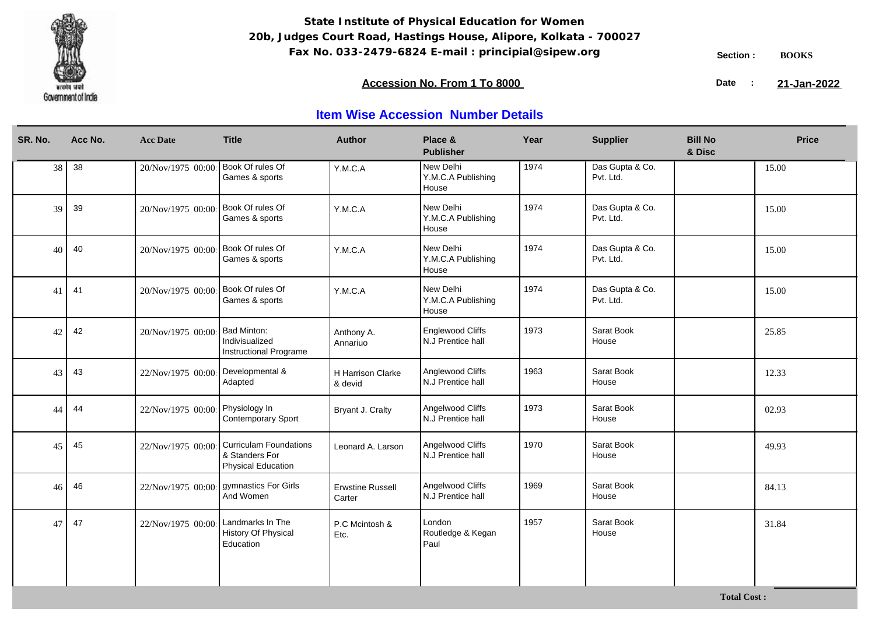

**Total Cost :**

### **Accession No. From 1 To 8000 21-January 2008 21-January 2008 21-January 2008 21-January 2009**

21-Jan-2022

| SR. No. | Acc No. | <b>Acc Date</b>    | <b>Title</b>                                                                 | <b>Author</b>                       | Place &<br><b>Publisher</b>                  | Year | <b>Supplier</b>              | <b>Bill No</b><br>& Disc | <b>Price</b> |
|---------|---------|--------------------|------------------------------------------------------------------------------|-------------------------------------|----------------------------------------------|------|------------------------------|--------------------------|--------------|
| 38      | 38      | 20/Nov/1975 00:00  | Book Of rules Of<br>Games & sports                                           | Y.M.C.A                             | New Delhi<br>Y.M.C.A Publishing<br>House     | 1974 | Das Gupta & Co.<br>Pvt. Ltd. |                          | 15.00        |
| 39      | 39      | 20/Nov/1975 00:00  | Book Of rules Of<br>Games & sports                                           | Y.M.C.A                             | New Delhi<br>Y.M.C.A Publishing<br>House     | 1974 | Das Gupta & Co.<br>Pvt. Ltd. |                          | 15.00        |
| 40      | 40      | 20/Nov/1975 00:00  | Book Of rules Of<br>Games & sports                                           | Y.M.C.A                             | New Delhi<br>Y.M.C.A Publishing<br>House     | 1974 | Das Gupta & Co.<br>Pvt. Ltd. |                          | 15.00        |
| 41      | 41      | 20/Nov/1975 00:00  | Book Of rules Of<br>Games & sports                                           | Y.M.C.A                             | New Delhi<br>Y.M.C.A Publishing<br>House     | 1974 | Das Gupta & Co.<br>Pvt. Ltd. |                          | 15.00        |
| 42      | 42      | 20/Nov/1975 00:00  | Bad Minton:<br>Indivisualized<br>Instructional Programe                      | Anthony A.<br>Annariuo              | <b>Englewood Cliffs</b><br>N.J Prentice hall | 1973 | Sarat Book<br>House          |                          | 25.85        |
| 43      | 43      | 22/Nov/1975 00:00  | Developmental &<br>Adapted                                                   | <b>H Harrison Clarke</b><br>& devid | Anglewood Cliffs<br>N.J Prentice hall        | 1963 | Sarat Book<br>House          |                          | 12.33        |
| 44      | 44      | 22/Nov/1975 00:00  | Physiology In<br>Contemporary Sport                                          | Bryant J. Cralty                    | Angelwood Cliffs<br>N.J Prentice hall        | 1973 | Sarat Book<br>House          |                          | 02.93        |
| 45      | 45      | 22/Nov/1975 00:00  | <b>Curriculam Foundations</b><br>& Standers For<br><b>Physical Education</b> | Leonard A. Larson                   | Angelwood Cliffs<br>N.J Prentice hall        | 1970 | Sarat Book<br>House          |                          | 49.93        |
| 46      | 46      | 22/Nov/1975 00:00: | gymnastics For Girls<br>And Women                                            | <b>Erwstine Russell</b><br>Carter   | Angelwood Cliffs<br>N.J Prentice hall        | 1969 | Sarat Book<br>House          |                          | 84.13        |
| 47      | 47      | 22/Nov/1975 00:00  | Landmarks In The<br>History Of Physical<br>Education                         | P.C Mcintosh &<br>Etc.              | London<br>Routledge & Kegan<br>Paul          | 1957 | Sarat Book<br>House          |                          | 31.84        |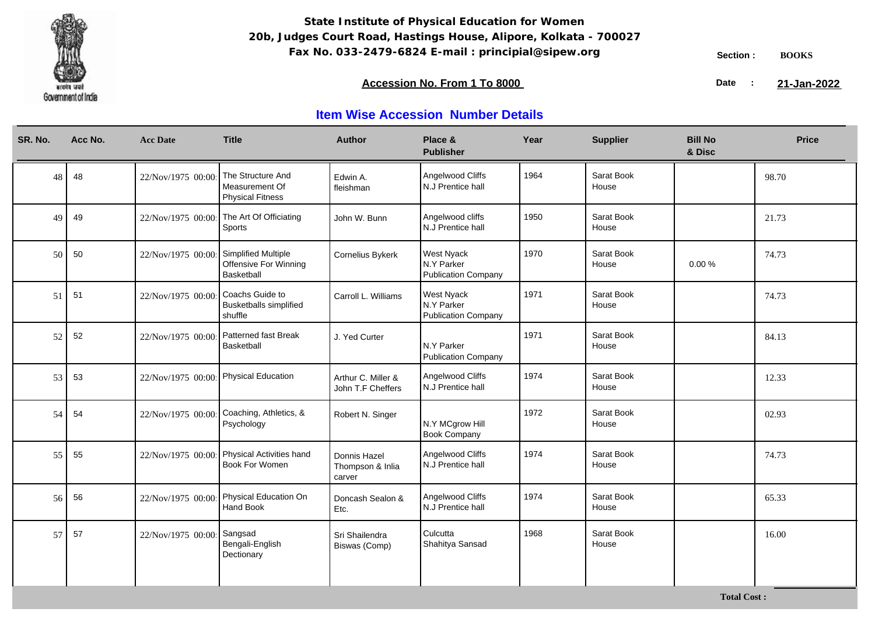

**Total Cost :**

### **Accession No. From 1 To 8000 21-January 2008 21-January 2008 21-January 2008 21-January 2009**

21-Jan-2022

| SR. No. | Acc No. | <b>Acc Date</b>   | <b>Title</b>                                                   | <b>Author</b>                              | Place &<br><b>Publisher</b>                            | Year | <b>Supplier</b>     | <b>Bill No</b><br>& Disc | <b>Price</b> |
|---------|---------|-------------------|----------------------------------------------------------------|--------------------------------------------|--------------------------------------------------------|------|---------------------|--------------------------|--------------|
| 48      | 48      | 22/Nov/1975 00:00 | The Structure And<br>Measurement Of<br><b>Physical Fitness</b> | Edwin A.<br>fleishman                      | Angelwood Cliffs<br>N.J Prentice hall                  | 1964 | Sarat Book<br>House |                          | 98.70        |
| 49      | 49      | 22/Nov/1975 00:00 | The Art Of Officiating<br>Sports                               | John W. Bunn                               | Angelwood cliffs<br>N.J Prentice hall                  | 1950 | Sarat Book<br>House |                          | 21.73        |
| 50      | 50      | 22/Nov/1975 00:00 | Simplified Multiple<br>Offensive For Winning<br>Basketball     | Cornelius Bykerk                           | <b>West Nyack</b><br>N.Y Parker<br>Publication Company | 1970 | Sarat Book<br>House | 0.00%                    | 74.73        |
| 51      | 51      | 22/Nov/1975 00:00 | Coachs Guide to<br><b>Busketballs simplified</b><br>shuffle    | Carroll L. Williams                        | <b>West Nyack</b><br>N.Y Parker<br>Publication Company | 1971 | Sarat Book<br>House |                          | 74.73        |
| 52      | 52      | 22/Nov/1975 00:00 | Patterned fast Break<br>Basketball                             | J. Yed Curter                              | N.Y Parker<br>Publication Company                      | 1971 | Sarat Book<br>House |                          | 84.13        |
| 53      | 53      | 22/Nov/1975 00:00 | <b>Physical Education</b>                                      | Arthur C. Miller &<br>John T.F Cheffers    | Angelwood Cliffs<br>N.J Prentice hall                  | 1974 | Sarat Book<br>House |                          | 12.33        |
| 54      | 54      | 22/Nov/1975 00:00 | Coaching, Athletics, &<br>Psychology                           | Robert N. Singer                           | N.Y MCgrow Hill<br><b>Book Company</b>                 | 1972 | Sarat Book<br>House |                          | 02.93        |
| 55      | 55      |                   | 22/Nov/1975 00:00 Physical Activities hand<br>Book For Women   | Donnis Hazel<br>Thompson & Inlia<br>carver | Angelwood Cliffs<br>N.J Prentice hall                  | 1974 | Sarat Book<br>House |                          | 74.73        |
| 56      | 56      | 22/Nov/1975 00:00 | Physical Education On<br>Hand Book                             | Doncash Sealon &<br>Etc.                   | Angelwood Cliffs<br>N.J Prentice hall                  | 1974 | Sarat Book<br>House |                          | 65.33        |
| 57      | 57      | 22/Nov/1975 00:00 | Sangsad<br>Bengali-English<br>Dectionary                       | Sri Shailendra<br>Biswas (Comp)            | Culcutta<br>Shahitya Sansad                            | 1968 | Sarat Book<br>House |                          | 16.00        |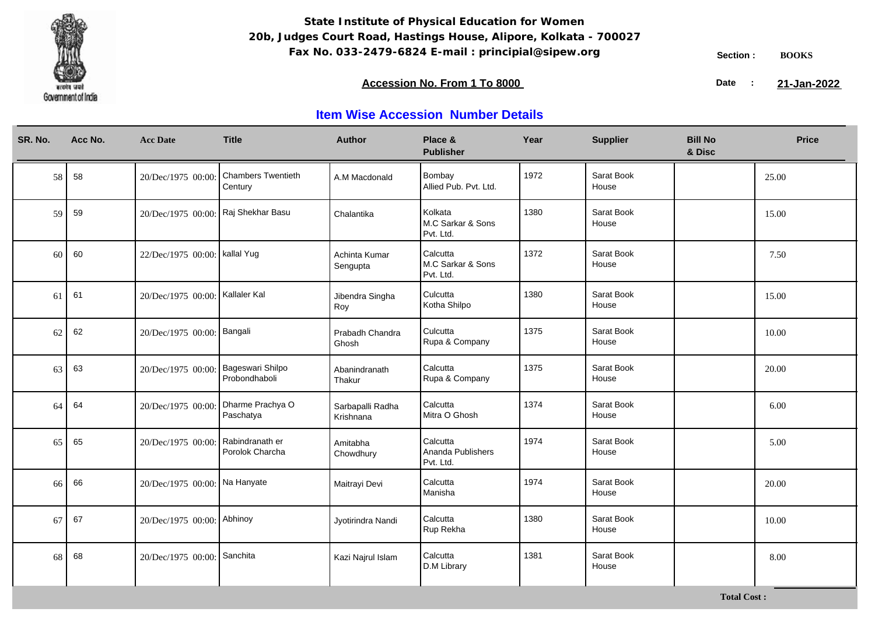

**Total Cost :**

### **Accession No. From 1 To 8000 21-January 2008 21-January 2008 21-January 2008 21-January 2009**

21-Jan-2022

| SR. No. | Acc No. | <b>Acc Date</b>                     | <b>Title</b>                         | <b>Author</b>                 | Place &<br><b>Publisher</b>                | Year | <b>Supplier</b>     | <b>Bill No</b><br>& Disc | <b>Price</b> |
|---------|---------|-------------------------------------|--------------------------------------|-------------------------------|--------------------------------------------|------|---------------------|--------------------------|--------------|
| 58      | 58      | 20/Dec/1975 00:00:                  | <b>Chambers Twentieth</b><br>Century | A.M Macdonald                 | Bombay<br>Allied Pub. Pvt. Ltd.            | 1972 | Sarat Book<br>House |                          | 25.00        |
| 59      | 59      | 20/Dec/1975 00:00: Raj Shekhar Basu |                                      | Chalantika                    | Kolkata<br>M.C Sarkar & Sons<br>Pvt. Ltd.  | 1380 | Sarat Book<br>House |                          | 15.00        |
| 60      | 60      | 22/Dec/1975 00:00:   kallal Yug     |                                      | Achinta Kumar<br>Sengupta     | Calcutta<br>M.C Sarkar & Sons<br>Pvt. Ltd. | 1372 | Sarat Book<br>House |                          | 7.50         |
| 61      | 61      | 20/Dec/1975 00:00:   Kallaler Kal   |                                      | Jibendra Singha<br>Roy        | Culcutta<br>Kotha Shilpo                   | 1380 | Sarat Book<br>House |                          | 15.00        |
| 62      | 62      | 20/Dec/1975 00:00: Bangali          |                                      | Prabadh Chandra<br>Ghosh      | Culcutta<br>Rupa & Company                 | 1375 | Sarat Book<br>House |                          | 10.00        |
| 63      | 63      | 20/Dec/1975 00:00: Bageswari Shilpo | Probondhaboli                        | Abanindranath<br>Thakur       | Calcutta<br>Rupa & Company                 | 1375 | Sarat Book<br>House |                          | 20.00        |
| 64      | 64      | 20/Dec/1975 00:00:                  | Dharme Prachya O<br>Paschatya        | Sarbapalli Radha<br>Krishnana | Calcutta<br>Mitra O Ghosh                  | 1374 | Sarat Book<br>House |                          | 6.00         |
| 65      | 65      | 20/Dec/1975 00:00:                  | Rabindranath er<br>Porolok Charcha   | Amitabha<br>Chowdhury         | Calcutta<br>Ananda Publishers<br>Pvt. Ltd. | 1974 | Sarat Book<br>House |                          | 5.00         |
| 66      | 66      | 20/Dec/1975 00:00: Na Hanyate       |                                      | Maitrayi Devi                 | Calcutta<br>Manisha                        | 1974 | Sarat Book<br>House |                          | 20.00        |
| 67      | 67      | 20/Dec/1975 00:00: Abhinoy          |                                      | Jyotirindra Nandi             | Calcutta<br>Rup Rekha                      | 1380 | Sarat Book<br>House |                          | 10.00        |
| 68      | 68      | 20/Dec/1975 00:00:                  | Sanchita                             | Kazi Najrul Islam             | Calcutta<br>D.M Library                    | 1381 | Sarat Book<br>House |                          | 8.00         |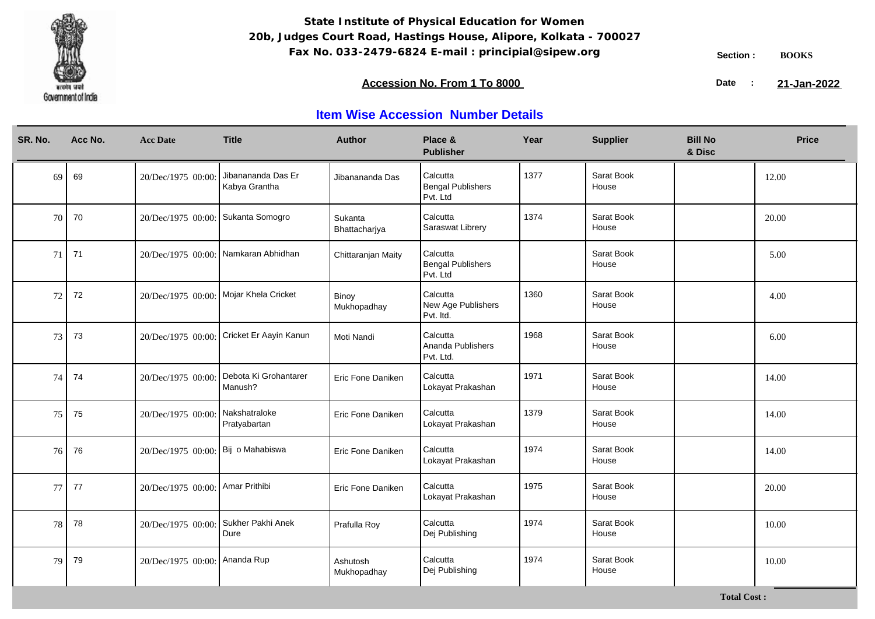

**Total Cost :**

### **Accession No. From 1 To 8000 21-January 2008 21-January 2008 21-January 2008 21-January 2009**

21-Jan-2022

| SR. No. | Acc No. | <b>Acc Date</b>                        | <b>Title</b>                        | <b>Author</b>            | Place &<br><b>Publisher</b>                      | Year | <b>Supplier</b>     | <b>Bill No</b><br>& Disc | <b>Price</b> |
|---------|---------|----------------------------------------|-------------------------------------|--------------------------|--------------------------------------------------|------|---------------------|--------------------------|--------------|
| 69      | 69      | 20/Dec/1975 00:00:                     | Jibanananda Das Er<br>Kabya Grantha | Jibanananda Das          | Calcutta<br><b>Bengal Publishers</b><br>Pvt. Ltd | 1377 | Sarat Book<br>House |                          | 12.00        |
| 70      | 70      | 20/Dec/1975 00:00:                     | Sukanta Somogro                     | Sukanta<br>Bhattacharjya | Calcutta<br>Saraswat Librery                     | 1374 | Sarat Book<br>House |                          | 20.00        |
| 71      | 71      | 20/Dec/1975 00:00:                     | Namkaran Abhidhan                   | Chittaranjan Maity       | Calcutta<br><b>Bengal Publishers</b><br>Pvt. Ltd |      | Sarat Book<br>House |                          | 5.00         |
| 72      | 72      | 20/Dec/1975 00:00: Mojar Khela Cricket |                                     | Binoy<br>Mukhopadhay     | Calcutta<br>New Age Publishers<br>Pvt. Itd.      | 1360 | Sarat Book<br>House |                          | 4.00         |
| 73      | 73      | 20/Dec/1975 00:00:                     | Cricket Er Aayin Kanun              | Moti Nandi               | Calcutta<br>Ananda Publishers<br>Pvt. Ltd.       | 1968 | Sarat Book<br>House |                          | 6.00         |
| 74      | 74      | 20/Dec/1975 00:00:                     | Debota Ki Grohantarer<br>Manush?    | Eric Fone Daniken        | Calcutta<br>Lokayat Prakashan                    | 1971 | Sarat Book<br>House |                          | 14.00        |
| 75      | 75      | 20/Dec/1975 00:00:                     | Nakshatraloke<br>Pratyabartan       | Eric Fone Daniken        | Calcutta<br>Lokayat Prakashan                    | 1379 | Sarat Book<br>House |                          | 14.00        |
| 76      | 76      | 20/Dec/1975 00:00:                     | Bij o Mahabiswa                     | Eric Fone Daniken        | Calcutta<br>Lokayat Prakashan                    | 1974 | Sarat Book<br>House |                          | 14.00        |
| 77      | 77      | 20/Dec/1975 00:00:                     | Amar Prithibi                       | Eric Fone Daniken        | Calcutta<br>Lokayat Prakashan                    | 1975 | Sarat Book<br>House |                          | 20.00        |
| 78      | 78      | 20/Dec/1975 00:00:                     | Sukher Pakhi Anek<br>Dure           | Prafulla Roy             | Calcutta<br>Dej Publishing                       | 1974 | Sarat Book<br>House |                          | 10.00        |
| 79      | 79      | 20/Dec/1975 00:00:                     | Ananda Rup                          | Ashutosh<br>Mukhopadhay  | Calcutta<br>Dej Publishing                       | 1974 | Sarat Book<br>House |                          | 10.00        |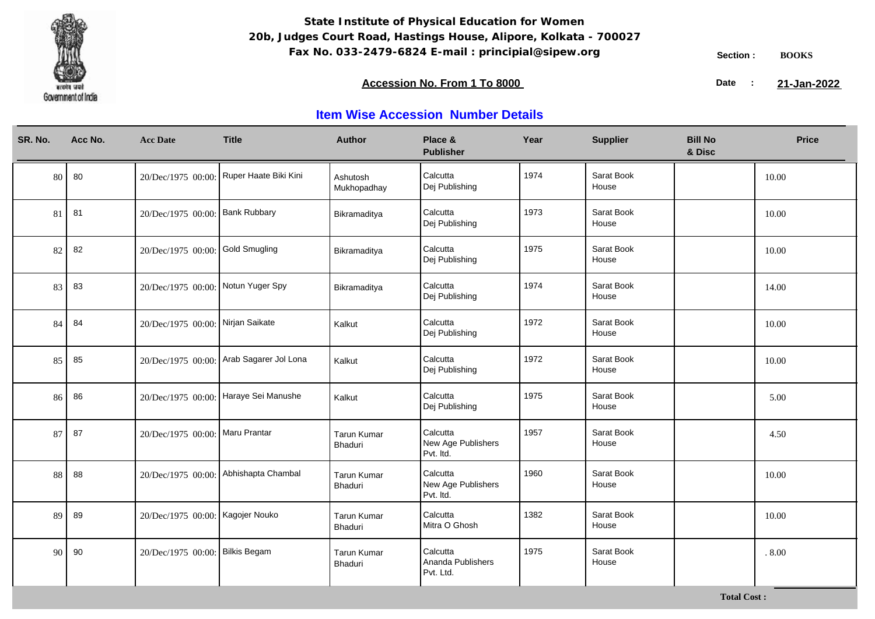

### **Accession No. From 1 To 8000 21-January 2008 21-January 2008 21-January 2008 21-January 2009**

21-Jan-2022

| SR. No. | Acc No. | <b>Acc Date</b>                    | <b>Title</b>                             | <b>Author</b>                 | Place &<br><b>Publisher</b>                 | Year | <b>Supplier</b>     | <b>Bill No</b><br>& Disc | <b>Price</b> |
|---------|---------|------------------------------------|------------------------------------------|-------------------------------|---------------------------------------------|------|---------------------|--------------------------|--------------|
| 80      | 80      |                                    | 20/Dec/1975 00:00: Ruper Haate Biki Kini | Ashutosh<br>Mukhopadhay       | Calcutta<br>Dej Publishing                  | 1974 | Sarat Book<br>House |                          | 10.00        |
| 81      | 81      | 20/Dec/1975 00:00: Bank Rubbary    |                                          | Bikramaditya                  | Calcutta<br>Dej Publishing                  | 1973 | Sarat Book<br>House |                          | 10.00        |
| 82      | 82      | 20/Dec/1975 00:00: Gold Smugling   |                                          | Bikramaditya                  | Calcutta<br>Dej Publishing                  | 1975 | Sarat Book<br>House |                          | 10.00        |
| 83      | 83      | 20/Dec/1975 00:00: Notun Yuger Spy |                                          | Bikramaditya                  | Calcutta<br>Dej Publishing                  | 1974 | Sarat Book<br>House |                          | 14.00        |
| 84      | 84      | 20/Dec/1975 00:00: Nirjan Saikate  |                                          | Kalkut                        | Calcutta<br>Dej Publishing                  | 1972 | Sarat Book<br>House |                          | 10.00        |
| 85      | 85      |                                    | 20/Dec/1975 00:00: Arab Sagarer Jol Lona | Kalkut                        | Calcutta<br>Dej Publishing                  | 1972 | Sarat Book<br>House |                          | 10.00        |
| 86      | 86      | 20/Dec/1975 00:00:                 | Haraye Sei Manushe                       | Kalkut                        | Calcutta<br>Dej Publishing                  | 1975 | Sarat Book<br>House |                          | 5.00         |
| 87      | 87      | 20/Dec/1975 00:00: Maru Prantar    |                                          | <b>Tarun Kumar</b><br>Bhaduri | Calcutta<br>New Age Publishers<br>Pvt. Itd. | 1957 | Sarat Book<br>House |                          | 4.50         |
| 88      | 88      | 20/Dec/1975 00:00:                 | Abhishapta Chambal                       | Tarun Kumar<br>Bhaduri        | Calcutta<br>New Age Publishers<br>Pvt. Itd. | 1960 | Sarat Book<br>House |                          | 10.00        |
| 89      | 89      | 20/Dec/1975 00:00: Kagojer Nouko   |                                          | <b>Tarun Kumar</b><br>Bhaduri | Calcutta<br>Mitra O Ghosh                   | 1382 | Sarat Book<br>House |                          | 10.00        |
| 90      | 90      | 20/Dec/1975 00:00: Bilkis Begam    |                                          | <b>Tarun Kumar</b><br>Bhaduri | Calcutta<br>Ananda Publishers<br>Pvt. Ltd.  | 1975 | Sarat Book<br>House |                          | .8.00        |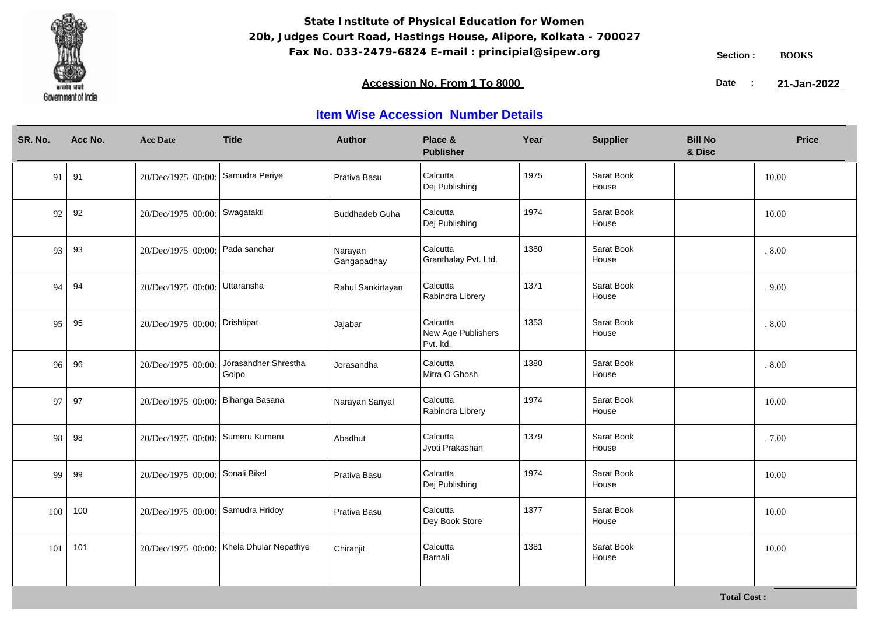

### **Accession No. From 1 To 8000 21-January 2008 21-January 2008 21-January 2008 21-January 2009**

21-Jan-2022

| SR. No. | Acc No. | <b>Acc Date</b>                   | <b>Title</b>                             | <b>Author</b>          | Place &<br><b>Publisher</b>                 | Year | <b>Supplier</b>     | <b>Bill No</b><br>& Disc | <b>Price</b> |
|---------|---------|-----------------------------------|------------------------------------------|------------------------|---------------------------------------------|------|---------------------|--------------------------|--------------|
| 91      | 91      | 20/Dec/1975 00:00: Samudra Periye |                                          | Prativa Basu           | Calcutta<br>Dej Publishing                  | 1975 | Sarat Book<br>House |                          | 10.00        |
| 92      | 92      | 20/Dec/1975 00:00: Swagatakti     |                                          | <b>Buddhadeb Guha</b>  | Calcutta<br>Dej Publishing                  | 1974 | Sarat Book<br>House |                          | 10.00        |
| 93      | 93      | 20/Dec/1975 00:00: Pada sanchar   |                                          | Narayan<br>Gangapadhay | Calcutta<br>Granthalay Pvt. Ltd.            | 1380 | Sarat Book<br>House |                          | .8.00        |
| 94      | 94      | 20/Dec/1975 00:00: Uttaransha     |                                          | Rahul Sankirtayan      | Calcutta<br>Rabindra Librery                | 1371 | Sarat Book<br>House |                          | .9.00        |
| 95      | 95      | 20/Dec/1975 00:00: Drishtipat     |                                          | Jajabar                | Calcutta<br>New Age Publishers<br>Pvt. Itd. | 1353 | Sarat Book<br>House |                          | .8.00        |
| 96      | 96      | 20/Dec/1975 00:00:                | Jorasandher Shrestha<br>Golpo            | Jorasandha             | Calcutta<br>Mitra O Ghosh                   | 1380 | Sarat Book<br>House |                          | $.8.00$      |
| 97      | 97      | 20/Dec/1975 00:00:                | Bihanga Basana                           | Narayan Sanyal         | Calcutta<br>Rabindra Librery                | 1974 | Sarat Book<br>House |                          | 10.00        |
| 98      | 98      | 20/Dec/1975 00:00: Sumeru Kumeru  |                                          | Abadhut                | Calcutta<br>Jyoti Prakashan                 | 1379 | Sarat Book<br>House |                          | .7.00        |
| 99      | 99      | 20/Dec/1975 00:00: Sonali Bikel   |                                          | Prativa Basu           | Calcutta<br>Dej Publishing                  | 1974 | Sarat Book<br>House |                          | 10.00        |
| 100     | 100     | 20/Dec/1975 00:00: Samudra Hridoy |                                          | Prativa Basu           | Calcutta<br>Dey Book Store                  | 1377 | Sarat Book<br>House |                          | 10.00        |
| 101     | 101     |                                   | 20/Dec/1975 00:00: Khela Dhular Nepathye | Chiranjit              | Calcutta<br>Barnali                         | 1381 | Sarat Book<br>House |                          | 10.00        |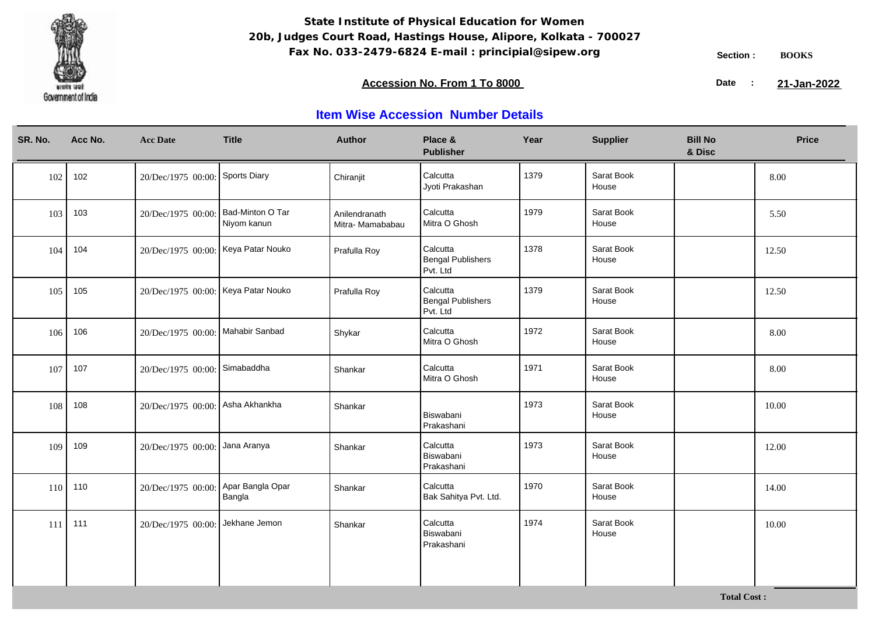

### **Accession No. From 1 To 8000 21-January 2008 21-January 2008 21-January 2008 21-January 2009**

21-Jan-2022

| SR. No. | Acc No. | <b>Acc Date</b>                     | <b>Title</b>                    | <b>Author</b>                    | Place &<br><b>Publisher</b>                      | Year | <b>Supplier</b>     | <b>Bill No</b><br>& Disc | <b>Price</b> |
|---------|---------|-------------------------------------|---------------------------------|----------------------------------|--------------------------------------------------|------|---------------------|--------------------------|--------------|
| 102     | 102     | 20/Dec/1975 00:00: Sports Diary     |                                 | Chiranjit                        | Calcutta<br>Jyoti Prakashan                      | 1379 | Sarat Book<br>House |                          | 8.00         |
| 103     | 103     | 20/Dec/1975 00:00:                  | Bad-Minton O Tar<br>Niyom kanun | Anilendranath<br>Mitra-Mamababau | Calcutta<br>Mitra O Ghosh                        | 1979 | Sarat Book<br>House |                          | 5.50         |
| 104     | 104     | 20/Dec/1975 00:00: Keya Patar Nouko |                                 | Prafulla Roy                     | Calcutta<br><b>Bengal Publishers</b><br>Pvt. Ltd | 1378 | Sarat Book<br>House |                          | 12.50        |
| 105     | 105     | 20/Dec/1975 00:00: Keya Patar Nouko |                                 | Prafulla Roy                     | Calcutta<br><b>Bengal Publishers</b><br>Pvt. Ltd | 1379 | Sarat Book<br>House |                          | 12.50        |
| 106     | 106     | 20/Dec/1975 00:00: Mahabir Sanbad   |                                 | Shykar                           | Calcutta<br>Mitra O Ghosh                        | 1972 | Sarat Book<br>House |                          | 8.00         |
| 107     | 107     | 20/Dec/1975 00:00: Simabaddha       |                                 | Shankar                          | Calcutta<br>Mitra O Ghosh                        | 1971 | Sarat Book<br>House |                          | 8.00         |
| 108     | 108     | 20/Dec/1975 00:00: Asha Akhankha    |                                 | Shankar                          | Biswabani<br>Prakashani                          | 1973 | Sarat Book<br>House |                          | 10.00        |
| 109     | 109     | 20/Dec/1975 00:00: Jana Aranya      |                                 | Shankar                          | Calcutta<br>Biswabani<br>Prakashani              | 1973 | Sarat Book<br>House |                          | 12.00        |
| 110     | 110     | 20/Dec/1975 00:00: Apar Bangla Opar | Bangla                          | Shankar                          | Calcutta<br>Bak Sahitya Pvt. Ltd.                | 1970 | Sarat Book<br>House |                          | 14.00        |
| 111     | 111     | 20/Dec/1975 00:00: Jekhane Jemon    |                                 | Shankar                          | Calcutta<br>Biswabani<br>Prakashani              | 1974 | Sarat Book<br>House |                          | 10.00        |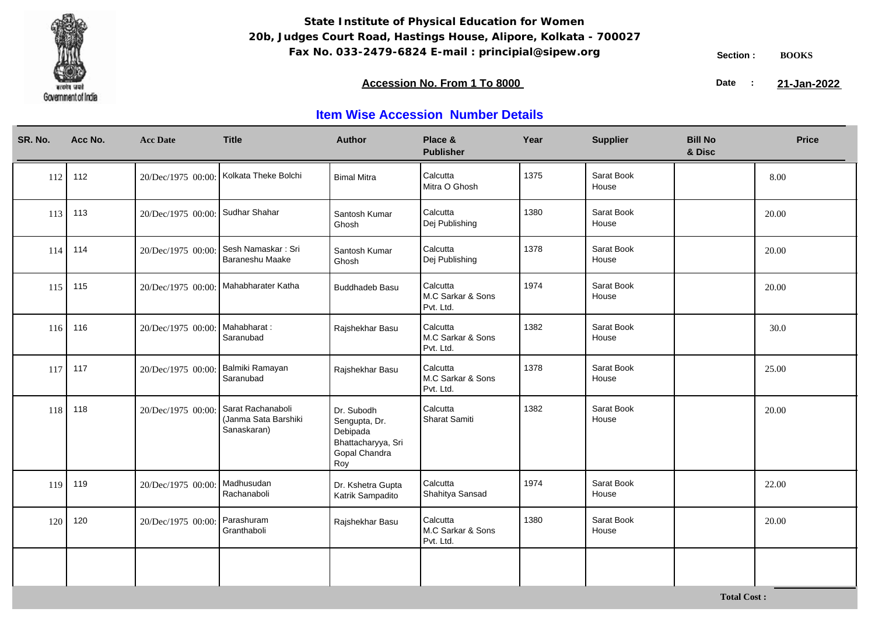

### **Accession No. From 1 To 8000 21-January 2008 21-January 2008 21-January 2008 21-January 2009**

21-Jan-2022

| SR. No. | Acc No. | <b>Acc Date</b>                  | <b>Title</b>                                             | <b>Author</b>                                                                         | Place &<br><b>Publisher</b>                | Year | <b>Supplier</b>     | <b>Bill No</b><br>& Disc | <b>Price</b> |
|---------|---------|----------------------------------|----------------------------------------------------------|---------------------------------------------------------------------------------------|--------------------------------------------|------|---------------------|--------------------------|--------------|
| 112     | 112     |                                  | 20/Dec/1975 00:00: Kolkata Theke Bolchi                  | <b>Bimal Mitra</b>                                                                    | Calcutta<br>Mitra O Ghosh                  | 1375 | Sarat Book<br>House |                          | 8.00         |
| 113     | 113     | 20/Dec/1975 00:00: Sudhar Shahar |                                                          | Santosh Kumar<br>Ghosh                                                                | Calcutta<br>Dej Publishing                 | 1380 | Sarat Book<br>House |                          | 20.00        |
| 114     | 114     | 20/Dec/1975 00:00:               | Sesh Namaskar: Sri<br>Baraneshu Maake                    | Santosh Kumar<br>Ghosh                                                                | Calcutta<br>Dej Publishing                 | 1378 | Sarat Book<br>House |                          | 20.00        |
| 115     | 115     |                                  | 20/Dec/1975 00:00: Mahabharater Katha                    | <b>Buddhadeb Basu</b>                                                                 | Calcutta<br>M.C Sarkar & Sons<br>Pvt. Ltd. | 1974 | Sarat Book<br>House |                          | 20.00        |
| 116     | 116     | 20/Dec/1975 00:00:               | Mahabharat:<br>Saranubad                                 | Rajshekhar Basu                                                                       | Calcutta<br>M.C Sarkar & Sons<br>Pvt. Ltd. | 1382 | Sarat Book<br>House |                          | 30.0         |
| 117     | 117     | 20/Dec/1975 00:00:               | Balmiki Ramayan<br>Saranubad                             | Rajshekhar Basu                                                                       | Calcutta<br>M.C Sarkar & Sons<br>Pvt. Ltd. | 1378 | Sarat Book<br>House |                          | 25.00        |
| 118     | 118     | 20/Dec/1975 00:00                | Sarat Rachanaboli<br>(Janma Sata Barshiki<br>Sanaskaran) | Dr. Subodh<br>Sengupta, Dr.<br>Debipada<br>Bhattacharyya, Sri<br>Gopal Chandra<br>Roy | Calcutta<br>Sharat Samiti                  | 1382 | Sarat Book<br>House |                          | 20.00        |
| 119     | 119     | 20/Dec/1975 00:00:               | Madhusudan<br>Rachanaboli                                | Dr. Kshetra Gupta<br>Katrik Sampadito                                                 | Calcutta<br>Shahitya Sansad                | 1974 | Sarat Book<br>House |                          | 22.00        |
| 120     | 120     | 20/Dec/1975 00:00:               | Parashuram<br>Granthaboli                                | Rajshekhar Basu                                                                       | Calcutta<br>M.C Sarkar & Sons<br>Pvt. Ltd. | 1380 | Sarat Book<br>House |                          | 20.00        |
|         |         |                                  |                                                          |                                                                                       |                                            |      |                     |                          |              |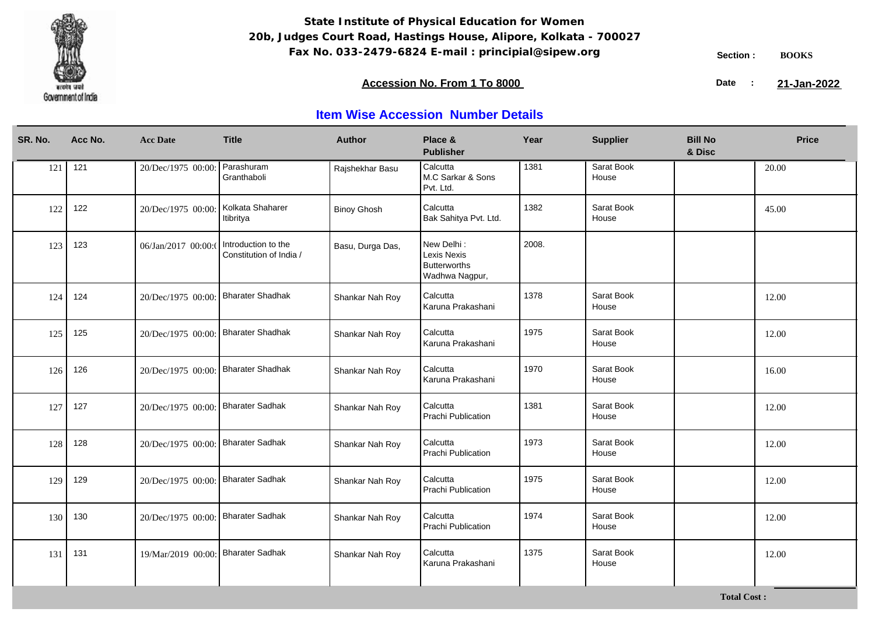

**Total Cost :**

### **Accession No. From 1 To 8000 21-January 2008 21-January 2008 21-January 2008 21-January 2009**

21-Jan-2022

| SR. No. | Acc No. | <b>Acc Date</b>                     | <b>Title</b>                                   | <b>Author</b>      | Place &<br><b>Publisher</b>                                        | Year  | <b>Supplier</b>     | <b>Bill No</b><br>& Disc | <b>Price</b> |
|---------|---------|-------------------------------------|------------------------------------------------|--------------------|--------------------------------------------------------------------|-------|---------------------|--------------------------|--------------|
| 121     | 121     | 20/Dec/1975 00:00:                  | Parashuram<br>Granthaboli                      | Rajshekhar Basu    | Calcutta<br>M.C Sarkar & Sons<br>Pvt. Ltd.                         | 1381  | Sarat Book<br>House |                          | 20.00        |
| 122     | 122     | 20/Dec/1975 00:00:                  | Kolkata Shaharer<br>Itibritya                  | <b>Binoy Ghosh</b> | Calcutta<br>Bak Sahitya Pvt. Ltd.                                  | 1382  | Sarat Book<br>House |                          | 45.00        |
| 123     | 123     | 06/Jan/2017 00:00:0                 | Introduction to the<br>Constitution of India / | Basu, Durga Das,   | New Delhi:<br>Lexis Nexis<br><b>Butterworths</b><br>Wadhwa Nagpur, | 2008. |                     |                          |              |
| 124     | 124     | 20/Dec/1975 00:00: Bharater Shadhak |                                                | Shankar Nah Roy    | Calcutta<br>Karuna Prakashani                                      | 1378  | Sarat Book<br>House |                          | 12.00        |
| 125     | 125     | 20/Dec/1975 00:00: Bharater Shadhak |                                                | Shankar Nah Roy    | Calcutta<br>Karuna Prakashani                                      | 1975  | Sarat Book<br>House |                          | 12.00        |
| 126     | 126     | 20/Dec/1975 00:00: Bharater Shadhak |                                                | Shankar Nah Roy    | Calcutta<br>Karuna Prakashani                                      | 1970  | Sarat Book<br>House |                          | 16.00        |
| 127     | 127     | 20/Dec/1975 00:00: Bharater Sadhak  |                                                | Shankar Nah Roy    | Calcutta<br>Prachi Publication                                     | 1381  | Sarat Book<br>House |                          | 12.00        |
| 128     | 128     | 20/Dec/1975 00:00: Bharater Sadhak  |                                                | Shankar Nah Roy    | Calcutta<br>Prachi Publication                                     | 1973  | Sarat Book<br>House |                          | 12.00        |
| 129     | 129     | 20/Dec/1975 00:00: Bharater Sadhak  |                                                | Shankar Nah Roy    | Calcutta<br>Prachi Publication                                     | 1975  | Sarat Book<br>House |                          | 12.00        |
| 130     | 130     | 20/Dec/1975 00:00: Bharater Sadhak  |                                                | Shankar Nah Roy    | Calcutta<br>Prachi Publication                                     | 1974  | Sarat Book<br>House |                          | 12.00        |
| 131     | 131     | 19/Mar/2019 00:00: Bharater Sadhak  |                                                | Shankar Nah Roy    | Calcutta<br>Karuna Prakashani                                      | 1375  | Sarat Book<br>House |                          | 12.00        |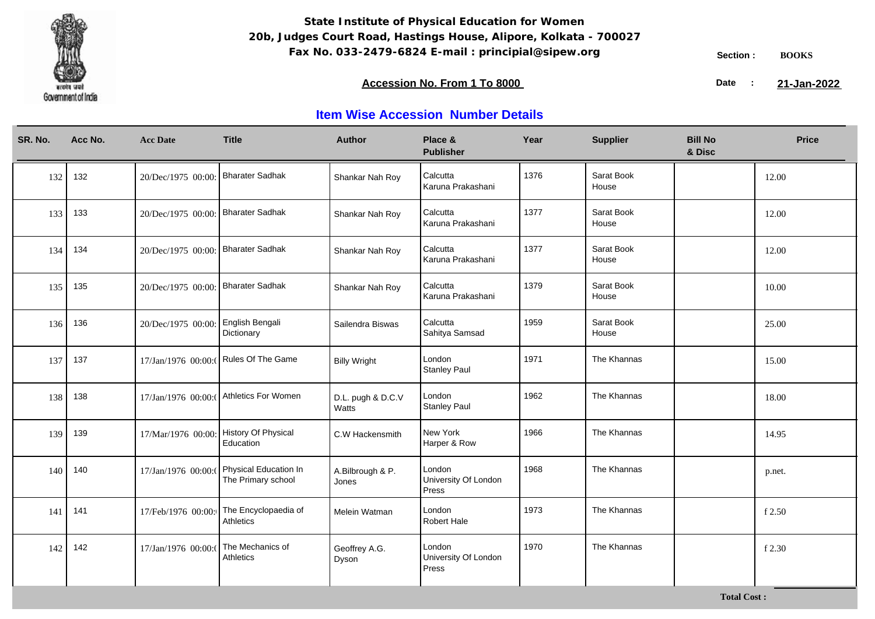

### **Accession No. From 1 To 8000 21-January 2008 21-January 2008 21-January 2008 21-January 2009**

21-Jan-2022

| SR. No. | Acc No. | <b>Acc Date</b>                    | <b>Title</b>                                | <b>Author</b>              | Place &<br><b>Publisher</b>             | Year | <b>Supplier</b>     | <b>Bill No</b><br>& Disc | <b>Price</b> |
|---------|---------|------------------------------------|---------------------------------------------|----------------------------|-----------------------------------------|------|---------------------|--------------------------|--------------|
| 132     | 132     | 20/Dec/1975 00:00: Bharater Sadhak |                                             | Shankar Nah Roy            | Calcutta<br>Karuna Prakashani           | 1376 | Sarat Book<br>House |                          | 12.00        |
| 133     | 133     | 20/Dec/1975 00:00: Bharater Sadhak |                                             | Shankar Nah Roy            | Calcutta<br>Karuna Prakashani           | 1377 | Sarat Book<br>House |                          | 12.00        |
| 134     | 134     | 20/Dec/1975 00:00: Bharater Sadhak |                                             | Shankar Nah Roy            | Calcutta<br>Karuna Prakashani           | 1377 | Sarat Book<br>House |                          | 12.00        |
| 135     | 135     | 20/Dec/1975 00:00: Bharater Sadhak |                                             | Shankar Nah Roy            | Calcutta<br>Karuna Prakashani           | 1379 | Sarat Book<br>House |                          | 10.00        |
| 136     | 136     | 20/Dec/1975 00:00:                 | English Bengali<br>Dictionary               | Sailendra Biswas           | Calcutta<br>Sahitya Samsad              | 1959 | Sarat Book<br>House |                          | 25.00        |
| 137     | 137     |                                    | 17/Jan/1976 00:00:( Rules Of The Game       | <b>Billy Wright</b>        | London<br><b>Stanley Paul</b>           | 1971 | The Khannas         |                          | 15.00        |
| 138     | 138     |                                    | 17/Jan/1976 00:00:( Athletics For Women     | D.L. pugh & D.C.V<br>Watts | London<br><b>Stanley Paul</b>           | 1962 | The Khannas         |                          | 18.00        |
| 139     | 139     | 17/Mar/1976 00:00:                 | History Of Physical<br>Education            | C.W Hackensmith            | New York<br>Harper & Row                | 1966 | The Khannas         |                          | 14.95        |
| 140     | 140     | 17/Jan/1976 00:00:0                | Physical Education In<br>The Primary school | A.Bilbrough & P.<br>Jones  | London<br>University Of London<br>Press | 1968 | The Khannas         |                          | p.net.       |
| 141     | 141     | 17/Feb/1976 00:00:                 | The Encyclopaedia of<br>Athletics           | Melein Watman              | London<br><b>Robert Hale</b>            | 1973 | The Khannas         |                          | f 2.50       |
| 142     | 142     | 17/Jan/1976 00:00:0                | The Mechanics of<br>Athletics               | Geoffrey A.G.<br>Dyson     | London<br>University Of London<br>Press | 1970 | The Khannas         |                          | f 2.30       |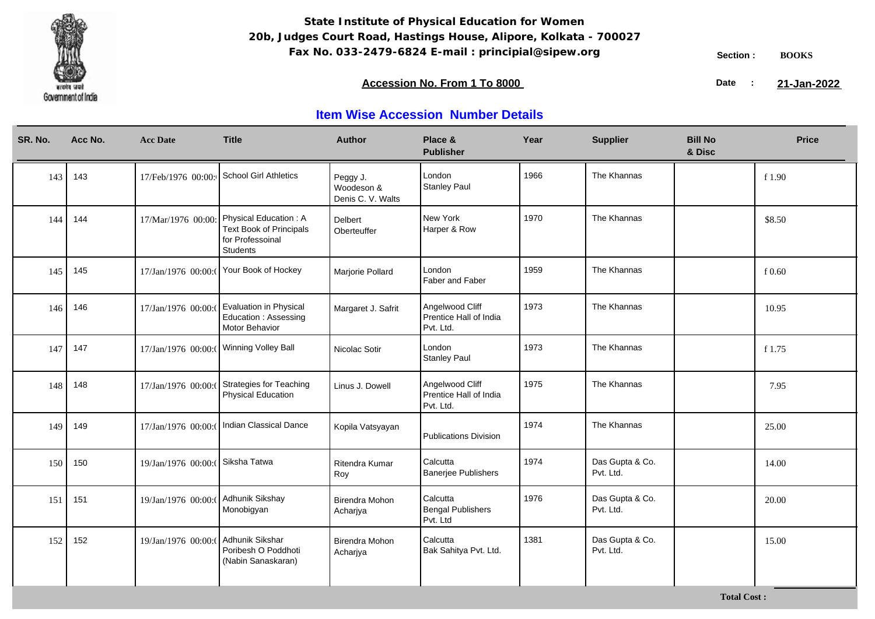

**Total Cost :**

### **Accession No. From 1 To 8000 21-January 2008 21-January 2008 21-January 2008 21-January 2009**

21-Jan-2022

| SR. No. | Acc No. | <b>Acc Date</b>     | <b>Title</b>                                                                            | <b>Author</b>                               | Place &<br><b>Publisher</b>                            | Year | <b>Supplier</b>              | <b>Bill No</b><br>& Disc | <b>Price</b> |
|---------|---------|---------------------|-----------------------------------------------------------------------------------------|---------------------------------------------|--------------------------------------------------------|------|------------------------------|--------------------------|--------------|
| 143     | 143     | 17/Feb/1976 00:00:  | <b>School Girl Athletics</b>                                                            | Peggy J.<br>Woodeson &<br>Denis C. V. Walts | London<br><b>Stanley Paul</b>                          | 1966 | The Khannas                  |                          | f 1.90       |
| 144     | 144     | 17/Mar/1976 00:00   | Physical Education: A<br><b>Text Book of Principals</b><br>for Professoinal<br>Students | <b>Delbert</b><br>Oberteuffer               | New York<br>Harper & Row                               | 1970 | The Khannas                  |                          | \$8.50       |
| 145     | 145     | 17/Jan/1976 00:00:0 | Your Book of Hockey                                                                     | Marjorie Pollard                            | London<br>Faber and Faber                              | 1959 | The Khannas                  |                          | f0.60        |
| 146     | 146     | 17/Jan/1976 00:00:0 | Evaluation in Physical<br>Education: Assessing<br>Motor Behavior                        | Margaret J. Safrit                          | Angelwood Cliff<br>Prentice Hall of India<br>Pvt. Ltd. | 1973 | The Khannas                  |                          | 10.95        |
| 147     | 147     | 17/Jan/1976 00:00:0 | <b>Winning Volley Ball</b>                                                              | Nicolac Sotir                               | London<br><b>Stanley Paul</b>                          | 1973 | The Khannas                  |                          | f 1.75       |
| 148     | 148     | 17/Jan/1976 00:00:0 | <b>Strategies for Teaching</b><br>Physical Education                                    | Linus J. Dowell                             | Angelwood Cliff<br>Prentice Hall of India<br>Pvt. Ltd. | 1975 | The Khannas                  |                          | 7.95         |
| 149     | 149     | 17/Jan/1976 00:00:  | Indian Classical Dance                                                                  | Kopila Vatsyayan                            | Publications Division                                  | 1974 | The Khannas                  |                          | 25.00        |
| 150     | 150     | 19/Jan/1976 00:00:  | Siksha Tatwa                                                                            | Ritendra Kumar<br>Roy                       | Calcutta<br><b>Banerjee Publishers</b>                 | 1974 | Das Gupta & Co.<br>Pvt. Ltd. |                          | 14.00        |
| 151     | 151     | 19/Jan/1976 00:00:0 | Adhunik Sikshay<br>Monobigyan                                                           | <b>Birendra Mohon</b><br>Acharjya           | Calcutta<br><b>Bengal Publishers</b><br>Pvt. Ltd       | 1976 | Das Gupta & Co.<br>Pvt. Ltd. |                          | 20.00        |
| 152     | 152     | 19/Jan/1976 00:00:0 | Adhunik Sikshar<br>Poribesh O Poddhoti<br>(Nabin Sanaskaran)                            | <b>Birendra Mohon</b><br>Acharjya           | Calcutta<br>Bak Sahitya Pvt. Ltd.                      | 1381 | Das Gupta & Co.<br>Pvt. Ltd. |                          | 15.00        |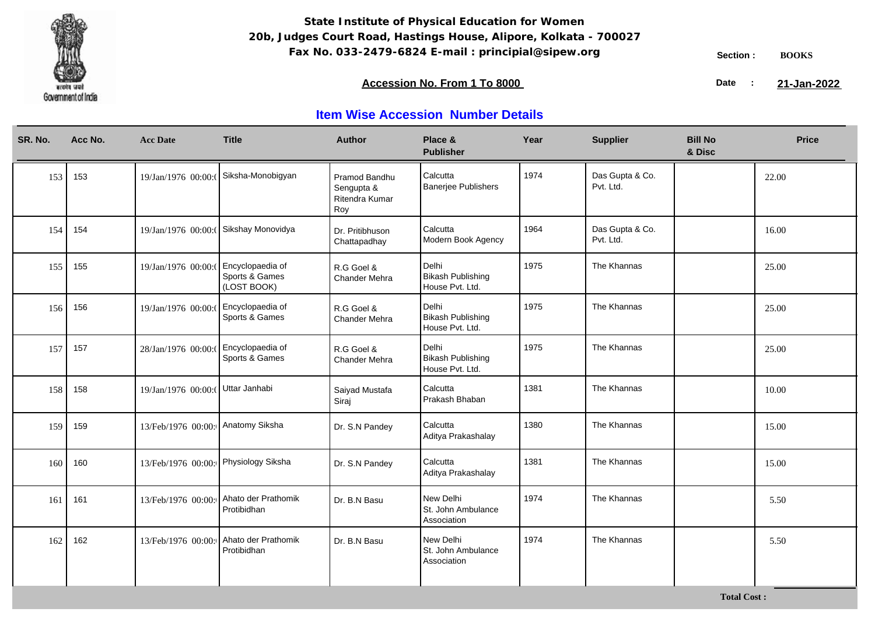

**Total Cost :**

### **Accession No. From 1 To 8000 21-January 2008 21-January 2008 21-January 2008 21-January 2009**

21-Jan-2022

| SR. No. | Acc No. | <b>Acc Date</b>     | <b>Title</b>                                      | <b>Author</b>                                        | Place &<br><b>Publisher</b>                          | Year | <b>Supplier</b>              | <b>Bill No</b><br>& Disc | <b>Price</b> |
|---------|---------|---------------------|---------------------------------------------------|------------------------------------------------------|------------------------------------------------------|------|------------------------------|--------------------------|--------------|
| 153     | 153     | 19/Jan/1976 00:00:0 | Siksha-Monobigyan                                 | Pramod Bandhu<br>Sengupta &<br>Ritendra Kumar<br>Roy | Calcutta<br><b>Banerjee Publishers</b>               | 1974 | Das Gupta & Co.<br>Pvt. Ltd. |                          | 22.00        |
| 154     | 154     | 19/Jan/1976 00:00:  | Sikshay Monovidya                                 | Dr. Pritibhuson<br>Chattapadhay                      | Calcutta<br>Modern Book Agency                       | 1964 | Das Gupta & Co.<br>Pvt. Ltd. |                          | 16.00        |
| 155     | 155     | 19/Jan/1976 00:00:  | Encyclopaedia of<br>Sports & Games<br>(LOST BOOK) | R.G Goel &<br>Chander Mehra                          | Delhi<br><b>Bikash Publishing</b><br>House Pvt. Ltd. | 1975 | The Khannas                  |                          | 25.00        |
| 156     | 156     | 19/Jan/1976 00:00:0 | Encyclopaedia of<br>Sports & Games                | R.G Goel &<br><b>Chander Mehra</b>                   | Delhi<br><b>Bikash Publishing</b><br>House Pvt. Ltd. | 1975 | The Khannas                  |                          | 25.00        |
| 157     | 157     | 28/Jan/1976 00:00:0 | Encyclopaedia of<br>Sports & Games                | R.G Goel &<br>Chander Mehra                          | Delhi<br><b>Bikash Publishing</b><br>House Pvt. Ltd. | 1975 | The Khannas                  |                          | 25.00        |
| 158     | 158     | 19/Jan/1976 00:00:  | Uttar Janhabi                                     | Saiyad Mustafa<br>Siraj                              | Calcutta<br>Prakash Bhaban                           | 1381 | The Khannas                  |                          | 10.00        |
| 159     | 159     | 13/Feb/1976 00:00:  | Anatomy Siksha                                    | Dr. S.N Pandey                                       | Calcutta<br>Aditya Prakashalay                       | 1380 | The Khannas                  |                          | 15.00        |
| 160     | 160     | 13/Feb/1976 00:00:  | Physiology Siksha                                 | Dr. S.N Pandey                                       | Calcutta<br>Aditya Prakashalay                       | 1381 | The Khannas                  |                          | 15.00        |
| 161     | 161     | 13/Feb/1976 00:00:  | Ahato der Prathomik<br>Protibidhan                | Dr. B.N Basu                                         | New Delhi<br>St. John Ambulance<br>Association       | 1974 | The Khannas                  |                          | 5.50         |
| 162     | 162     | 13/Feb/1976 00:00:  | Ahato der Prathomik<br>Protibidhan                | Dr. B.N Basu                                         | New Delhi<br>St. John Ambulance<br>Association       | 1974 | The Khannas                  |                          | 5.50         |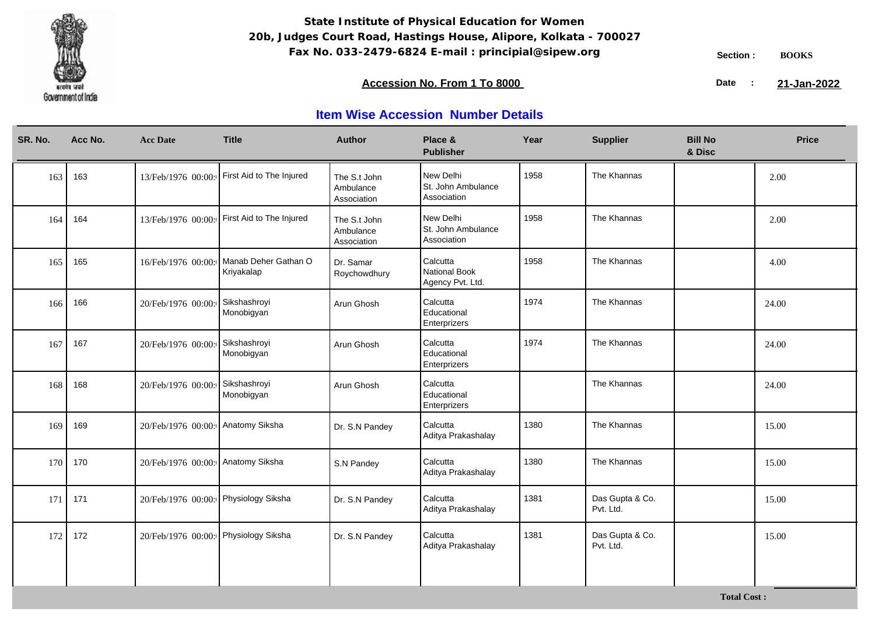

### **Accession No. From 1 To 8000 21-January 2008 21-January 2008 21-January 2008 21-January 2009**

21-Jan-2022

| SR. No. | Acc No. | <b>Acc Date</b>                      | <b>Title</b>                                | <b>Author</b>                            | Place &<br><b>Publisher</b>                    | Year | <b>Supplier</b>              | <b>Bill No</b><br>& Disc | <b>Price</b> |
|---------|---------|--------------------------------------|---------------------------------------------|------------------------------------------|------------------------------------------------|------|------------------------------|--------------------------|--------------|
| 163     | 163     |                                      | 13/Feb/1976 00:00: First Aid to The Injured | The S.t John<br>Ambulance<br>Association | New Delhi<br>St. John Ambulance<br>Association | 1958 | The Khannas                  |                          | 2.00         |
| 164     | 164     | 13/Feb/1976 00:00:                   | First Aid to The Injured                    | The S.t John<br>Ambulance<br>Association | New Delhi<br>St. John Ambulance<br>Association | 1958 | The Khannas                  |                          | 2.00         |
| 165     | 165     | 16/Feb/1976 00:00:                   | Manab Deher Gathan O<br>Kriyakalap          | Dr. Samar<br>Roychowdhury                | Calcutta<br>National Book<br>Agency Pvt. Ltd.  | 1958 | The Khannas                  |                          | 4.00         |
| 166     | 166     | 20/Feb/1976 00:00:                   | Sikshashroyi<br>Monobigyan                  | Arun Ghosh                               | Calcutta<br>Educational<br>Enterprizers        | 1974 | The Khannas                  |                          | 24.00        |
| 167     | 167     | 20/Feb/1976 00:00:                   | Sikshashroyi<br>Monobigyan                  | Arun Ghosh                               | Calcutta<br>Educational<br>Enterprizers        | 1974 | The Khannas                  |                          | 24.00        |
| 168     | 168     | 20/Feb/1976 00:00:                   | Sikshashroyi<br>Monobigyan                  | Arun Ghosh                               | Calcutta<br>Educational<br>Enterprizers        |      | The Khannas                  |                          | 24.00        |
| 169     | 169     | 20/Feb/1976 00:00:                   | Anatomy Siksha                              | Dr. S.N Pandey                           | Calcutta<br>Aditya Prakashalay                 | 1380 | The Khannas                  |                          | 15.00        |
| 170     | 170     | 20/Feb/1976 00:00:                   | Anatomy Siksha                              | S.N Pandey                               | Calcutta<br>Aditya Prakashalay                 | 1380 | The Khannas                  |                          | 15.00        |
| 171     | 171     | 20/Feb/1976 00:00: Physiology Siksha |                                             | Dr. S.N Pandey                           | Calcutta<br>Aditya Prakashalay                 | 1381 | Das Gupta & Co.<br>Pvt. Ltd. |                          | 15.00        |
| 172     | 172     | 20/Feb/1976 00:00:                   | Physiology Siksha                           | Dr. S.N Pandey                           | Calcutta<br>Aditya Prakashalay                 | 1381 | Das Gupta & Co.<br>Pvt. Ltd. |                          | 15.00        |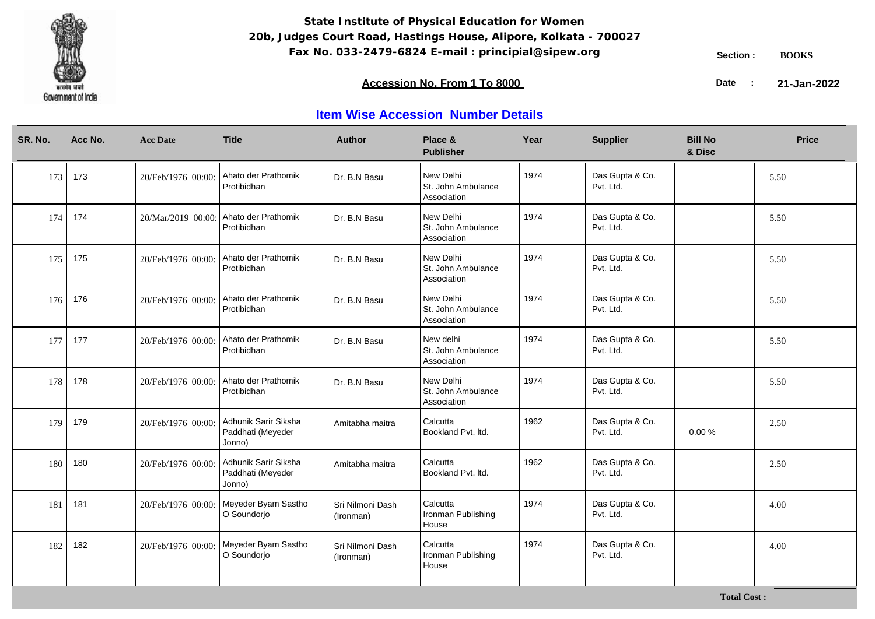

**Total Cost :**

### **Accession No. From 1 To 8000 21-January 2008 21-January 2008 21-January 2008 21-January 2009**

21-Jan-2022

| SR. No. | Acc No. | <b>Acc Date</b>    | <b>Title</b>                                          | <b>Author</b>                 | Place &<br><b>Publisher</b>                    | Year | <b>Supplier</b>              | <b>Bill No</b><br>& Disc | <b>Price</b> |
|---------|---------|--------------------|-------------------------------------------------------|-------------------------------|------------------------------------------------|------|------------------------------|--------------------------|--------------|
| 173     | 173     | 20/Feb/1976 00:00: | Ahato der Prathomik<br>Protibidhan                    | Dr. B.N Basu                  | New Delhi<br>St. John Ambulance<br>Association | 1974 | Das Gupta & Co.<br>Pvt. Ltd. |                          | 5.50         |
| 174     | 174     | 20/Mar/2019 00:00: | Ahato der Prathomik<br>Protibidhan                    | Dr. B.N Basu                  | New Delhi<br>St. John Ambulance<br>Association | 1974 | Das Gupta & Co.<br>Pvt. Ltd. |                          | 5.50         |
| 175     | 175     | 20/Feb/1976 00:00: | Ahato der Prathomik<br>Protibidhan                    | Dr. B.N Basu                  | New Delhi<br>St. John Ambulance<br>Association | 1974 | Das Gupta & Co.<br>Pvt. Ltd. |                          | 5.50         |
| 176     | 176     | 20/Feb/1976 00:00: | Ahato der Prathomik<br>Protibidhan                    | Dr. B.N Basu                  | New Delhi<br>St. John Ambulance<br>Association | 1974 | Das Gupta & Co.<br>Pvt. Ltd. |                          | 5.50         |
| 177     | 177     | 20/Feb/1976 00:00: | Ahato der Prathomik<br>Protibidhan                    | Dr. B.N Basu                  | New delhi<br>St. John Ambulance<br>Association | 1974 | Das Gupta & Co.<br>Pvt. Ltd. |                          | 5.50         |
| 178     | 178     | 20/Feb/1976 00:00: | Ahato der Prathomik<br>Protibidhan                    | Dr. B.N Basu                  | New Delhi<br>St. John Ambulance<br>Association | 1974 | Das Gupta & Co.<br>Pvt. Ltd. |                          | 5.50         |
| 179     | 179     | 20/Feb/1976 00:00: | Adhunik Sarir Siksha<br>Paddhati (Meyeder<br>Jonno)   | Amitabha maitra               | Calcutta<br>Bookland Pvt. Itd.                 | 1962 | Das Gupta & Co.<br>Pvt. Ltd. | 0.00%                    | 2.50         |
| 180     | 180     | 20/Feb/1976 00:00: | Adhunik Sarir Siksha<br>Paddhati (Meyeder<br>Jonno)   | Amitabha maitra               | Calcutta<br>Bookland Pvt. Itd.                 | 1962 | Das Gupta & Co.<br>Pvt. Ltd. |                          | 2.50         |
| 181     | 181     |                    | 20/Feb/1976 00:00: Meyeder Byam Sastho<br>O Soundorjo | Sri Nilmoni Dash<br>(Ironman) | Calcutta<br>Ironman Publishing<br>House        | 1974 | Das Gupta & Co.<br>Pvt. Ltd. |                          | 4.00         |
| 182     | 182     | 20/Feb/1976 00:00: | Meyeder Byam Sastho<br>O Soundorjo                    | Sri Nilmoni Dash<br>(Ironman) | Calcutta<br>Ironman Publishing<br>House        | 1974 | Das Gupta & Co.<br>Pvt. Ltd. |                          | 4.00         |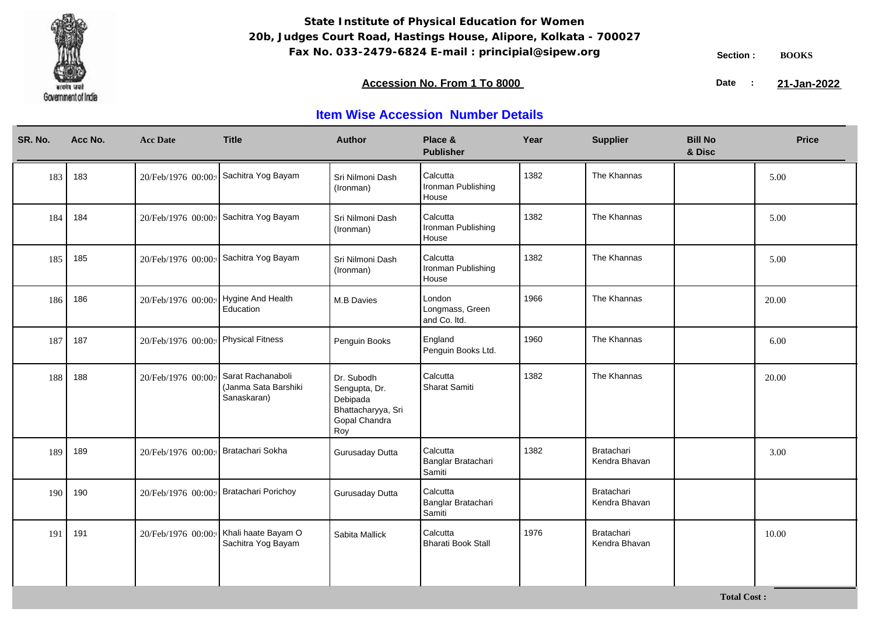

**Total Cost :**

### **Accession No. From 1 To 8000 21-January 2008 21-January 2008 21-January 2008 21-January 2009**

21-Jan-2022

| SR. No. | Acc No. | <b>Acc Date</b>    | <b>Title</b>                                             | <b>Author</b>                                                                         | Place &<br><b>Publisher</b>               | Year | <b>Supplier</b>                    | <b>Bill No</b><br>& Disc | <b>Price</b> |
|---------|---------|--------------------|----------------------------------------------------------|---------------------------------------------------------------------------------------|-------------------------------------------|------|------------------------------------|--------------------------|--------------|
| 183     | 183     | 20/Feb/1976 00:00: | Sachitra Yog Bayam                                       | Sri Nilmoni Dash<br>(Ironman)                                                         | Calcutta<br>Ironman Publishing<br>House   | 1382 | The Khannas                        |                          | 5.00         |
| 184     | 184     | 20/Feb/1976 00:00: | Sachitra Yog Bayam                                       | Sri Nilmoni Dash<br>(Ironman)                                                         | Calcutta<br>Ironman Publishing<br>House   | 1382 | The Khannas                        |                          | 5.00         |
| 185     | 185     | 20/Feb/1976 00:00: | Sachitra Yog Bayam                                       | Sri Nilmoni Dash<br>(Ironman)                                                         | Calcutta<br>Ironman Publishing<br>House   | 1382 | The Khannas                        |                          | 5.00         |
| 186     | 186     | 20/Feb/1976 00:00: | Hygine And Health<br>Education                           | <b>M.B Davies</b>                                                                     | London<br>Longmass, Green<br>and Co. Itd. | 1966 | The Khannas                        |                          | 20.00        |
| 187     | 187     | 20/Feb/1976 00:00: | Physical Fitness                                         | Penguin Books                                                                         | England<br>Penguin Books Ltd.             | 1960 | The Khannas                        |                          | 6.00         |
| 188     | 188     | 20/Feb/1976 00:00: | Sarat Rachanaboli<br>(Janma Sata Barshiki<br>Sanaskaran) | Dr. Subodh<br>Sengupta, Dr.<br>Debipada<br>Bhattacharyya, Sri<br>Gopal Chandra<br>Roy | Calcutta<br>Sharat Samiti                 | 1382 | The Khannas                        |                          | 20.00        |
| 189     | 189     | 20/Feb/1976 00:00: | Bratachari Sokha                                         | Gurusaday Dutta                                                                       | Calcutta<br>Banglar Bratachari<br>Samiti  | 1382 | Bratachari<br>Kendra Bhavan        |                          | 3.00         |
| 190     | 190     | 20/Feb/1976 00:00: | Bratachari Porichoy                                      | Gurusaday Dutta                                                                       | Calcutta<br>Banglar Bratachari<br>Samiti  |      | <b>Bratachari</b><br>Kendra Bhavan |                          |              |
| 191     | 191     | 20/Feb/1976 00:00: | Khali haate Bayam O<br>Sachitra Yog Bayam                | Sabita Mallick                                                                        | Calcutta<br>Bharati Book Stall            | 1976 | Bratachari<br>Kendra Bhavan        |                          | 10.00        |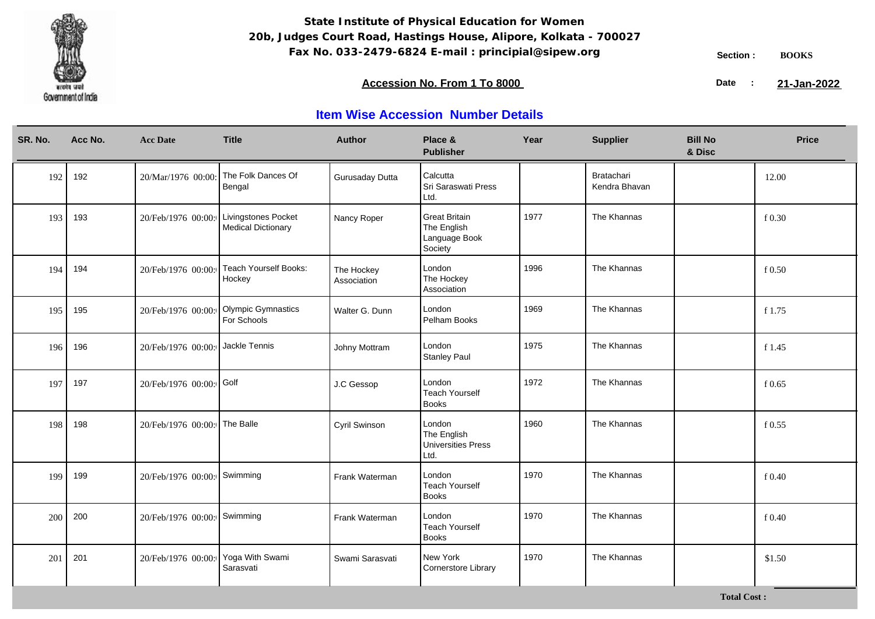

### **Accession No. From 1 To 8000 21-January 2008 21-January 2008 21-January 2008 21-January 2009**

21-Jan-2022

| SR. No. | Acc No. | <b>Acc Date</b>             | <b>Title</b>                                     | <b>Author</b>             | Place &<br><b>Publisher</b>                                     | Year | <b>Supplier</b>                    | <b>Bill No</b><br>& Disc | <b>Price</b> |
|---------|---------|-----------------------------|--------------------------------------------------|---------------------------|-----------------------------------------------------------------|------|------------------------------------|--------------------------|--------------|
| 192     | 192     | 20/Mar/1976 00:00:          | The Folk Dances Of<br>Bengal                     | Gurusaday Dutta           | Calcutta<br>Sri Saraswati Press<br>Ltd.                         |      | <b>Bratachari</b><br>Kendra Bhavan |                          | 12.00        |
| 193     | 193     | 20/Feb/1976 00:00:          | Livingstones Pocket<br><b>Medical Dictionary</b> | Nancy Roper               | <b>Great Britain</b><br>The English<br>Language Book<br>Society | 1977 | The Khannas                        |                          | f 0.30       |
| 194     | 194     | 20/Feb/1976 00:00:          | Teach Yourself Books:<br>Hockey                  | The Hockey<br>Association | London<br>The Hockey<br>Association                             | 1996 | The Khannas                        |                          | f0.50        |
| 195     | 195     | 20/Feb/1976 00:00:          | <b>Olympic Gymnastics</b><br>For Schools         | Walter G. Dunn            | London<br>Pelham Books                                          | 1969 | The Khannas                        |                          | f 1.75       |
| 196     | 196     | 20/Feb/1976 00:00:          | Jackle Tennis                                    | Johny Mottram             | London<br><b>Stanley Paul</b>                                   | 1975 | The Khannas                        |                          | f 1.45       |
| 197     | 197     | 20/Feb/1976 00:00: Golf     |                                                  | J.C Gessop                | London<br><b>Teach Yourself</b><br><b>Books</b>                 | 1972 | The Khannas                        |                          | f0.65        |
| 198     | 198     | 20/Feb/1976 00:00:          | The Balle                                        | Cyril Swinson             | London<br>The English<br>Universities Press<br>Ltd.             | 1960 | The Khannas                        |                          | $f$ 0.55     |
| 199     | 199     | 20/Feb/1976 00:00:          | Swimming                                         | Frank Waterman            | London<br><b>Teach Yourself</b><br><b>Books</b>                 | 1970 | The Khannas                        |                          | f0.40        |
| 200     | 200     | 20/Feb/1976 00:00: Swimming |                                                  | Frank Waterman            | London<br><b>Teach Yourself</b><br><b>Books</b>                 | 1970 | The Khannas                        |                          | f0.40        |
| 201     | 201     | 20/Feb/1976 00:00:          | Yoga With Swami<br>Sarasvati                     | Swami Sarasvati           | New York<br>Cornerstore Library                                 | 1970 | The Khannas                        |                          | \$1.50       |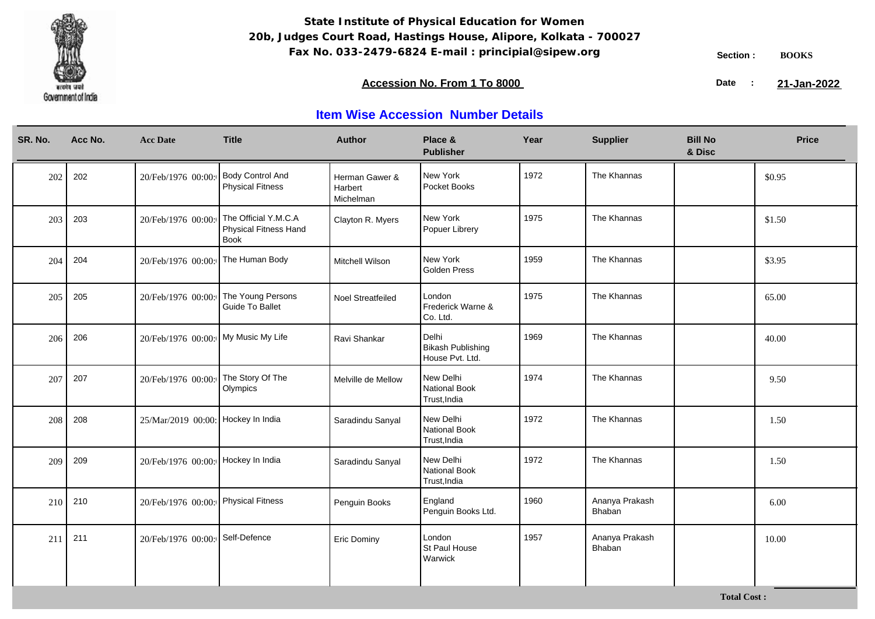

### **Accession No. From 1 To 8000 21-January 2008 21-January 2008 21-January 2008 21-January 2009**

21-Jan-2022

## **Item Wise Accession Number Details**

| SR. No. | Acc No. | <b>Acc Date</b>                     | <b>Title</b>                                          | <b>Author</b>                          | Place &<br><b>Publisher</b>                   | Year | <b>Supplier</b>          | <b>Bill No</b><br>& Disc | <b>Price</b> |
|---------|---------|-------------------------------------|-------------------------------------------------------|----------------------------------------|-----------------------------------------------|------|--------------------------|--------------------------|--------------|
| 202     | 202     | 20/Feb/1976 00:00:                  | <b>Body Control And</b><br><b>Physical Fitness</b>    | Herman Gawer &<br>Harbert<br>Michelman | New York<br>Pocket Books                      | 1972 | The Khannas              |                          | \$0.95       |
| 203     | 203     | 20/Feb/1976 00:00:                  | The Official Y.M.C.A<br>Physical Fitness Hand<br>Book | Clayton R. Myers                       | New York<br>Popuer Librery                    | 1975 | The Khannas              |                          | \$1.50       |
| 204     | 204     | 20/Feb/1976 00:00:                  | The Human Body                                        | Mitchell Wilson                        | New York<br>Golden Press                      | 1959 | The Khannas              |                          | \$3.95       |
| 205     | 205     | 20/Feb/1976 00:00:                  | The Young Persons<br>Guide To Ballet                  | Noel Streatfeiled                      | London<br>Frederick Warne &<br>Co. Ltd.       | 1975 | The Khannas              |                          | 65.00        |
| 206     | 206     | 20/Feb/1976 00:00: My Music My Life |                                                       | Ravi Shankar                           | Delhi<br>Bikash Publishing<br>House Pvt. Ltd. | 1969 | The Khannas              |                          | 40.00        |
| 207     | 207     | 20/Feb/1976 00:00:                  | The Story Of The<br>Olympics                          | Melville de Mellow                     | New Delhi<br>National Book<br>Trust, India    | 1974 | The Khannas              |                          | 9.50         |
| 208     | 208     | 25/Mar/2019 00:00: Hockey In India  |                                                       | Saradindu Sanyal                       | New Delhi<br>National Book<br>Trust, India    | 1972 | The Khannas              |                          | 1.50         |
| 209     | 209     | 20/Feb/1976 00:00: Hockey In India  |                                                       | Saradindu Sanyal                       | New Delhi<br>National Book<br>Trust, India    | 1972 | The Khannas              |                          | 1.50         |
| 210     | 210     | 20/Feb/1976 00:00:                  | Physical Fitness                                      | Penguin Books                          | England<br>Penguin Books Ltd.                 | 1960 | Ananya Prakash<br>Bhaban |                          | 6.00         |
| 211     | 211     | 20/Feb/1976 00:00:                  | Self-Defence                                          | Eric Dominy                            | London<br>St Paul House<br>Warwick            | 1957 | Ananya Prakash<br>Bhaban |                          | 10.00        |

**Total Cost :**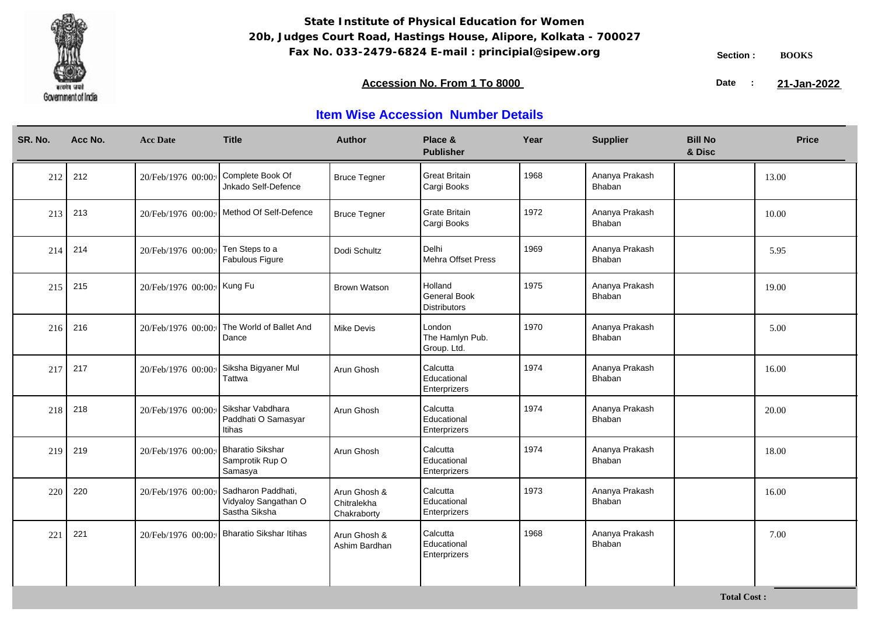

**Total Cost :**

### **Accession No. From 1 To 8000 21-January 2008 21-January 2008 21-January 2008 21-January 2009**

21-Jan-2022

| SR. No. | Acc No. | <b>Acc Date</b>            | <b>Title</b>                                                | <b>Author</b>                              | Place &<br><b>Publisher</b>                    | Year | <b>Supplier</b>          | <b>Bill No</b><br>& Disc | <b>Price</b> |
|---------|---------|----------------------------|-------------------------------------------------------------|--------------------------------------------|------------------------------------------------|------|--------------------------|--------------------------|--------------|
| 212     | 212     | 20/Feb/1976 00:00:         | Complete Book Of<br>Jnkado Self-Defence                     | <b>Bruce Tegner</b>                        | Great Britain<br>Cargi Books                   | 1968 | Ananya Prakash<br>Bhaban |                          | 13.00        |
| 213     | 213     | 20/Feb/1976 00:00:         | Method Of Self-Defence                                      | <b>Bruce Tegner</b>                        | Grate Britain<br>Cargi Books                   | 1972 | Ananya Prakash<br>Bhaban |                          | 10.00        |
| 214     | 214     | 20/Feb/1976 00:00:         | Ten Steps to a<br>Fabulous Figure                           | Dodi Schultz                               | Delhi<br>Mehra Offset Press                    | 1969 | Ananya Prakash<br>Bhaban |                          | 5.95         |
| 215     | 215     | 20/Feb/1976 00:00: Kung Fu |                                                             | <b>Brown Watson</b>                        | Holland<br>General Book<br><b>Distributors</b> | 1975 | Ananya Prakash<br>Bhaban |                          | 19.00        |
| 216     | 216     | 20/Feb/1976 00:00:         | The World of Ballet And<br>Dance                            | Mike Devis                                 | London<br>The Hamlyn Pub.<br>Group. Ltd.       | 1970 | Ananya Prakash<br>Bhaban |                          | 5.00         |
| 217     | 217     | 20/Feb/1976 00:00:         | Siksha Bigyaner Mul<br>Tattwa                               | Arun Ghosh                                 | Calcutta<br>Educational<br>Enterprizers        | 1974 | Ananya Prakash<br>Bhaban |                          | 16.00        |
| 218     | 218     | 20/Feb/1976 00:00:         | Sikshar Vabdhara<br>Paddhati O Samasyar<br>Itihas           | Arun Ghosh                                 | Calcutta<br>Educational<br>Enterprizers        | 1974 | Ananya Prakash<br>Bhaban |                          | 20.00        |
| 219     | 219     | 20/Feb/1976 00:00:         | <b>Bharatio Sikshar</b><br>Samprotik Rup O<br>Samasya       | Arun Ghosh                                 | Calcutta<br>Educational<br>Enterprizers        | 1974 | Ananya Prakash<br>Bhaban |                          | 18.00        |
| 220     | 220     | 20/Feb/1976 00:00:         | Sadharon Paddhati,<br>Vidyaloy Sangathan O<br>Sastha Siksha | Arun Ghosh &<br>Chitralekha<br>Chakraborty | Calcutta<br>Educational<br>Enterprizers        | 1973 | Ananya Prakash<br>Bhaban |                          | 16.00        |
| 221     | 221     | 20/Feb/1976 00:00:         | <b>Bharatio Sikshar Itihas</b>                              | Arun Ghosh &<br>Ashim Bardhan              | Calcutta<br>Educational<br>Enterprizers        | 1968 | Ananya Prakash<br>Bhaban |                          | 7.00         |
|         |         |                            |                                                             |                                            |                                                |      |                          |                          |              |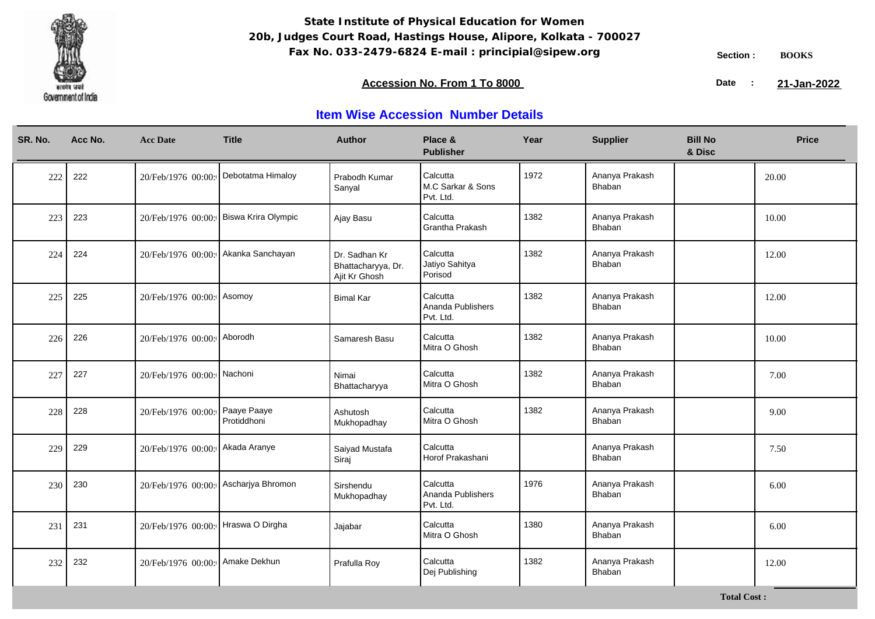

**Total Cost :**

### **Accession No. From 1 To 8000 21-January 2008 21-January 2008 21-January 2008 21-January 2009**

21-Jan-2022

| SR. No. | Acc No. | <b>Acc Date</b>                 | <b>Title</b>               | <b>Author</b>                                        | Place &<br><b>Publisher</b>                | Year | <b>Supplier</b>          | <b>Bill No</b><br>& Disc | <b>Price</b> |
|---------|---------|---------------------------------|----------------------------|------------------------------------------------------|--------------------------------------------|------|--------------------------|--------------------------|--------------|
| 222     | 222     | 20/Feb/1976 00:00:              | Debotatma Himaloy          | Prabodh Kumar<br>Sanyal                              | Calcutta<br>M.C Sarkar & Sons<br>Pvt. Ltd. | 1972 | Ananya Prakash<br>Bhaban |                          | 20.00        |
| 223     | 223     | 20/Feb/1976 00:00:              | Biswa Krira Olympic        | Ajay Basu                                            | Calcutta<br>Grantha Prakash                | 1382 | Ananya Prakash<br>Bhaban |                          | 10.00        |
| 224     | 224     | 20/Feb/1976 00:00:              | Akanka Sanchayan           | Dr. Sadhan Kr<br>Bhattacharyya, Dr.<br>Ajit Kr Ghosh | Calcutta<br>Jatiyo Sahitya<br>Porisod      | 1382 | Ananya Prakash<br>Bhaban |                          | 12.00        |
| 225     | 225     | 20/Feb/1976 00:00:              | Asomoy                     | <b>Bimal Kar</b>                                     | Calcutta<br>Ananda Publishers<br>Pvt. Ltd. | 1382 | Ananya Prakash<br>Bhaban |                          | 12.00        |
| 226     | 226     | 20/Feb/1976 00:00: Aborodh      |                            | Samaresh Basu                                        | Calcutta<br>Mitra O Ghosh                  | 1382 | Ananya Prakash<br>Bhaban |                          | 10.00        |
| 227     | 227     | 20/Feb/1976 00:00: Nachoni      |                            | Nimai<br>Bhattacharyya                               | Calcutta<br>Mitra O Ghosh                  | 1382 | Ananya Prakash<br>Bhaban |                          | 7.00         |
| 228     | 228     | 20/Feb/1976 00:00:              | Paaye Paaye<br>Protiddhoni | Ashutosh<br>Mukhopadhay                              | Calcutta<br>Mitra O Ghosh                  | 1382 | Ananya Prakash<br>Bhaban |                          | 9.00         |
| 229     | 229     | 20/Feb/1976 00:00: Akada Aranye |                            | Saiyad Mustafa<br>Siraj                              | Calcutta<br>Horof Prakashani               |      | Ananya Prakash<br>Bhaban |                          | 7.50         |
| 230     | 230     | 20/Feb/1976 00:00:              | Ascharjya Bhromon          | Sirshendu<br>Mukhopadhay                             | Calcutta<br>Ananda Publishers<br>Pvt. Ltd. | 1976 | Ananya Prakash<br>Bhaban |                          | 6.00         |
| 231     | 231     | 20/Feb/1976 00:00:              | Hraswa O Dirgha            | Jajabar                                              | Calcutta<br>Mitra O Ghosh                  | 1380 | Ananya Prakash<br>Bhaban |                          | 6.00         |
| 232     | 232     | 20/Feb/1976 00:00:              | Amake Dekhun               | Prafulla Roy                                         | Calcutta<br>Dej Publishing                 | 1382 | Ananya Prakash<br>Bhaban |                          | 12.00        |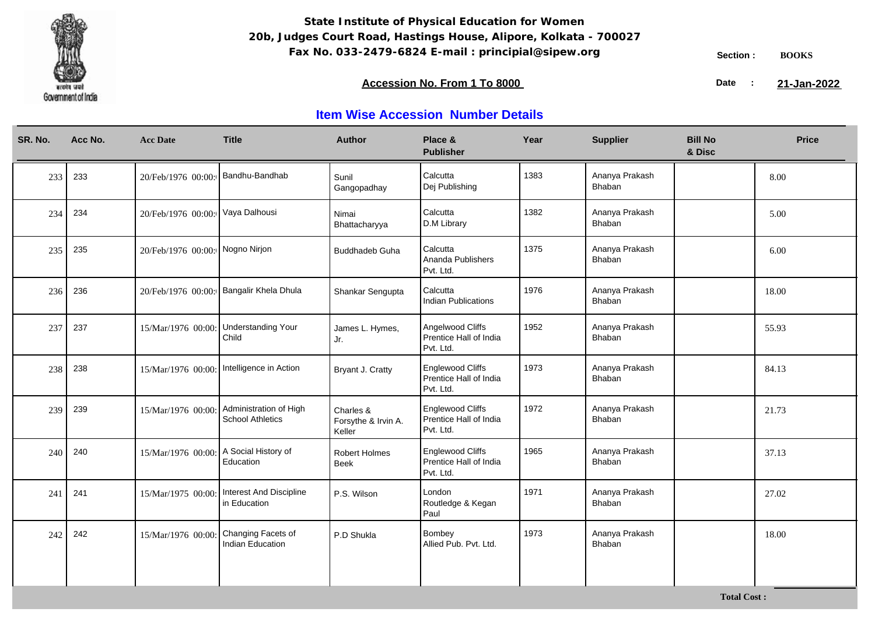

**Total Cost :**

### **Accession No. From 1 To 8000 21-January 2008 21-January 2008 21-January 2008 21-January 2009**

21-Jan-2022

| SR. No. | Acc No. | <b>Acc Date</b>                 | <b>Title</b>                                               | <b>Author</b>                              | Place &<br><b>Publisher</b>                                    | Year | <b>Supplier</b>          | <b>Bill No</b><br>& Disc | <b>Price</b> |
|---------|---------|---------------------------------|------------------------------------------------------------|--------------------------------------------|----------------------------------------------------------------|------|--------------------------|--------------------------|--------------|
| 233     | 233     | 20/Feb/1976 00:00:              | Bandhu-Bandhab                                             | Sunil<br>Gangopadhay                       | Calcutta<br>Dej Publishing                                     | 1383 | Ananya Prakash<br>Bhaban |                          | 8.00         |
| 234     | 234     | 20/Feb/1976 00:00:              | Vaya Dalhousi                                              | Nimai<br>Bhattacharyya                     | Calcutta<br>D.M Library                                        | 1382 | Ananya Prakash<br>Bhaban |                          | 5.00         |
| 235     | 235     | 20/Feb/1976 00:00: Nogno Nirjon |                                                            | <b>Buddhadeb Guha</b>                      | Calcutta<br>Ananda Publishers<br>Pvt. Ltd.                     | 1375 | Ananya Prakash<br>Bhaban |                          | 6.00         |
| 236     | 236     | 20/Feb/1976 00:00:              | Bangalir Khela Dhula                                       | Shankar Sengupta                           | Calcutta<br><b>Indian Publications</b>                         | 1976 | Ananya Prakash<br>Bhaban |                          | 18.00        |
| 237     | 237     | 15/Mar/1976 00:00:              | <b>Understanding Your</b><br>Child                         | James L. Hymes,<br>Jr.                     | Angelwood Cliffs<br>Prentice Hall of India<br>Pvt. Ltd.        | 1952 | Ananya Prakash<br>Bhaban |                          | 55.93        |
| 238     | 238     |                                 | 15/Mar/1976 00:00:   Intelligence in Action                | Bryant J. Cratty                           | <b>Englewood Cliffs</b><br>Prentice Hall of India<br>Pvt. Ltd. | 1973 | Ananya Prakash<br>Bhaban |                          | 84.13        |
| 239     | 239     | 15/Mar/1976 00:00:              | Administration of High<br><b>School Athletics</b>          | Charles &<br>Forsythe & Irvin A.<br>Keller | <b>Englewood Cliffs</b><br>Prentice Hall of India<br>Pvt. Ltd. | 1972 | Ananya Prakash<br>Bhaban |                          | 21.73        |
| 240     | 240     | 15/Mar/1976 00:00               | A Social History of<br>Education                           | <b>Robert Holmes</b><br><b>Beek</b>        | <b>Englewood Cliffs</b><br>Prentice Hall of India<br>Pvt. Ltd. | 1965 | Ananya Prakash<br>Bhaban |                          | 37.13        |
| 241     | 241     |                                 | 15/Mar/1975 00:00: Interest And Discipline<br>in Education | P.S. Wilson                                | London<br>Routledge & Kegan<br>Paul                            | 1971 | Ananya Prakash<br>Bhaban |                          | 27.02        |
| 242     | 242     | 15/Mar/1976 00:00:              | Changing Facets of<br>Indian Education                     | P.D Shukla                                 | Bombey<br>Allied Pub. Pvt. Ltd.                                | 1973 | Ananya Prakash<br>Bhaban |                          | 18.00        |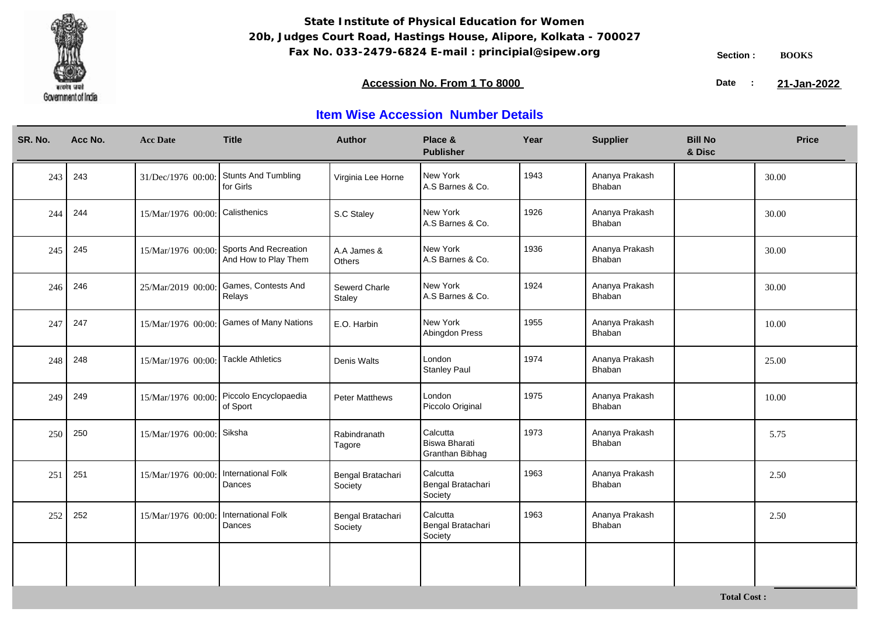

**Total Cost :**

### **Accession No. From 1 To 8000 21-January 2008 21-January 2008 21-January 2008 21-January 2009**

21-Jan-2022

| SR. No. | Acc No. | <b>Acc Date</b>    | <b>Title</b>                                  | <b>Author</b>                | Place &<br><b>Publisher</b>                  | Year | <b>Supplier</b>          | <b>Bill No</b><br>& Disc | <b>Price</b> |
|---------|---------|--------------------|-----------------------------------------------|------------------------------|----------------------------------------------|------|--------------------------|--------------------------|--------------|
| 243     | 243     | 31/Dec/1976 00:00: | Stunts And Tumbling<br>for Girls              | Virginia Lee Horne           | New York<br>A.S Barnes & Co.                 | 1943 | Ananya Prakash<br>Bhaban |                          | 30.00        |
| 244     | 244     | 15/Mar/1976 00:00: | Calisthenics                                  | S.C Staley                   | New York<br>A.S Barnes & Co.                 | 1926 | Ananya Prakash<br>Bhaban |                          | 30.00        |
| 245     | 245     | 15/Mar/1976 00:00: | Sports And Recreation<br>And How to Play Them | A.A James &<br>Others        | New York<br>A.S Barnes & Co.                 | 1936 | Ananya Prakash<br>Bhaban |                          | 30.00        |
| 246     | 246     | 25/Mar/2019 00:00: | Games, Contests And<br>Relays                 | Sewerd Charle<br>Staley      | New York<br>A.S Barnes & Co.                 | 1924 | Ananya Prakash<br>Bhaban |                          | 30.00        |
| 247     | 247     | 15/Mar/1976 00:00: | <b>Games of Many Nations</b>                  | E.O. Harbin                  | New York<br>Abingdon Press                   | 1955 | Ananya Prakash<br>Bhaban |                          | 10.00        |
| 248     | 248     | 15/Mar/1976 00:00: | <b>Tackle Athletics</b>                       | Denis Walts                  | London<br><b>Stanley Paul</b>                | 1974 | Ananya Prakash<br>Bhaban |                          | 25.00        |
| 249     | 249     | 15/Mar/1976 00:00: | Piccolo Encyclopaedia<br>of Sport             | <b>Peter Matthews</b>        | London<br>Piccolo Original                   | 1975 | Ananya Prakash<br>Bhaban |                          | 10.00        |
| 250     | 250     | 15/Mar/1976 00:00: | Siksha                                        | Rabindranath<br>Tagore       | Calcutta<br>Biswa Bharati<br>Granthan Bibhag | 1973 | Ananya Prakash<br>Bhaban |                          | 5.75         |
| 251     | 251     | 15/Mar/1976 00:00  | International Folk<br>Dances                  | Bengal Bratachari<br>Society | Calcutta<br>Bengal Bratachari<br>Society     | 1963 | Ananya Prakash<br>Bhaban |                          | 2.50         |
| 252     | 252     | 15/Mar/1976 00:00: | <b>International Folk</b><br>Dances           | Bengal Bratachari<br>Society | Calcutta<br>Bengal Bratachari<br>Society     | 1963 | Ananya Prakash<br>Bhaban |                          | 2.50         |
|         |         |                    |                                               |                              |                                              |      |                          |                          |              |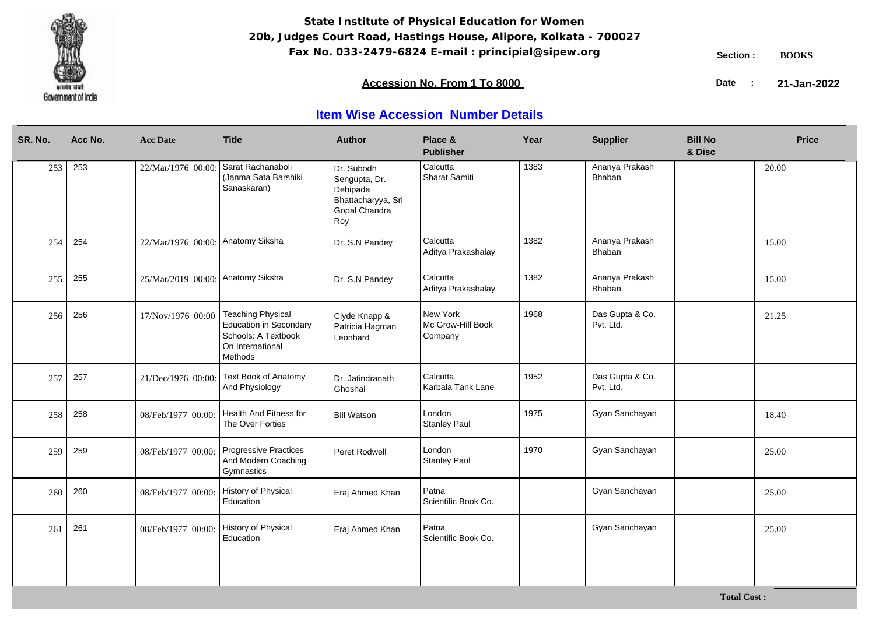

**Total Cost :**

### **Accession No. From 1 To 8000 21-January 2008 21-January 2008 21-January 2008 21-January 2009**

21-Jan-2022

| SR. No. | Acc No. | <b>Acc Date</b>                   | <b>Title</b>                                                                                                    | <b>Author</b>                                                                         | Place &<br><b>Publisher</b>              | Year | <b>Supplier</b>              | <b>Bill No</b><br>& Disc | <b>Price</b> |
|---------|---------|-----------------------------------|-----------------------------------------------------------------------------------------------------------------|---------------------------------------------------------------------------------------|------------------------------------------|------|------------------------------|--------------------------|--------------|
| 253     | 253     | 22/Mar/1976 00:00:                | Sarat Rachanaboli<br>(Janma Sata Barshiki<br>Sanaskaran)                                                        | Dr. Subodh<br>Sengupta, Dr.<br>Debipada<br>Bhattacharyya, Sri<br>Gopal Chandra<br>Roy | Calcutta<br>Sharat Samiti                | 1383 | Ananya Prakash<br>Bhaban     |                          | 20.00        |
| 254     | 254     | 22/Mar/1976 00:00: Anatomy Siksha |                                                                                                                 | Dr. S.N Pandey                                                                        | Calcutta<br>Aditya Prakashalay           | 1382 | Ananya Prakash<br>Bhaban     |                          | 15.00        |
| 255     | 255     | 25/Mar/2019 00:00: Anatomy Siksha |                                                                                                                 | Dr. S.N Pandey                                                                        | Calcutta<br>Aditya Prakashalay           | 1382 | Ananya Prakash<br>Bhaban     |                          | 15.00        |
| 256     | 256     | 17/Nov/1976 00:00                 | <b>Teaching Physical</b><br><b>Education in Secondary</b><br>Schools: A Textbook<br>On International<br>Methods | Clyde Knapp &<br>Patricia Hagman<br>Leonhard                                          | New York<br>Mc Grow-Hill Book<br>Company | 1968 | Das Gupta & Co.<br>Pvt. Ltd. |                          | 21.25        |
| 257     | 257     | 21/Dec/1976 00:00:                | Text Book of Anatomy<br>And Physiology                                                                          | Dr. Jatindranath<br>Ghoshal                                                           | Calcutta<br>Karbala Tank Lane            | 1952 | Das Gupta & Co.<br>Pvt. Ltd. |                          |              |
| 258     | 258     | 08/Feb/1977 00:00:                | <b>Health And Fitness for</b><br>The Over Forties                                                               | <b>Bill Watson</b>                                                                    | London<br><b>Stanley Paul</b>            | 1975 | Gyan Sanchayan               |                          | 18.40        |
| 259     | 259     | 08/Feb/1977 00:00:                | <b>Progressive Practices</b><br>And Modern Coaching<br>Gymnastics                                               | Peret Rodwell                                                                         | London<br><b>Stanley Paul</b>            | 1970 | Gyan Sanchayan               |                          | 25.00        |
| 260     | 260     | 08/Feb/1977 00:00:                | History of Physical<br>Education                                                                                | Eraj Ahmed Khan                                                                       | Patna<br>Scientific Book Co.             |      | Gyan Sanchayan               |                          | 25.00        |
| 261     | 261     | 08/Feb/1977 00:00:                | History of Physical<br>Education                                                                                | Eraj Ahmed Khan                                                                       | Patna<br>Scientific Book Co.             |      | Gyan Sanchayan               |                          | 25.00        |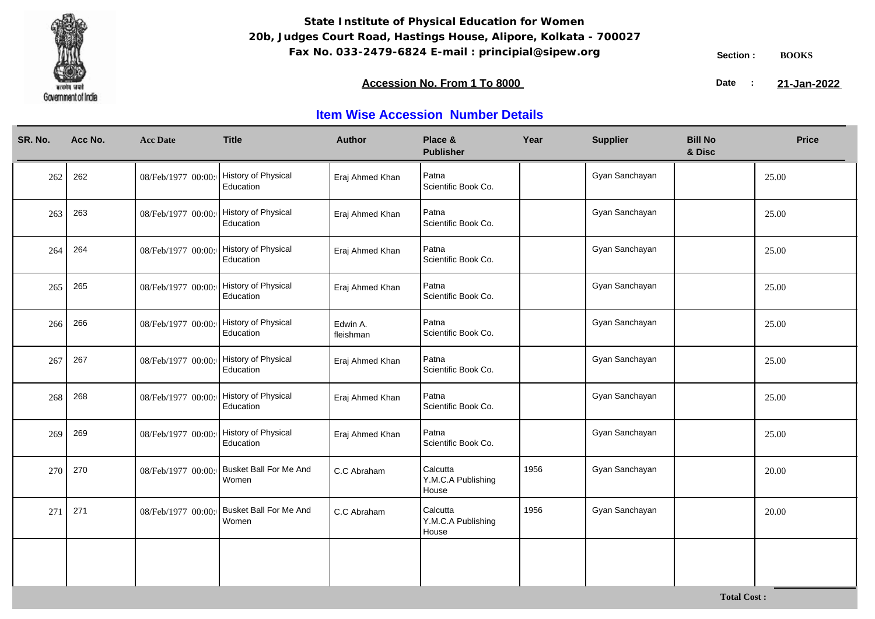

**Total Cost :**

### **Accession No. From 1 To 8000 21-January 2008 21-January 2008 21-January 2008 21-January 2009**

21-Jan-2022

| SR. No. | Acc No. | <b>Acc Date</b>    | <b>Title</b>                           | <b>Author</b>         | Place &<br><b>Publisher</b>             | Year | <b>Supplier</b> | <b>Bill No</b><br>& Disc | <b>Price</b> |
|---------|---------|--------------------|----------------------------------------|-----------------------|-----------------------------------------|------|-----------------|--------------------------|--------------|
| 262     | 262     | 08/Feb/1977 00:00: | History of Physical<br>Education       | Eraj Ahmed Khan       | Patna<br>Scientific Book Co.            |      | Gyan Sanchayan  |                          | 25.00        |
| 263     | 263     | 08/Feb/1977 00:00: | History of Physical<br>Education       | Eraj Ahmed Khan       | Patna<br>Scientific Book Co.            |      | Gyan Sanchayan  |                          | 25.00        |
| 264     | 264     | 08/Feb/1977 00:00: | History of Physical<br>Education       | Eraj Ahmed Khan       | Patna<br>Scientific Book Co.            |      | Gyan Sanchayan  |                          | 25.00        |
| 265     | 265     | 08/Feb/1977 00:00: | History of Physical<br>Education       | Eraj Ahmed Khan       | Patna<br>Scientific Book Co.            |      | Gyan Sanchayan  |                          | 25.00        |
| 266     | 266     | 08/Feb/1977 00:00: | History of Physical<br>Education       | Edwin A.<br>fleishman | Patna<br>Scientific Book Co.            |      | Gyan Sanchayan  |                          | 25.00        |
| 267     | 267     | 08/Feb/1977 00:00: | History of Physical<br>Education       | Eraj Ahmed Khan       | Patna<br>Scientific Book Co.            |      | Gyan Sanchayan  |                          | 25.00        |
| 268     | 268     | 08/Feb/1977 00:00: | History of Physical<br>Education       | Eraj Ahmed Khan       | Patna<br>Scientific Book Co.            |      | Gyan Sanchayan  |                          | 25.00        |
| 269     | 269     | 08/Feb/1977 00:00: | History of Physical<br>Education       | Eraj Ahmed Khan       | Patna<br>Scientific Book Co.            |      | Gyan Sanchayan  |                          | 25.00        |
| 270     | 270     | 08/Feb/1977 00:00: | <b>Busket Ball For Me And</b><br>Women | C.C Abraham           | Calcutta<br>Y.M.C.A Publishing<br>House | 1956 | Gyan Sanchayan  |                          | 20.00        |
| 271     | 271     | 08/Feb/1977 00:00: | <b>Busket Ball For Me And</b><br>Women | C.C Abraham           | Calcutta<br>Y.M.C.A Publishing<br>House | 1956 | Gyan Sanchayan  |                          | 20.00        |
|         |         |                    |                                        |                       |                                         |      |                 |                          |              |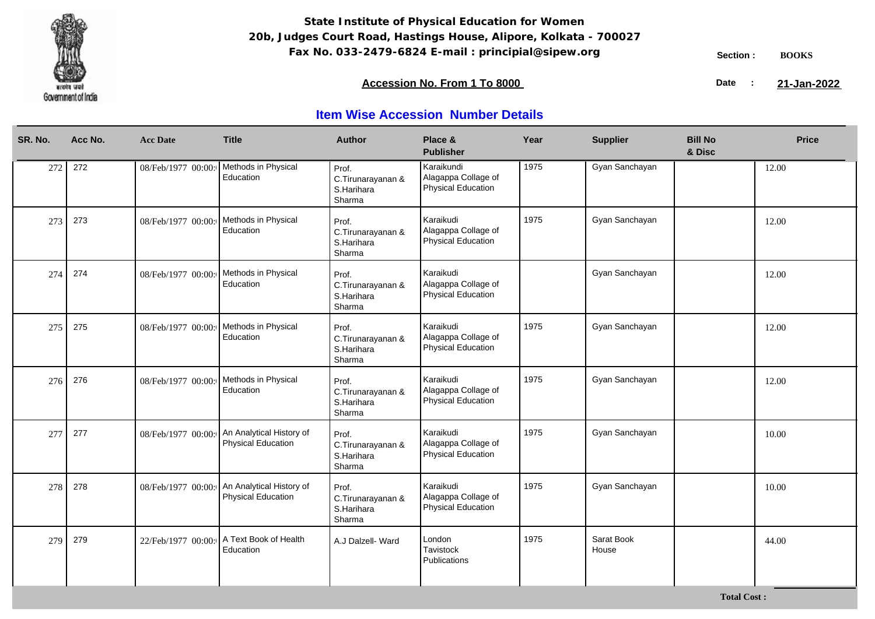

### **Accession No. From 1 To 8000 21-January 2008 21-January 2008 21-January 2008 21-January 2009**

21-Jan-2022

| SR. No. | Acc No. | <b>Acc Date</b>    | <b>Title</b>                                          | <b>Author</b>                                      | Place &<br><b>Publisher</b>                                    | Year | <b>Supplier</b>     | <b>Bill No</b><br>& Disc | <b>Price</b> |
|---------|---------|--------------------|-------------------------------------------------------|----------------------------------------------------|----------------------------------------------------------------|------|---------------------|--------------------------|--------------|
| 272     | 272     | 08/Feb/1977 00:00: | Methods in Physical<br>Education                      | Prof.<br>C.Tirunarayanan &<br>S.Harihara<br>Sharma | Karaikundi<br>Alagappa Collage of<br><b>Physical Education</b> | 1975 | Gyan Sanchayan      |                          | 12.00        |
| 273     | 273     | 08/Feb/1977 00:00: | Methods in Physical<br>Education                      | Prof.<br>C.Tirunarayanan &<br>S.Harihara<br>Sharma | Karaikudi<br>Alagappa Collage of<br><b>Physical Education</b>  | 1975 | Gyan Sanchayan      |                          | 12.00        |
| 274     | 274     | 08/Feb/1977 00:00: | Methods in Physical<br>Education                      | Prof.<br>C.Tirunarayanan &<br>S.Harihara<br>Sharma | Karaikudi<br>Alagappa Collage of<br><b>Physical Education</b>  |      | Gyan Sanchayan      |                          | 12.00        |
| 275     | 275     | 08/Feb/1977 00:00: | Methods in Physical<br>Education                      | Prof.<br>C.Tirunarayanan &<br>S.Harihara<br>Sharma | Karaikudi<br>Alagappa Collage of<br><b>Physical Education</b>  | 1975 | Gyan Sanchayan      |                          | 12.00        |
| 276     | 276     | 08/Feb/1977 00:00: | Methods in Physical<br>Education                      | Prof.<br>C.Tirunarayanan &<br>S.Harihara<br>Sharma | Karaikudi<br>Alagappa Collage of<br>Physical Education         | 1975 | Gyan Sanchayan      |                          | 12.00        |
| 277     | 277     | 08/Feb/1977 00:00: | An Analytical History of<br><b>Physical Education</b> | Prof.<br>C.Tirunarayanan &<br>S.Harihara<br>Sharma | Karaikudi<br>Alagappa Collage of<br><b>Physical Education</b>  | 1975 | Gyan Sanchayan      |                          | 10.00        |
| 278     | 278     | 08/Feb/1977 00:00: | An Analytical History of<br><b>Physical Education</b> | Prof.<br>C.Tirunarayanan &<br>S.Harihara<br>Sharma | Karaikudi<br>Alagappa Collage of<br><b>Physical Education</b>  | 1975 | Gyan Sanchayan      |                          | 10.00        |
| 279     | 279     | 22/Feb/1977 00:00: | A Text Book of Health<br>Education                    | A.J Dalzell- Ward                                  | London<br>Tavistock<br>Publications                            | 1975 | Sarat Book<br>House |                          | 44.00        |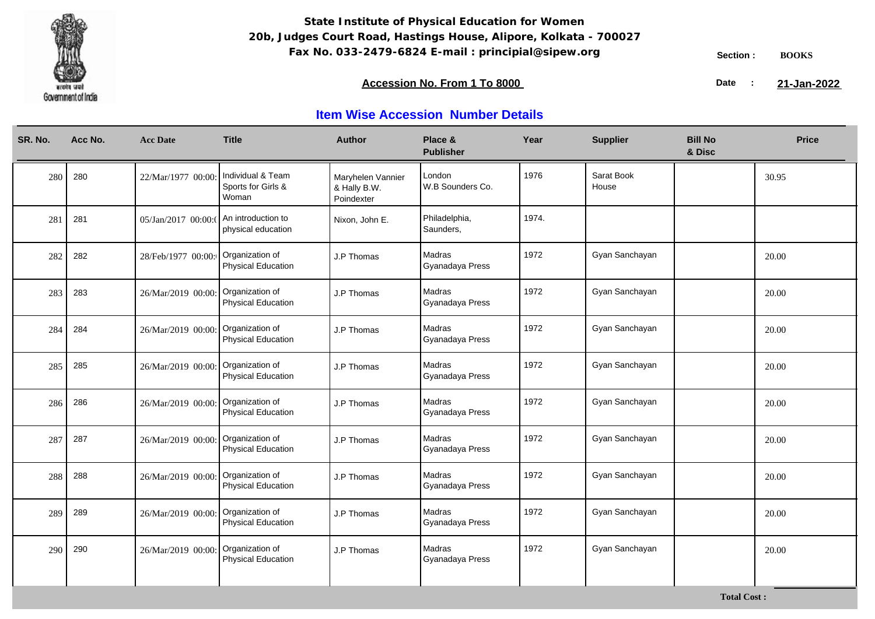

### **Accession No. From 1 To 8000 21-January 2008 21-January 2008 21-January 2008 21-January 2009**

21-Jan-2022

| SR. No. | Acc No. | <b>Acc Date</b>     | <b>Title</b>                                     | <b>Author</b>                                   | Place &<br><b>Publisher</b> | Year  | <b>Supplier</b>     | <b>Bill No</b><br>& Disc | <b>Price</b> |
|---------|---------|---------------------|--------------------------------------------------|-------------------------------------------------|-----------------------------|-------|---------------------|--------------------------|--------------|
| 280     | 280     | 22/Mar/1977 00:00   | Individual & Team<br>Sports for Girls &<br>Woman | Maryhelen Vannier<br>& Hally B.W.<br>Poindexter | London<br>W.B Sounders Co.  | 1976  | Sarat Book<br>House |                          | 30.95        |
| 281     | 281     | 05/Jan/2017 00:00:0 | An introduction to<br>physical education         | Nixon, John E.                                  | Philadelphia,<br>Saunders,  | 1974. |                     |                          |              |
| 282     | 282     | 28/Feb/1977 00:00:  | Organization of<br>Physical Education            | J.P Thomas                                      | Madras<br>Gyanadaya Press   | 1972  | Gyan Sanchayan      |                          | 20.00        |
| 283     | 283     | 26/Mar/2019 00:00:  | Organization of<br>Physical Education            | J.P Thomas                                      | Madras<br>Gyanadaya Press   | 1972  | Gyan Sanchayan      |                          | 20.00        |
| 284     | 284     | 26/Mar/2019 00:00:  | Organization of<br><b>Physical Education</b>     | J.P Thomas                                      | Madras<br>Gyanadaya Press   | 1972  | Gyan Sanchayan      |                          | 20.00        |
| 285     | 285     | 26/Mar/2019 00:00   | Organization of<br>Physical Education            | J.P Thomas                                      | Madras<br>Gyanadaya Press   | 1972  | Gyan Sanchayan      |                          | 20.00        |
| 286     | 286     | 26/Mar/2019 00:00   | Organization of<br>Physical Education            | J.P Thomas                                      | Madras<br>Gyanadaya Press   | 1972  | Gyan Sanchayan      |                          | 20.00        |
| 287     | 287     | 26/Mar/2019 00:00   | Organization of<br>Physical Education            | J.P Thomas                                      | Madras<br>Gyanadaya Press   | 1972  | Gyan Sanchayan      |                          | 20.00        |
| 288     | 288     | 26/Mar/2019 00:00   | Organization of<br>Physical Education            | J.P Thomas                                      | Madras<br>Gyanadaya Press   | 1972  | Gyan Sanchayan      |                          | 20.00        |
| 289     | 289     | 26/Mar/2019 00:00   | Organization of<br><b>Physical Education</b>     | J.P Thomas                                      | Madras<br>Gyanadaya Press   | 1972  | Gyan Sanchayan      |                          | 20.00        |
| 290     | 290     | 26/Mar/2019 00:00   | Organization of<br><b>Physical Education</b>     | J.P Thomas                                      | Madras<br>Gyanadaya Press   | 1972  | Gyan Sanchayan      |                          | 20.00        |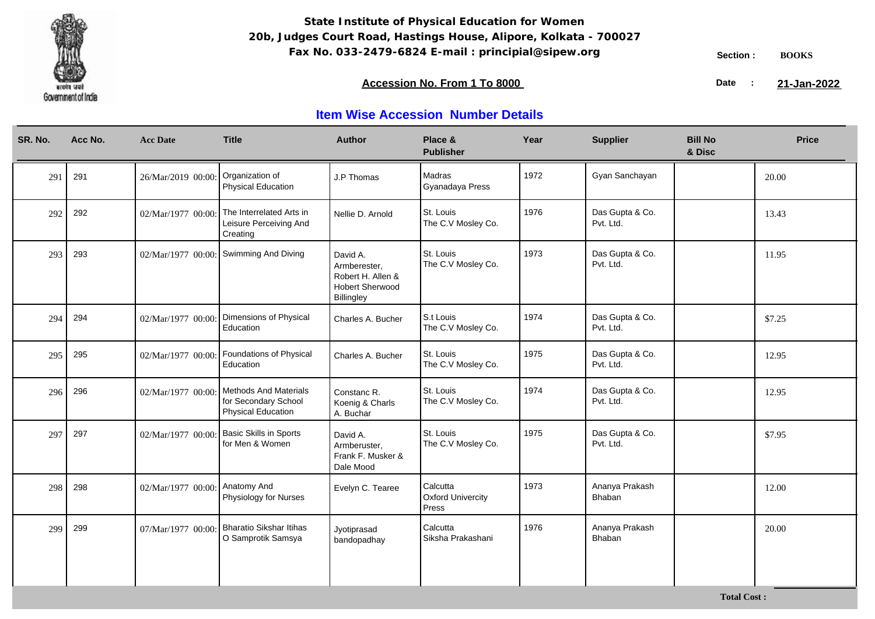

### **Accession No. From 1 To 8000 21-January 2008 21-January 2008 21-January 2008 21-January 2009**

21-Jan-2022

| SR. No. | Acc No. | <b>Acc Date</b>    | <b>Title</b>                                                                      | <b>Author</b>                                                                         | Place &<br><b>Publisher</b>                   | Year | <b>Supplier</b>              | <b>Bill No</b><br>& Disc | <b>Price</b> |
|---------|---------|--------------------|-----------------------------------------------------------------------------------|---------------------------------------------------------------------------------------|-----------------------------------------------|------|------------------------------|--------------------------|--------------|
| 291     | 291     | 26/Mar/2019 00:00  | Organization of<br>Physical Education                                             | J.P Thomas                                                                            | Madras<br>Gyanadaya Press                     | 1972 | Gyan Sanchayan               |                          | 20.00        |
| 292     | 292     | 02/Mar/1977 00:00  | The Interrelated Arts in<br>Leisure Perceiving And<br>Creating                    | Nellie D. Arnold                                                                      | St. Louis<br>The C.V Mosley Co.               | 1976 | Das Gupta & Co.<br>Pvt. Ltd. |                          | 13.43        |
| 293     | 293     | 02/Mar/1977 00:00  | Swimming And Diving                                                               | David A.<br>Armberester,<br>Robert H. Allen &<br><b>Hobert Sherwood</b><br>Billingley | St. Louis<br>The C.V Mosley Co.               | 1973 | Das Gupta & Co.<br>Pvt. Ltd. |                          | 11.95        |
| 294     | 294     | 02/Mar/1977 00:00  | Dimensions of Physical<br>Education                                               | Charles A. Bucher                                                                     | S.t Louis<br>The C.V Mosley Co.               | 1974 | Das Gupta & Co.<br>Pvt. Ltd. |                          | \$7.25       |
| 295     | 295     | 02/Mar/1977 00:00  | Foundations of Physical<br>Education                                              | Charles A. Bucher                                                                     | St. Louis<br>The C.V Mosley Co.               | 1975 | Das Gupta & Co.<br>Pvt. Ltd. |                          | 12.95        |
| 296     | 296     | 02/Mar/1977 00:00  | <b>Methods And Materials</b><br>for Secondary School<br><b>Physical Education</b> | Constanc R.<br>Koenig & Charls<br>A. Buchar                                           | St. Louis<br>The C.V Mosley Co.               | 1974 | Das Gupta & Co.<br>Pvt. Ltd. |                          | 12.95        |
| 297     | 297     | 02/Mar/1977 00:00  | <b>Basic Skills in Sports</b><br>for Men & Women                                  | David A.<br>Armberuster,<br>Frank F. Musker &<br>Dale Mood                            | St. Louis<br>The C.V Mosley Co.               | 1975 | Das Gupta & Co.<br>Pvt. Ltd. |                          | \$7.95       |
| 298     | 298     | 02/Mar/1977 00:00: | Anatomy And<br>Physiology for Nurses                                              | Evelyn C. Tearee                                                                      | Calcutta<br><b>Oxford Univercity</b><br>Press | 1973 | Ananya Prakash<br>Bhaban     |                          | 12.00        |
| 299     | 299     | 07/Mar/1977 00:00  | <b>Bharatio Sikshar Itihas</b><br>O Samprotik Samsya                              | Jyotiprasad<br>bandopadhay                                                            | Calcutta<br>Siksha Prakashani                 | 1976 | Ananya Prakash<br>Bhaban     |                          | 20.00        |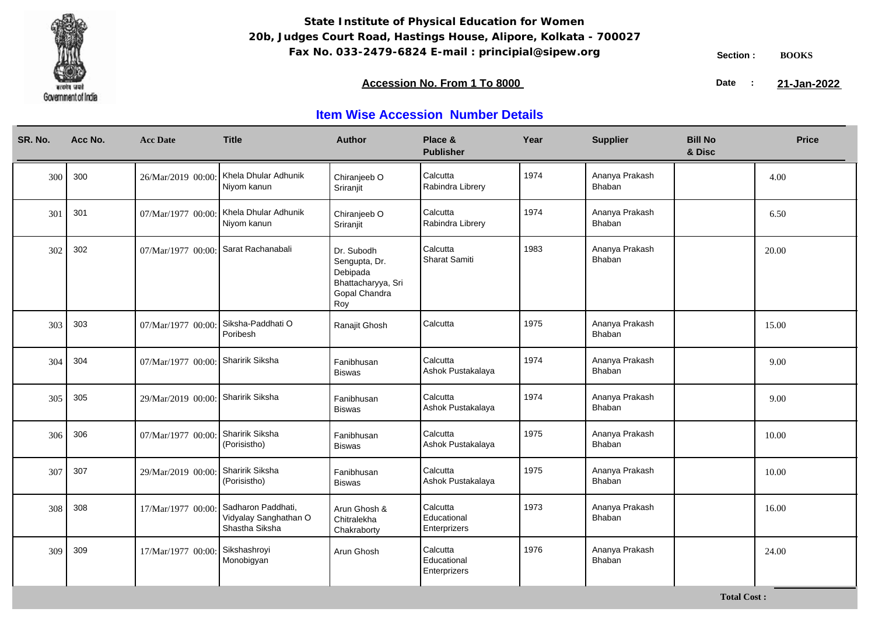

**Total Cost :**

### **Accession No. From 1 To 8000 21-January 2008 21-January 2008 21-January 2008 21-January 2009**

21-Jan-2022

| SR. No. | Acc No. | <b>Acc Date</b>    | <b>Title</b>                                                  | <b>Author</b>                                                                         | Place &<br><b>Publisher</b>             | Year | <b>Supplier</b>                 | <b>Bill No</b><br>& Disc | <b>Price</b> |
|---------|---------|--------------------|---------------------------------------------------------------|---------------------------------------------------------------------------------------|-----------------------------------------|------|---------------------------------|--------------------------|--------------|
| 300     | 300     | 26/Mar/2019 00:00  | Khela Dhular Adhunik<br>Niyom kanun                           | Chiranjeeb O<br>Sriranjit                                                             | Calcutta<br>Rabindra Librery            | 1974 | Ananya Prakash<br>Bhaban        |                          | 4.00         |
| 301     | 301     | 07/Mar/1977 00:00: | Khela Dhular Adhunik<br>Niyom kanun                           | Chiranjeeb O<br>Sriranjit                                                             | Calcutta<br>Rabindra Librery            | 1974 | Ananya Prakash<br>Bhaban        |                          | 6.50         |
| 302     | 302     | 07/Mar/1977 00:00: | Sarat Rachanabali                                             | Dr. Subodh<br>Sengupta, Dr.<br>Debipada<br>Bhattacharyya, Sri<br>Gopal Chandra<br>Roy | Calcutta<br>Sharat Samiti               | 1983 | Ananya Prakash<br><b>Bhaban</b> |                          | 20.00        |
| 303     | 303     | 07/Mar/1977 00:00  | Siksha-Paddhati O<br>Poribesh                                 | Ranajit Ghosh                                                                         | Calcutta                                | 1975 | Ananya Prakash<br>Bhaban        |                          | 15.00        |
| 304     | 304     | 07/Mar/1977 00:00: | Sharirik Siksha                                               | Fanibhusan<br><b>Biswas</b>                                                           | Calcutta<br>Ashok Pustakalaya           | 1974 | Ananya Prakash<br>Bhaban        |                          | 9.00         |
| 305     | 305     | 29/Mar/2019 00:00: | Sharirik Siksha                                               | Fanibhusan<br><b>Biswas</b>                                                           | Calcutta<br>Ashok Pustakalaya           | 1974 | Ananya Prakash<br>Bhaban        |                          | 9.00         |
| 306     | 306     | 07/Mar/1977 00:00  | Sharirik Siksha<br>(Porisistho)                               | Fanibhusan<br><b>Biswas</b>                                                           | Calcutta<br>Ashok Pustakalaya           | 1975 | Ananya Prakash<br>Bhaban        |                          | 10.00        |
| 307     | 307     | 29/Mar/2019 00:00  | Sharirik Siksha<br>(Porisistho)                               | Fanibhusan<br><b>Biswas</b>                                                           | Calcutta<br>Ashok Pustakalaya           | 1975 | Ananya Prakash<br><b>Bhaban</b> |                          | 10.00        |
| 308     | 308     | 17/Mar/1977 00:00  | Sadharon Paddhati,<br>Vidyalay Sanghathan O<br>Shastha Siksha | Arun Ghosh &<br>Chitralekha<br>Chakraborty                                            | Calcutta<br>Educational<br>Enterprizers | 1973 | Ananya Prakash<br>Bhaban        |                          | 16.00        |
| 309     | 309     | 17/Mar/1977 00:00  | Sikshashroyi<br>Monobigyan                                    | Arun Ghosh                                                                            | Calcutta<br>Educational<br>Enterprizers | 1976 | Ananya Prakash<br>Bhaban        |                          | 24.00        |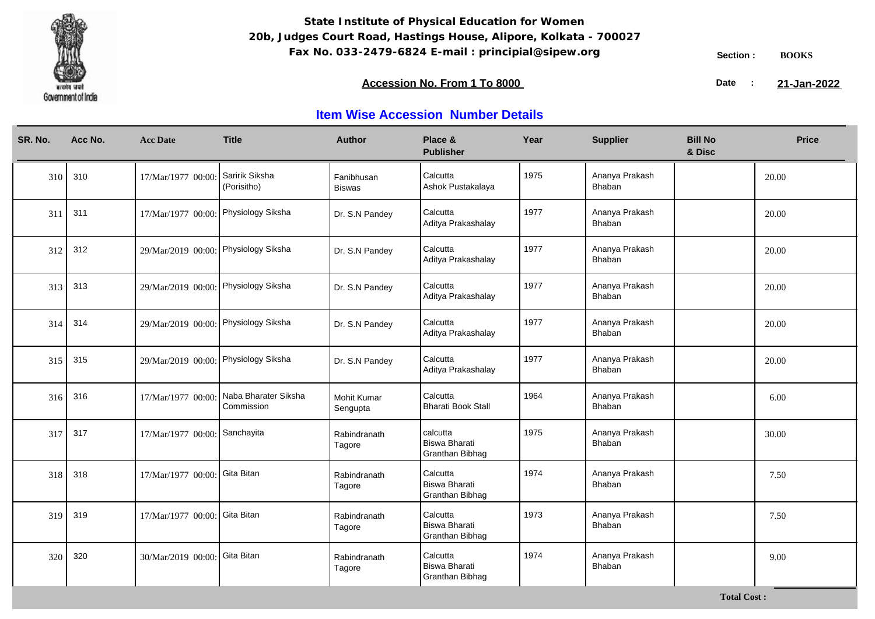

### **Accession No. From 1 To 8000 21-January 2008 21-January 2008 21-January 2008 21-January 2009**

21-Jan-2022

| SR. No. | Acc No. | <b>Acc Date</b>                      | <b>Title</b>                       | <b>Author</b>                  | Place &<br><b>Publisher</b>                    | Year | <b>Supplier</b>          | <b>Bill No</b><br>& Disc | <b>Price</b> |
|---------|---------|--------------------------------------|------------------------------------|--------------------------------|------------------------------------------------|------|--------------------------|--------------------------|--------------|
| 310     | 310     | 17/Mar/1977 00:00                    | Saririk Siksha<br>(Porisitho)      | Fanibhusan<br><b>Biswas</b>    | Calcutta<br>Ashok Pustakalaya                  | 1975 | Ananya Prakash<br>Bhaban |                          | 20.00        |
| 311     | 311     | 17/Mar/1977 00:00: Physiology Siksha |                                    | Dr. S.N Pandey                 | Calcutta<br>Aditya Prakashalay                 | 1977 | Ananya Prakash<br>Bhaban |                          | 20.00        |
| 312     | 312     | 29/Mar/2019 00:00: Physiology Siksha |                                    | Dr. S.N Pandey                 | Calcutta<br>Aditya Prakashalay                 | 1977 | Ananya Prakash<br>Bhaban |                          | 20.00        |
| 313     | 313     | 29/Mar/2019 00:00: Physiology Siksha |                                    | Dr. S.N Pandey                 | Calcutta<br>Aditya Prakashalay                 | 1977 | Ananya Prakash<br>Bhaban |                          | 20.00        |
| 314     | 314     | 29/Mar/2019 00:00: Physiology Siksha |                                    | Dr. S.N Pandey                 | Calcutta<br>Aditya Prakashalay                 | 1977 | Ananya Prakash<br>Bhaban |                          | 20.00        |
| 315     | 315     | 29/Mar/2019 00:00: Physiology Siksha |                                    | Dr. S.N Pandey                 | Calcutta<br>Aditya Prakashalay                 | 1977 | Ananya Prakash<br>Bhaban |                          | 20.00        |
| 316     | 316     | 17/Mar/1977 00:00:                   | Naba Bharater Siksha<br>Commission | <b>Mohit Kumar</b><br>Sengupta | Calcutta<br><b>Bharati Book Stall</b>          | 1964 | Ananya Prakash<br>Bhaban |                          | 6.00         |
| 317     | 317     | 17/Mar/1977 00:00: Sanchayita        |                                    | Rabindranath<br>Tagore         | l calcutta<br>Biswa Bharati<br>Granthan Bibhag | 1975 | Ananya Prakash<br>Bhaban |                          | 30.00        |
| 318     | 318     | 17/Mar/1977 00:00: Gita Bitan        |                                    | Rabindranath<br>Tagore         | Calcutta<br>Biswa Bharati<br>Granthan Bibhag   | 1974 | Ananya Prakash<br>Bhaban |                          | 7.50         |
| 319     | 319     | 17/Mar/1977 00:00: Gita Bitan        |                                    | Rabindranath<br>Tagore         | Calcutta<br>Biswa Bharati<br>Granthan Bibhag   | 1973 | Ananya Prakash<br>Bhaban |                          | 7.50         |
| 320     | 320     | 30/Mar/2019 00:00: Gita Bitan        |                                    | Rabindranath<br>Tagore         | Calcutta<br>Biswa Bharati<br>Granthan Bibhag   | 1974 | Ananya Prakash<br>Bhaban |                          | 9.00         |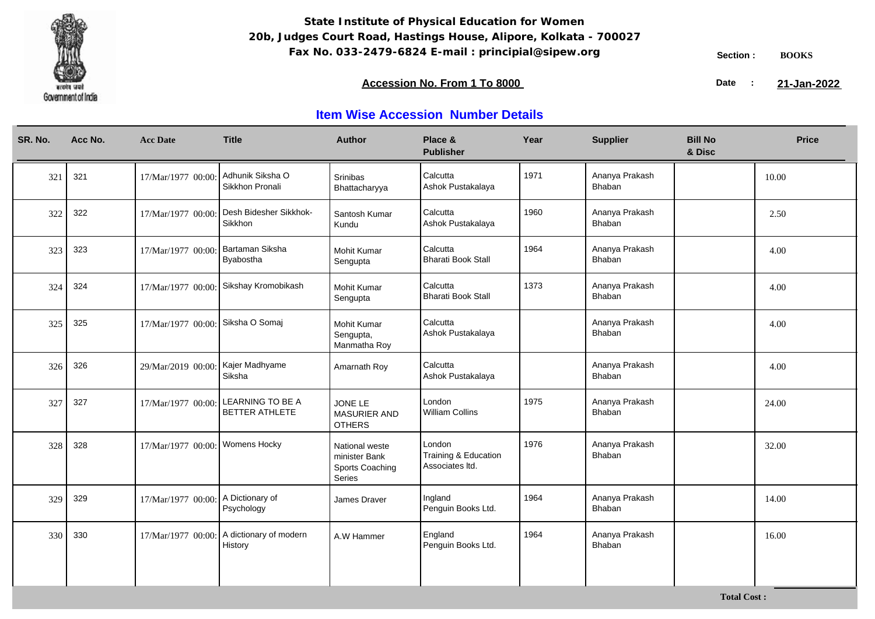

### **Accession No. From 1 To 8000 21-January 2008 21-January 2008 21-January 2008 21-January 2009**

21-Jan-2022

## **Item Wise Accession Number Details**

| SR. No. | Acc No. | <b>Acc Date</b>                   | <b>Title</b>                              | <b>Author</b>                                                | Place &<br><b>Publisher</b>                       | Year | <b>Supplier</b>                 | <b>Bill No</b><br>& Disc | <b>Price</b> |
|---------|---------|-----------------------------------|-------------------------------------------|--------------------------------------------------------------|---------------------------------------------------|------|---------------------------------|--------------------------|--------------|
| 321     | 321     | 17/Mar/1977 00:00                 | Adhunik Siksha O<br>Sikkhon Pronali       | Srinibas<br>Bhattacharyya                                    | Calcutta<br>Ashok Pustakalaya                     | 1971 | Ananya Prakash<br>Bhaban        |                          | 10.00        |
| 322     | 322     | 17/Mar/1977 00:00:                | Desh Bidesher Sikkhok-<br>Sikkhon         | Santosh Kumar<br>Kundu                                       | Calcutta<br>Ashok Pustakalaya                     | 1960 | Ananya Prakash<br>Bhaban        |                          | 2.50         |
| 323     | 323     | 17/Mar/1977 00:00:                | Bartaman Siksha<br>Byabostha              | <b>Mohit Kumar</b><br>Sengupta                               | Calcutta<br><b>Bharati Book Stall</b>             | 1964 | Ananya Prakash<br>Bhaban        |                          | 4.00         |
| 324     | 324     | 17/Mar/1977 00:00:                | Sikshay Kromobikash                       | <b>Mohit Kumar</b><br>Sengupta                               | Calcutta<br><b>Bharati Book Stall</b>             | 1373 | Ananya Prakash<br><b>Bhaban</b> |                          | 4.00         |
| 325     | 325     | 17/Mar/1977 00:00: Siksha O Somaj |                                           | Mohit Kumar<br>Sengupta,<br>Manmatha Roy                     | Calcutta<br>Ashok Pustakalaya                     |      | Ananya Prakash<br>Bhaban        |                          | 4.00         |
| 326     | 326     | 29/Mar/2019 00:00                 | Kajer Madhyame<br>Siksha                  | Amarnath Roy                                                 | Calcutta<br>Ashok Pustakalaya                     |      | Ananya Prakash<br>Bhaban        |                          | 4.00         |
| 327     | 327     | 17/Mar/1977 00:00                 | <b>LEARNING TO BE A</b><br>BETTER ATHLETE | JONE LE<br><b>MASURIER AND</b><br><b>OTHERS</b>              | London<br><b>William Collins</b>                  | 1975 | Ananya Prakash<br>Bhaban        |                          | 24.00        |
| 328     | 328     | 17/Mar/1977 00:00:                | Womens Hocky                              | National weste<br>minister Bank<br>Sports Coaching<br>Series | London<br>Training & Education<br>Associates Itd. | 1976 | Ananya Prakash<br>Bhaban        |                          | 32.00        |
| 329     | 329     | 17/Mar/1977 00:00:                | A Dictionary of<br>Psychology             | James Draver                                                 | Ingland<br>Penguin Books Ltd.                     | 1964 | Ananya Prakash<br>Bhaban        |                          | 14.00        |
| 330     | 330     | 17/Mar/1977 00:00:                | A dictionary of modern<br>History         | A.W Hammer                                                   | England<br>Penguin Books Ltd.                     | 1964 | Ananya Prakash<br>Bhaban        |                          | 16.00        |

**Total Cost :**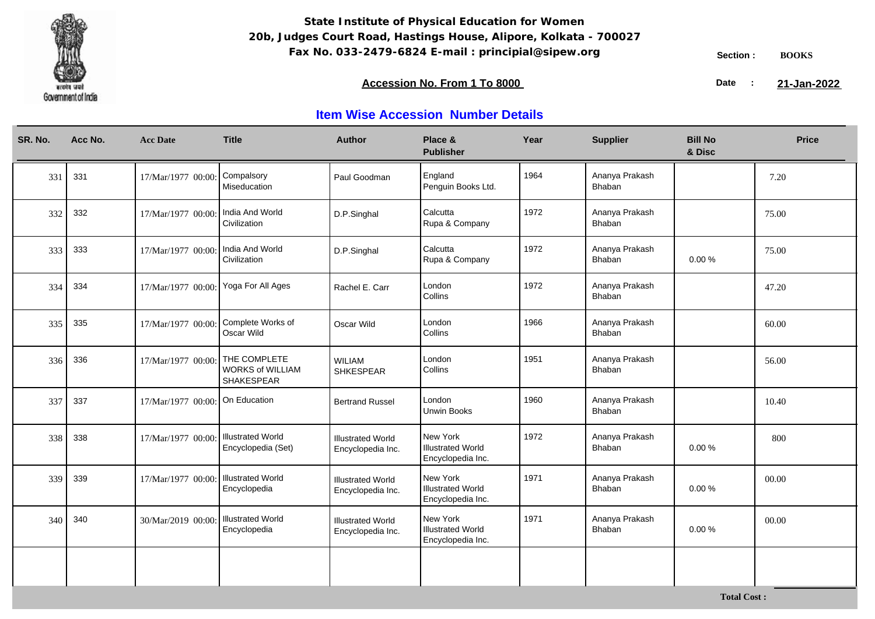

**Total Cost :**

### **Accession No. From 1 To 8000 21-January 2008 21-January 2008 21-January 2008 21-January 2009**

21-Jan-2022

| SR. No. | Acc No. | <b>Acc Date</b>                      | <b>Title</b>                                          | <b>Author</b>                                 | Place &<br><b>Publisher</b>                               | Year | <b>Supplier</b>          | <b>Bill No</b><br>& Disc | <b>Price</b> |
|---------|---------|--------------------------------------|-------------------------------------------------------|-----------------------------------------------|-----------------------------------------------------------|------|--------------------------|--------------------------|--------------|
| 331     | 331     | 17/Mar/1977 00:00                    | Compalsory<br>Miseducation                            | Paul Goodman                                  | England<br>Penguin Books Ltd.                             | 1964 | Ananya Prakash<br>Bhaban |                          | 7.20         |
| 332     | 332     | 17/Mar/1977 00:00:                   | India And World<br>Civilization                       | D.P.Singhal                                   | Calcutta<br>Rupa & Company                                | 1972 | Ananya Prakash<br>Bhaban |                          | 75.00        |
| 333     | 333     | 17/Mar/1977 00:00:                   | India And World<br>Civilization                       | D.P.Singhal                                   | Calcutta<br>Rupa & Company                                | 1972 | Ananya Prakash<br>Bhaban | 0.00%                    | 75.00        |
| 334     | 334     | 17/Mar/1977 00:00:                   | Yoga For All Ages                                     | Rachel E. Carr                                | London<br>Collins                                         | 1972 | Ananya Prakash<br>Bhaban |                          | 47.20        |
| 335     | 335     | 17/Mar/1977 00:00                    | Complete Works of<br>Oscar Wild                       | Oscar Wild                                    | London<br>Collins                                         | 1966 | Ananya Prakash<br>Bhaban |                          | 60.00        |
| 336     | 336     | 17/Mar/1977 00:00:                   | THE COMPLETE<br><b>WORKS of WILLIAM</b><br>SHAKESPEAR | <b>WILIAM</b><br><b>SHKESPEAR</b>             | London<br>Collins                                         | 1951 | Ananya Prakash<br>Bhaban |                          | 56.00        |
| 337     | 337     | 17/Mar/1977 00:00                    | On Education                                          | <b>Bertrand Russel</b>                        | London<br><b>Unwin Books</b>                              | 1960 | Ananya Prakash<br>Bhaban |                          | 10.40        |
| 338     | 338     | 17/Mar/1977 00:00:                   | <b>Illustrated World</b><br>Encyclopedia (Set)        | <b>Illustrated World</b><br>Encyclopedia Inc. | New York<br><b>Illustrated World</b><br>Encyclopedia Inc. | 1972 | Ananya Prakash<br>Bhaban | 0.00%                    | 800          |
| 339     | 339     | 17/Mar/1977 00:00: Illustrated World | Encyclopedia                                          | <b>Illustrated World</b><br>Encyclopedia Inc. | New York<br><b>Illustrated World</b><br>Encyclopedia Inc. | 1971 | Ananya Prakash<br>Bhaban | 0.00%                    | 00.00        |
| 340     | 340     | 30/Mar/2019 00:00:                   | <b>Illustrated World</b><br>Encyclopedia              | <b>Illustrated World</b><br>Encyclopedia Inc. | New York<br><b>Illustrated World</b><br>Encyclopedia Inc. | 1971 | Ananya Prakash<br>Bhaban | 0.00%                    | 00.00        |
|         |         |                                      |                                                       |                                               |                                                           |      |                          |                          |              |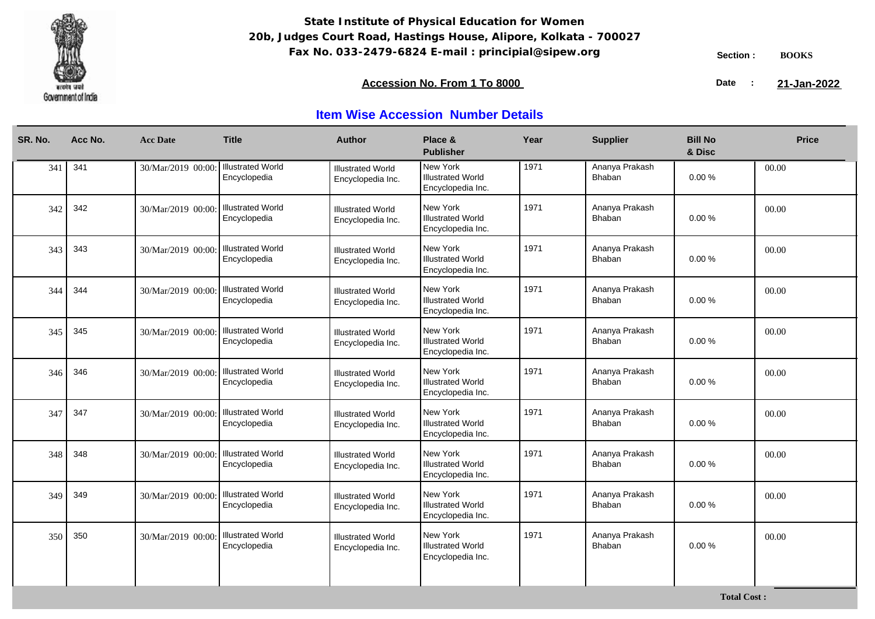

### **Accession No. From 1 To 8000 21-January 2008 21-January 2008 21-January 2008 21-January 2009**

21-Jan-2022

| SR. No. | Acc No. | <b>Acc Date</b>    | <b>Title</b>                             | <b>Author</b>                                 | Place &<br><b>Publisher</b>                               | Year | <b>Supplier</b>          | <b>Bill No</b><br>& Disc | <b>Price</b> |
|---------|---------|--------------------|------------------------------------------|-----------------------------------------------|-----------------------------------------------------------|------|--------------------------|--------------------------|--------------|
| 341     | 341     | 30/Mar/2019 00:00: | <b>Illustrated World</b><br>Encyclopedia | <b>Illustrated World</b><br>Encyclopedia Inc. | New York<br><b>Illustrated World</b><br>Encyclopedia Inc. | 1971 | Ananya Prakash<br>Bhaban | 0.00%                    | 00.00        |
| 342     | 342     | 30/Mar/2019 00:00: | <b>Illustrated World</b><br>Encyclopedia | <b>Illustrated World</b><br>Encyclopedia Inc. | New York<br>Illustrated World<br>Encyclopedia Inc.        | 1971 | Ananya Prakash<br>Bhaban | 0.00%                    | 00.00        |
| 343     | 343     | 30/Mar/2019 00:00: | <b>Illustrated World</b><br>Encyclopedia | <b>Illustrated World</b><br>Encyclopedia Inc. | New York<br><b>Illustrated World</b><br>Encyclopedia Inc. | 1971 | Ananya Prakash<br>Bhaban | $0.00 \%$                | 00.00        |
| 344     | 344     | 30/Mar/2019 00:00: | <b>Illustrated World</b><br>Encyclopedia | <b>Illustrated World</b><br>Encyclopedia Inc. | New York<br><b>Illustrated World</b><br>Encyclopedia Inc. | 1971 | Ananya Prakash<br>Bhaban | 0.00%                    | 00.00        |
| 345     | 345     | 30/Mar/2019 00:00: | <b>Illustrated World</b><br>Encyclopedia | <b>Illustrated World</b><br>Encyclopedia Inc. | New York<br>Illustrated World<br>Encyclopedia Inc.        | 1971 | Ananya Prakash<br>Bhaban | 0.00%                    | 00.00        |
| 346     | 346     | 30/Mar/2019 00:00: | <b>Illustrated World</b><br>Encyclopedia | <b>Illustrated World</b><br>Encyclopedia Inc. | New York<br><b>Illustrated World</b><br>Encyclopedia Inc. | 1971 | Ananya Prakash<br>Bhaban | 0.00%                    | 00.00        |
| 347     | 347     | 30/Mar/2019 00:00: | <b>Illustrated World</b><br>Encyclopedia | <b>Illustrated World</b><br>Encyclopedia Inc. | New York<br><b>Illustrated World</b><br>Encyclopedia Inc. | 1971 | Ananya Prakash<br>Bhaban | 0.00%                    | 00.00        |
| 348     | 348     | 30/Mar/2019 00:00: | <b>Illustrated World</b><br>Encyclopedia | <b>Illustrated World</b><br>Encyclopedia Inc. | New York<br>Illustrated World<br>Encyclopedia Inc.        | 1971 | Ananya Prakash<br>Bhaban | 0.00%                    | 00.00        |
| 349     | 349     | 30/Mar/2019 00:00: | <b>Illustrated World</b><br>Encyclopedia | <b>Illustrated World</b><br>Encyclopedia Inc. | New York<br><b>Illustrated World</b><br>Encyclopedia Inc. | 1971 | Ananya Prakash<br>Bhaban | 0.00%                    | 00.00        |
| 350     | 350     | 30/Mar/2019 00:00: | <b>Illustrated World</b><br>Encyclopedia | <b>Illustrated World</b><br>Encyclopedia Inc. | New York<br><b>Illustrated World</b><br>Encyclopedia Inc. | 1971 | Ananya Prakash<br>Bhaban | 0.00%                    | 00.00        |
|         |         |                    |                                          |                                               |                                                           |      |                          |                          |              |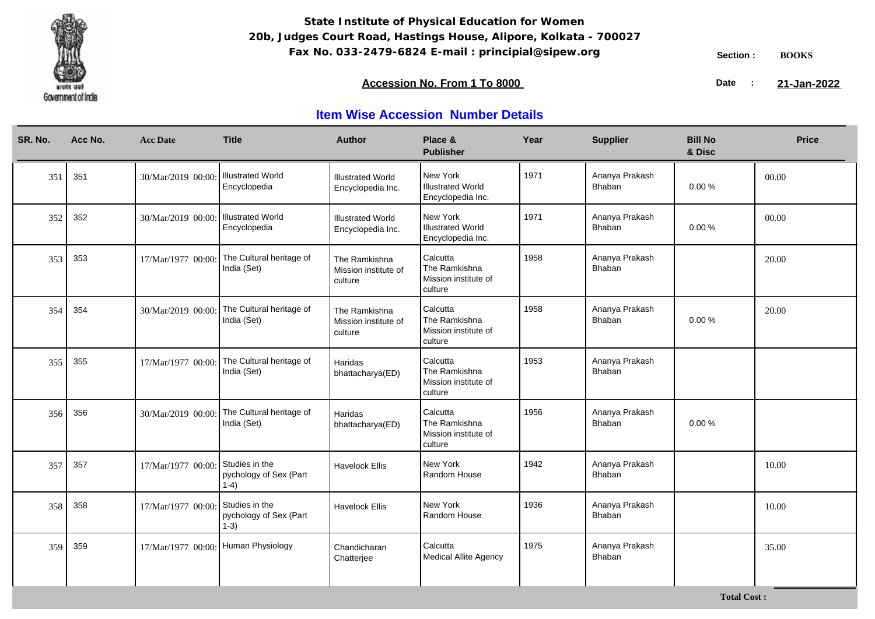

### **Accession No. From 1 To 8000 21-January 2008 21-January 2008 21-January 2008 21-January 2009**

21-Jan-2022

## **Item Wise Accession Number Details**

| SR. No. | Acc No. | <b>Acc Date</b>    | <b>Title</b>                                       | <b>Author</b>                                    | Place &<br><b>Publisher</b>                                  | Year | <b>Supplier</b>          | <b>Bill No</b><br>& Disc | <b>Price</b> |
|---------|---------|--------------------|----------------------------------------------------|--------------------------------------------------|--------------------------------------------------------------|------|--------------------------|--------------------------|--------------|
| 351     | 351     | 30/Mar/2019 00:00: | <b>Illustrated World</b><br>Encyclopedia           | <b>Illustrated World</b><br>Encyclopedia Inc.    | New York<br><b>Illustrated World</b><br>Encyclopedia Inc.    | 1971 | Ananya Prakash<br>Bhaban | 0.00%                    | 00.00        |
| 352     | 352     | 30/Mar/2019 00:00: | <b>Illustrated World</b><br>Encyclopedia           | <b>Illustrated World</b><br>Encyclopedia Inc.    | New York<br><b>Illustrated World</b><br>Encyclopedia Inc.    | 1971 | Ananya Prakash<br>Bhaban | $0.00 \%$                | 00.00        |
| 353     | 353     | 17/Mar/1977 00:00: | The Cultural heritage of<br>India (Set)            | The Ramkishna<br>Mission institute of<br>culture | Calcutta<br>The Ramkishna<br>Mission institute of<br>culture | 1958 | Ananya Prakash<br>Bhaban |                          | 20.00        |
| 354     | 354     | 30/Mar/2019 00:00  | The Cultural heritage of<br>India (Set)            | The Ramkishna<br>Mission institute of<br>culture | Calcutta<br>The Ramkishna<br>Mission institute of<br>culture | 1958 | Ananya Prakash<br>Bhaban | 0.00%                    | 20.00        |
| 355     | 355     | 17/Mar/1977 00:00: | The Cultural heritage of<br>India (Set)            | Haridas<br>bhattacharya(ED)                      | Calcutta<br>The Ramkishna<br>Mission institute of<br>culture | 1953 | Ananya Prakash<br>Bhaban |                          |              |
| 356     | 356     | 30/Mar/2019 00:00  | The Cultural heritage of<br>India (Set)            | Haridas<br>bhattacharya(ED)                      | Calcutta<br>The Ramkishna<br>Mission institute of<br>culture | 1956 | Ananya Prakash<br>Bhaban | 0.00%                    |              |
| 357     | 357     | 17/Mar/1977 00:00  | Studies in the<br>pychology of Sex (Part<br>$1-4)$ | <b>Havelock Ellis</b>                            | New York<br>Random House                                     | 1942 | Ananya Prakash<br>Bhaban |                          | 10.00        |
| 358     | 358     | 17/Mar/1977 00:00: | Studies in the<br>pychology of Sex (Part<br>$1-3)$ | <b>Havelock Ellis</b>                            | New York<br>Random House                                     | 1936 | Ananya Prakash<br>Bhaban |                          | 10.00        |
| 359     | 359     | 17/Mar/1977 00:00: | Human Physiology                                   | Chandicharan<br>Chatterjee                       | Calcutta<br><b>Medical Allite Agency</b>                     | 1975 | Ananya Prakash<br>Bhaban |                          | 35.00        |

**Total Cost :**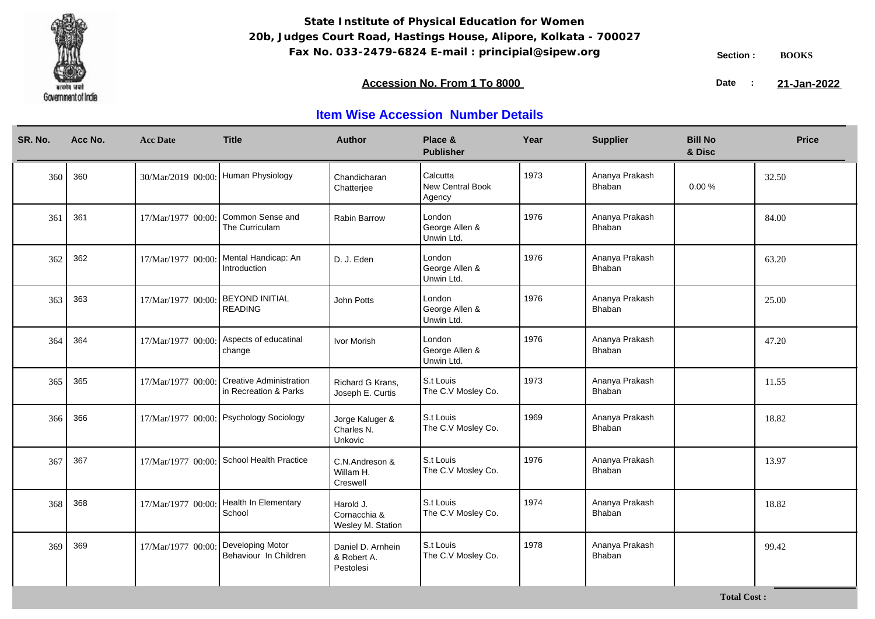

**Total Cost :**

### **Accession No. From 1 To 8000 21-January 2008 21-January 2008 21-January 2008 21-January 2009**

21-Jan-2022

| SR. No. | Acc No. | <b>Acc Date</b>                     | <b>Title</b>                                            | <b>Author</b>                                  | Place &<br><b>Publisher</b>            | Year | <b>Supplier</b>                 | <b>Bill No</b><br>& Disc | <b>Price</b> |
|---------|---------|-------------------------------------|---------------------------------------------------------|------------------------------------------------|----------------------------------------|------|---------------------------------|--------------------------|--------------|
| 360     | 360     | 30/Mar/2019 00:00: Human Physiology |                                                         | Chandicharan<br>Chatterjee                     | Calcutta<br>New Central Book<br>Agency | 1973 | Ananya Prakash<br>Bhaban        | $0.00 \%$                | 32.50        |
| 361     | 361     | 17/Mar/1977 00:00                   | Common Sense and<br>The Curriculam                      | Rabin Barrow                                   | London<br>George Allen &<br>Unwin Ltd. | 1976 | Ananya Prakash<br>Bhaban        |                          | 84.00        |
| 362     | 362     |                                     | 17/Mar/1977 00:00: Mental Handicap: An<br>Introduction  | D. J. Eden                                     | London<br>George Allen &<br>Unwin Ltd. | 1976 | Ananya Prakash<br>Bhaban        |                          | 63.20        |
| 363     | 363     | 17/Mar/1977 00:00:                  | <b>BEYOND INITIAL</b><br><b>READING</b>                 | John Potts                                     | London<br>George Allen &<br>Unwin Ltd. | 1976 | Ananya Prakash<br>Bhaban        |                          | 25.00        |
| 364     | 364     | 17/Mar/1977 00:00:                  | Aspects of educatinal<br>change                         | Ivor Morish                                    | London<br>George Allen &<br>Unwin Ltd. | 1976 | Ananya Prakash<br>Bhaban        |                          | 47.20        |
| 365     | 365     | 17/Mar/1977 00:00:                  | <b>Creative Administration</b><br>in Recreation & Parks | Richard G Krans,<br>Joseph E. Curtis           | S.t Louis<br>The C.V Mosley Co.        | 1973 | Ananya Prakash<br>Bhaban        |                          | 11.55        |
| 366     | 366     |                                     | 17/Mar/1977 00:00: Psychology Sociology                 | Jorge Kaluger &<br>Charles N.<br>Unkovic       | S.t Louis<br>The C.V Mosley Co.        | 1969 | Ananya Prakash<br>Bhaban        |                          | 18.82        |
| 367     | 367     |                                     | 17/Mar/1977 00:00: School Health Practice               | C.N.Andreson &<br>Willam H.<br>Creswell        | S.t Louis<br>The C.V Mosley Co.        | 1976 | Ananya Prakash<br>Bhaban        |                          | 13.97        |
| 368     | 368     |                                     | 17/Mar/1977 00:00: Health In Elementary<br>School       | Harold J.<br>Cornacchia &<br>Wesley M. Station | S.t Louis<br>The C.V Mosley Co.        | 1974 | Ananya Prakash<br><b>Bhaban</b> |                          | 18.82        |
| 369     | 369     | 17/Mar/1977 00:00:                  | Developing Motor<br>Behaviour In Children               | Daniel D. Arnhein<br>& Robert A.<br>Pestolesi  | S.t Louis<br>The C.V Mosley Co.        | 1978 | Ananya Prakash<br>Bhaban        |                          | 99.42        |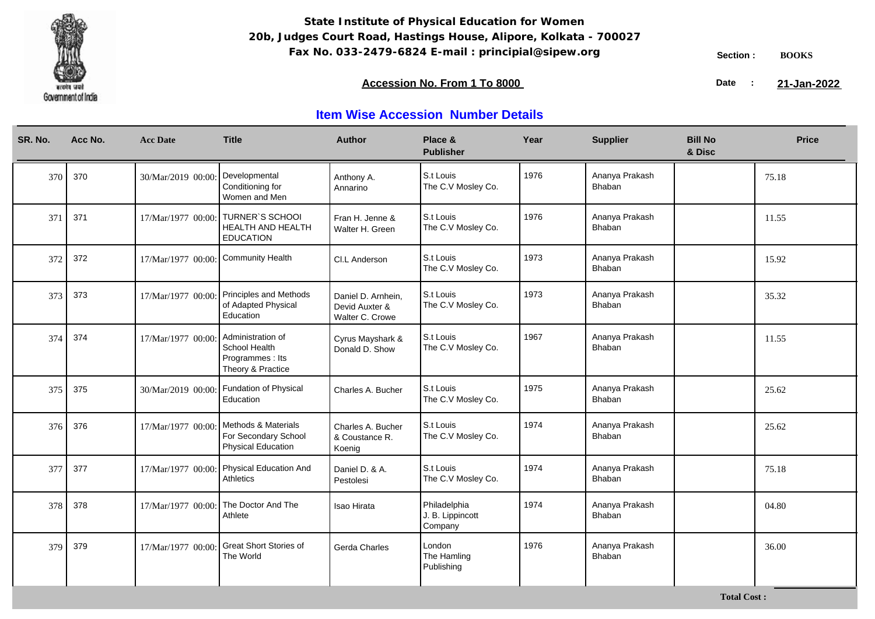

**Total Cost :**

### **Accession No. From 1 To 8000 21-January 2008 21-January 2008 21-January 2008 21-January 2009**

21-Jan-2022

| SR. No. | Acc No. | <b>Acc Date</b>                     | <b>Title</b>                                                                  | <b>Author</b>                                           | Place &<br><b>Publisher</b>                 | Year | <b>Supplier</b>          | <b>Bill No</b><br>& Disc | <b>Price</b> |
|---------|---------|-------------------------------------|-------------------------------------------------------------------------------|---------------------------------------------------------|---------------------------------------------|------|--------------------------|--------------------------|--------------|
| 370     | 370     | 30/Mar/2019 00:00:                  | Developmental<br>Conditioning for<br>Women and Men                            | Anthony A.<br>Annarino                                  | S.t Louis<br>The C.V Mosley Co.             | 1976 | Ananya Prakash<br>Bhaban |                          | 75.18        |
| 371     | 371     | 17/Mar/1977 00:00:                  | <b>TURNER'S SCHOOL</b><br>HEALTH AND HEALTH<br><b>EDUCATION</b>               | Fran H. Jenne &<br>Walter H. Green                      | S.t Louis<br>The C.V Mosley Co.             | 1976 | Ananya Prakash<br>Bhaban |                          | 11.55        |
| 372     | 372     | 17/Mar/1977 00:00: Community Health |                                                                               | CI.L Anderson                                           | S.t Louis<br>The C.V Mosley Co.             | 1973 | Ananya Prakash<br>Bhaban |                          | 15.92        |
| 373     | 373     |                                     | 17/Mar/1977 00:00: Principles and Methods<br>of Adapted Physical<br>Education | Daniel D. Arnhein,<br>Devid Auxter &<br>Walter C. Crowe | S.t Louis<br>The C.V Mosley Co.             | 1973 | Ananya Prakash<br>Bhaban |                          | 35.32        |
| 374     | 374     | 17/Mar/1977 00:00:                  | Administration of<br>School Health<br>Programmes : Its<br>Theory & Practice   | Cyrus Mayshark &<br>Donald D. Show                      | S.t Louis<br>The C.V Mosley Co.             | 1967 | Ananya Prakash<br>Bhaban |                          | 11.55        |
| 375     | 375     | 30/Mar/2019 00:00:                  | Fundation of Physical<br>Education                                            | Charles A. Bucher                                       | S.t Louis<br>The C.V Mosley Co.             | 1975 | Ananya Prakash<br>Bhaban |                          | 25.62        |
| 376     | 376     | 17/Mar/1977 00:00:                  | Methods & Materials<br>For Secondary School<br><b>Physical Education</b>      | Charles A. Bucher<br>& Coustance R.<br>Koenig           | S.t Louis<br>The C.V Mosley Co.             | 1974 | Ananya Prakash<br>Bhaban |                          | 25.62        |
| 377     | 377     | 17/Mar/1977 00:00:                  | Physical Education And<br>Athletics                                           | Daniel D. & A.<br>Pestolesi                             | S.t Louis<br>The C.V Mosley Co.             | 1974 | Ananya Prakash<br>Bhaban |                          | 75.18        |
| 378     | 378     | 17/Mar/1977 00:00:                  | The Doctor And The<br>Athlete                                                 | Isao Hirata                                             | Philadelphia<br>J. B. Lippincott<br>Company | 1974 | Ananya Prakash<br>Bhaban |                          | 04.80        |
| 379     | 379     | 17/Mar/1977 00:00:                  | <b>Great Short Stories of</b><br>The World                                    | Gerda Charles                                           | London<br>The Hamling<br>Publishing         | 1976 | Ananya Prakash<br>Bhaban |                          | 36.00        |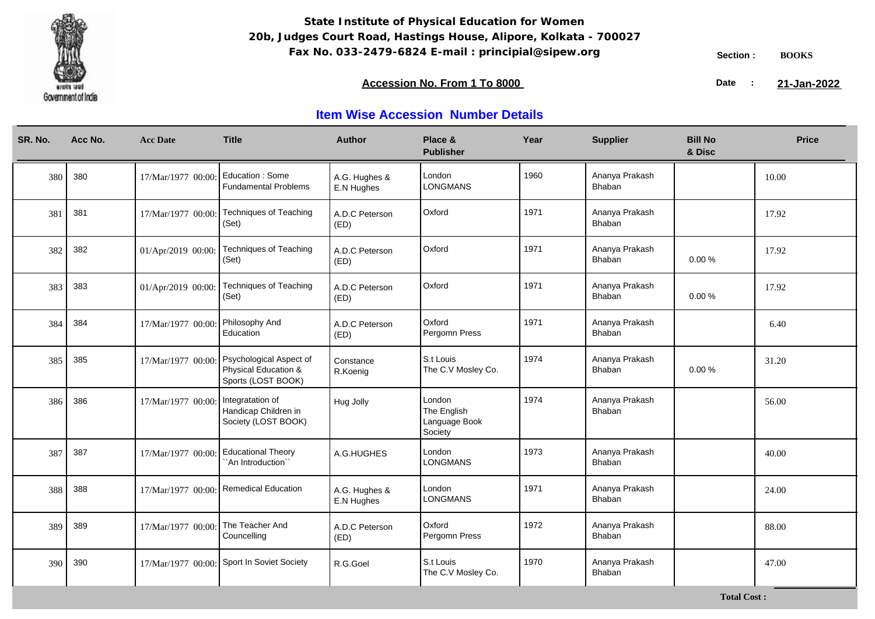

### **Accession No. From 1 To 8000 21-January 2008 21-January 2008 21-January 2008 21-January 2009**

21-Jan-2022

| SR. No. | Acc No. | <b>Acc Date</b>    | <b>Title</b>                                                          | <b>Author</b>               | Place &<br><b>Publisher</b>                       | Year | <b>Supplier</b>          | <b>Bill No</b><br>& Disc | <b>Price</b> |
|---------|---------|--------------------|-----------------------------------------------------------------------|-----------------------------|---------------------------------------------------|------|--------------------------|--------------------------|--------------|
| 380     | 380     | 17/Mar/1977 00:00  | Education: Some<br><b>Fundamental Problems</b>                        | A.G. Hughes &<br>E.N Hughes | London<br><b>LONGMANS</b>                         | 1960 | Ananya Prakash<br>Bhaban |                          | 10.00        |
| 381     | 381     | 17/Mar/1977 00:00: | <b>Techniques of Teaching</b><br>(Set)                                | A.D.C Peterson<br>(ED)      | Oxford                                            | 1971 | Ananya Prakash<br>Bhaban |                          | 17.92        |
| 382     | 382     | 01/Apr/2019 00:00: | Techniques of Teaching<br>(Set)                                       | A.D.C Peterson<br>(ED)      | Oxford                                            | 1971 | Ananya Prakash<br>Bhaban | 0.00%                    | 17.92        |
| 383     | 383     | 01/Apr/2019 00:00: | <b>Techniques of Teaching</b><br>(Set)                                | A.D.C Peterson<br>(ED)      | Oxford                                            | 1971 | Ananya Prakash<br>Bhaban | 0.00%                    | 17.92        |
| 384     | 384     | 17/Mar/1977 00:00: | Philosophy And<br>Education                                           | A.D.C Peterson<br>(ED)      | Oxford<br>Pergomn Press                           | 1971 | Ananya Prakash<br>Bhaban |                          | 6.40         |
| 385     | 385     | 17/Mar/1977 00:00: | Psychological Aspect of<br>Physical Education &<br>Sports (LOST BOOK) | Constance<br>R.Koenig       | S.t Louis<br>The C.V Mosley Co.                   | 1974 | Ananya Prakash<br>Bhaban | 0.00%                    | 31.20        |
| 386     | 386     | 17/Mar/1977 00:00: | Integratation of<br>Handicap Children in<br>Society (LOST BOOK)       | Hug Jolly                   | London<br>The English<br>Language Book<br>Society | 1974 | Ananya Prakash<br>Bhaban |                          | 56.00        |
| 387     | 387     | 17/Mar/1977 00:00  | <b>Educational Theory</b><br>`An Introduction``                       | A.G.HUGHES                  | London<br><b>LONGMANS</b>                         | 1973 | Ananya Prakash<br>Bhaban |                          | 40.00        |
| 388     | 388     | 17/Mar/1977 00:00: | Remedical Education                                                   | A.G. Hughes &<br>E.N Hughes | London<br>LONGMANS                                | 1971 | Ananya Prakash<br>Bhaban |                          | 24.00        |
| 389     | 389     | 17/Mar/1977 00:00  | The Teacher And<br>Councelling                                        | A.D.C Peterson<br>(ED)      | Oxford<br>Pergomn Press                           | 1972 | Ananya Prakash<br>Bhaban |                          | 88.00        |
| 390     | 390     | 17/Mar/1977 00:00: | Sport In Soviet Society                                               | R.G.Goel                    | S.t Louis<br>The C.V Mosley Co.                   | 1970 | Ananya Prakash<br>Bhaban |                          | 47.00        |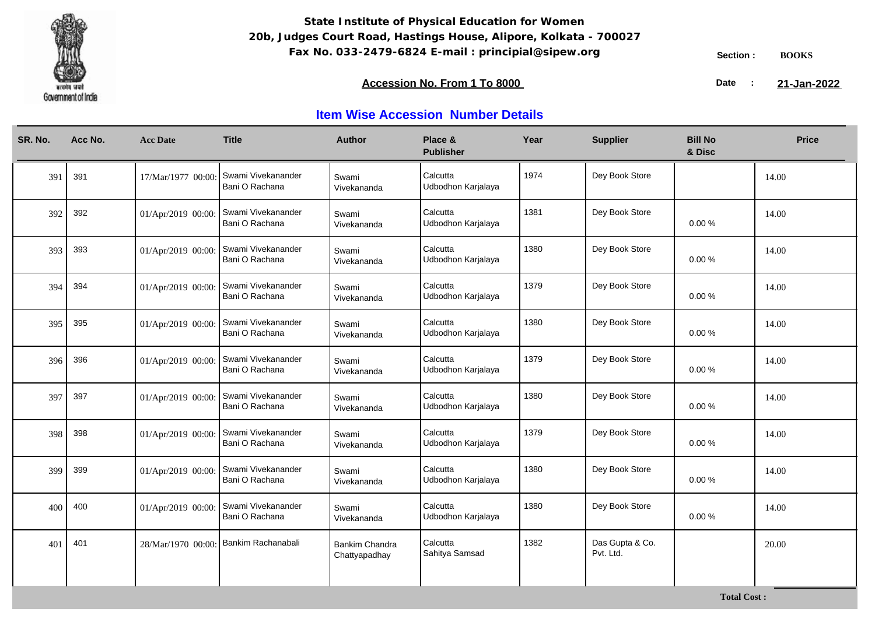

### **Accession No. From 1 To 8000 21-January 2008 21-January 2008 21-January 2008 21-January 2009**

21-Jan-2022

| SR. No. | Acc No. | <b>Acc Date</b>    | <b>Title</b>                         | <b>Author</b>                          | Place &<br><b>Publisher</b>    | Year | <b>Supplier</b>              | <b>Bill No</b><br>& Disc | <b>Price</b> |
|---------|---------|--------------------|--------------------------------------|----------------------------------------|--------------------------------|------|------------------------------|--------------------------|--------------|
| 391     | 391     | 17/Mar/1977 00:00  | Swami Vivekanander<br>Bani O Rachana | Swami<br>Vivekananda                   | Calcutta<br>Udbodhon Karjalaya | 1974 | Dey Book Store               |                          | 14.00        |
| 392     | 392     | 01/Apr/2019 00:00: | Swami Vivekanander<br>Bani O Rachana | Swami<br>Vivekananda                   | Calcutta<br>Udbodhon Karjalaya | 1381 | Dey Book Store               | $0.00 \%$                | 14.00        |
| 393     | 393     | 01/Apr/2019 00:00: | Swami Vivekanander<br>Bani O Rachana | Swami<br>Vivekananda                   | Calcutta<br>Udbodhon Karjalaya | 1380 | Dey Book Store               | $0.00 \%$                | 14.00        |
| 394     | 394     | 01/Apr/2019 00:00: | Swami Vivekanander<br>Bani O Rachana | Swami<br>Vivekananda                   | Calcutta<br>Udbodhon Karjalaya | 1379 | Dey Book Store               | 0.00%                    | 14.00        |
| 395     | 395     | 01/Apr/2019 00:00: | Swami Vivekanander<br>Bani O Rachana | Swami<br>Vivekananda                   | Calcutta<br>Udbodhon Karjalaya | 1380 | Dey Book Store               | 0.00%                    | 14.00        |
| 396     | 396     | 01/Apr/2019 00:00: | Swami Vivekanander<br>Bani O Rachana | Swami<br>Vivekananda                   | Calcutta<br>Udbodhon Karjalaya | 1379 | Dey Book Store               | 0.00%                    | 14.00        |
| 397     | 397     | 01/Apr/2019 00:00: | Swami Vivekanander<br>Bani O Rachana | Swami<br>Vivekananda                   | Calcutta<br>Udbodhon Karjalaya | 1380 | Dey Book Store               | $0.00 \%$                | 14.00        |
| 398     | 398     | 01/Apr/2019 00:00: | Swami Vivekanander<br>Bani O Rachana | Swami<br>Vivekananda                   | Calcutta<br>Udbodhon Karjalaya | 1379 | Dey Book Store               | 0.00%                    | 14.00        |
| 399     | 399     | 01/Apr/2019 00:00: | Swami Vivekanander<br>Bani O Rachana | Swami<br>Vivekananda                   | Calcutta<br>Udbodhon Karjalaya | 1380 | Dey Book Store               | $0.00 \%$                | 14.00        |
| 400     | 400     | 01/Apr/2019 00:00: | Swami Vivekanander<br>Bani O Rachana | Swami<br>Vivekananda                   | Calcutta<br>Udbodhon Karjalaya | 1380 | Dey Book Store               | 0.00%                    | 14.00        |
| 401     | 401     | 28/Mar/1970 00:00  | Bankim Rachanabali                   | <b>Bankim Chandra</b><br>Chattyapadhay | Calcutta<br>Sahitya Samsad     | 1382 | Das Gupta & Co.<br>Pvt. Ltd. |                          | 20.00        |
|         |         |                    |                                      |                                        |                                |      |                              |                          |              |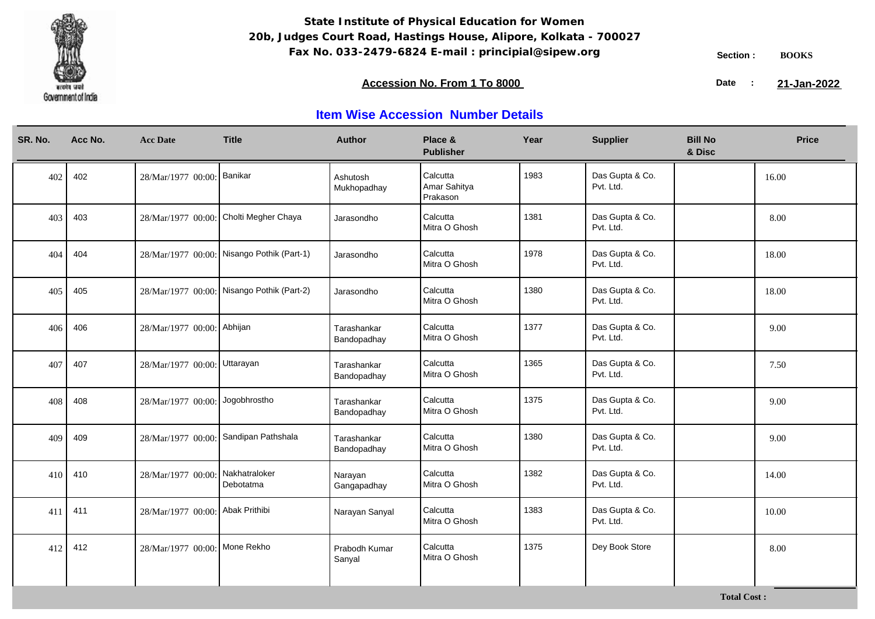

### **Accession No. From 1 To 8000 21-January 2008 21-January 2008 21-January 2008 21-January 2009**

21-Jan-2022

| SR. No. | Acc No. | <b>Acc Date</b>                  | <b>Title</b>                               | <b>Author</b>              | Place &<br><b>Publisher</b>          | Year | <b>Supplier</b>              | <b>Bill No</b><br>& Disc | <b>Price</b> |
|---------|---------|----------------------------------|--------------------------------------------|----------------------------|--------------------------------------|------|------------------------------|--------------------------|--------------|
| 402     | 402     | 28/Mar/1977 00:00: Banikar       |                                            | Ashutosh<br>Mukhopadhay    | Calcutta<br>Amar Sahitya<br>Prakason | 1983 | Das Gupta & Co.<br>Pvt. Ltd. |                          | 16.00        |
| 403     | 403     | 28/Mar/1977 00:00:               | Cholti Megher Chaya                        | Jarasondho                 | Calcutta<br>Mitra O Ghosh            | 1381 | Das Gupta & Co.<br>Pvt. Ltd. |                          | 8.00         |
| 404     | 404     |                                  | 28/Mar/1977 00:00: Nisango Pothik (Part-1) | Jarasondho                 | Calcutta<br>Mitra O Ghosh            | 1978 | Das Gupta & Co.<br>Pvt. Ltd. |                          | 18.00        |
| 405     | 405     |                                  | 28/Mar/1977 00:00: Nisango Pothik (Part-2) | Jarasondho                 | Calcutta<br>Mitra O Ghosh            | 1380 | Das Gupta & Co.<br>Pvt. Ltd. |                          | 18.00        |
| 406     | 406     | 28/Mar/1977 00:00: Abhijan       |                                            | Tarashankar<br>Bandopadhay | Calcutta<br>Mitra O Ghosh            | 1377 | Das Gupta & Co.<br>Pvt. Ltd. |                          | 9.00         |
| 407     | 407     | 28/Mar/1977 00:00: Uttarayan     |                                            | Tarashankar<br>Bandopadhay | Calcutta<br>Mitra O Ghosh            | 1365 | Das Gupta & Co.<br>Pvt. Ltd. |                          | 7.50         |
| 408     | 408     | 28/Mar/1977 00:00: Jogobhrostho  |                                            | Tarashankar<br>Bandopadhay | Calcutta<br>Mitra O Ghosh            | 1375 | Das Gupta & Co.<br>Pvt. Ltd. |                          | 9.00         |
| 409     | 409     | 28/Mar/1977 00:00:               | Sandipan Pathshala                         | Tarashankar<br>Bandopadhay | Calcutta<br>Mitra O Ghosh            | 1380 | Das Gupta & Co.<br>Pvt. Ltd. |                          | 9.00         |
| 410     | 410     | 28/Mar/1977 00:00:               | Nakhatraloker<br>Debotatma                 | Narayan<br>Gangapadhay     | Calcutta<br>Mitra O Ghosh            | 1382 | Das Gupta & Co.<br>Pvt. Ltd. |                          | 14.00        |
| 411     | 411     | 28/Mar/1977 00:00: Abak Prithibi |                                            | Narayan Sanyal             | Calcutta<br>Mitra O Ghosh            | 1383 | Das Gupta & Co.<br>Pvt. Ltd. |                          | 10.00        |
| 412     | 412     | 28/Mar/1977 00:00: Mone Rekho    |                                            | Prabodh Kumar<br>Sanyal    | Calcutta<br>Mitra O Ghosh            | 1375 | Dey Book Store               |                          | 8.00         |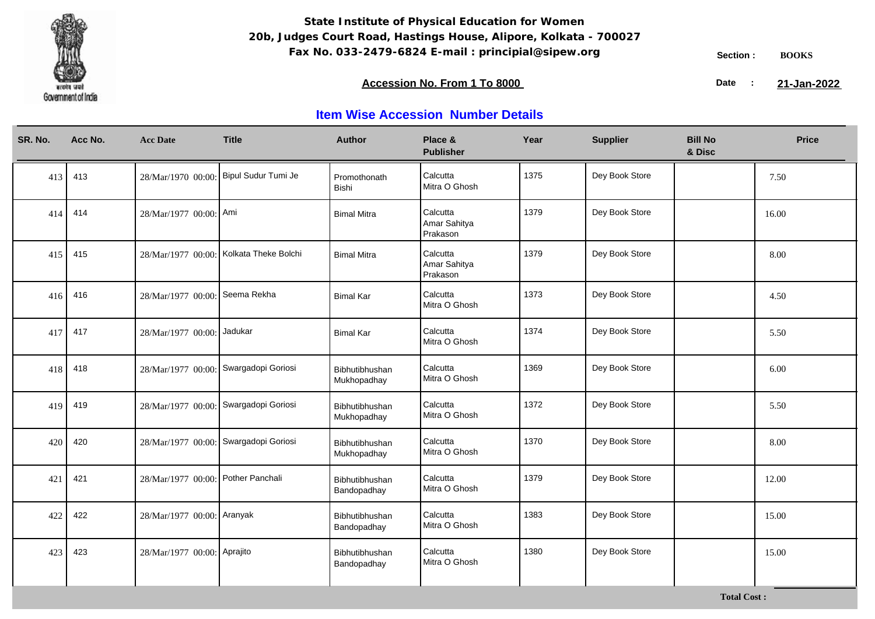

**Total Cost :**

### **Accession No. From 1 To 8000 21-January 2008 21-January 2008 21-January 2008 21-January 2009**

21-Jan-2022

| SR. No. | Acc No. | <b>Acc Date</b>                       | <b>Title</b>                            | <b>Author</b>                 | Place &<br><b>Publisher</b>          | Year | <b>Supplier</b> | <b>Bill No</b><br>& Disc | <b>Price</b> |
|---------|---------|---------------------------------------|-----------------------------------------|-------------------------------|--------------------------------------|------|-----------------|--------------------------|--------------|
| 413     | 413     |                                       | 28/Mar/1970 00:00: Bipul Sudur Tumi Je  | Promothonath<br><b>Bishi</b>  | Calcutta<br>Mitra O Ghosh            | 1375 | Dey Book Store  |                          | 7.50         |
| 414     | 414     | 28/Mar/1977 00:00: Ami                |                                         | <b>Bimal Mitra</b>            | Calcutta<br>Amar Sahitya<br>Prakason | 1379 | Dey Book Store  |                          | 16.00        |
| 415     | 415     |                                       | 28/Mar/1977 00:00: Kolkata Theke Bolchi | <b>Bimal Mitra</b>            | Calcutta<br>Amar Sahitya<br>Prakason | 1379 | Dey Book Store  |                          | 8.00         |
| 416     | 416     | 28/Mar/1977 00:00: Seema Rekha        |                                         | <b>Bimal Kar</b>              | Calcutta<br>Mitra O Ghosh            | 1373 | Dey Book Store  |                          | 4.50         |
| 417     | 417     | 28/Mar/1977 00:00: Jadukar            |                                         | <b>Bimal Kar</b>              | Calcutta<br>Mitra O Ghosh            | 1374 | Dey Book Store  |                          | 5.50         |
| 418     | 418     | 28/Mar/1977 00:00: Swargadopi Goriosi |                                         | Bibhutibhushan<br>Mukhopadhay | Calcutta<br>Mitra O Ghosh            | 1369 | Dey Book Store  |                          | 6.00         |
| 419     | 419     | 28/Mar/1977 00:00: Swargadopi Goriosi |                                         | Bibhutibhushan<br>Mukhopadhay | Calcutta<br>Mitra O Ghosh            | 1372 | Dey Book Store  |                          | 5.50         |
| 420     | 420     | 28/Mar/1977 00:00: Swargadopi Goriosi |                                         | Bibhutibhushan<br>Mukhopadhay | Calcutta<br>Mitra O Ghosh            | 1370 | Dey Book Store  |                          | 8.00         |
| 421     | 421     | 28/Mar/1977 00:00: Pother Panchali    |                                         | Bibhutibhushan<br>Bandopadhay | Calcutta<br>Mitra O Ghosh            | 1379 | Dey Book Store  |                          | 12.00        |
| 422     | 422     | 28/Mar/1977 00:00: Aranyak            |                                         | Bibhutibhushan<br>Bandopadhay | Calcutta<br>Mitra O Ghosh            | 1383 | Dey Book Store  |                          | 15.00        |
| 423     | 423     | 28/Mar/1977 00:00: Aprajito           |                                         | Bibhutibhushan<br>Bandopadhay | Calcutta<br>Mitra O Ghosh            | 1380 | Dey Book Store  |                          | 15.00        |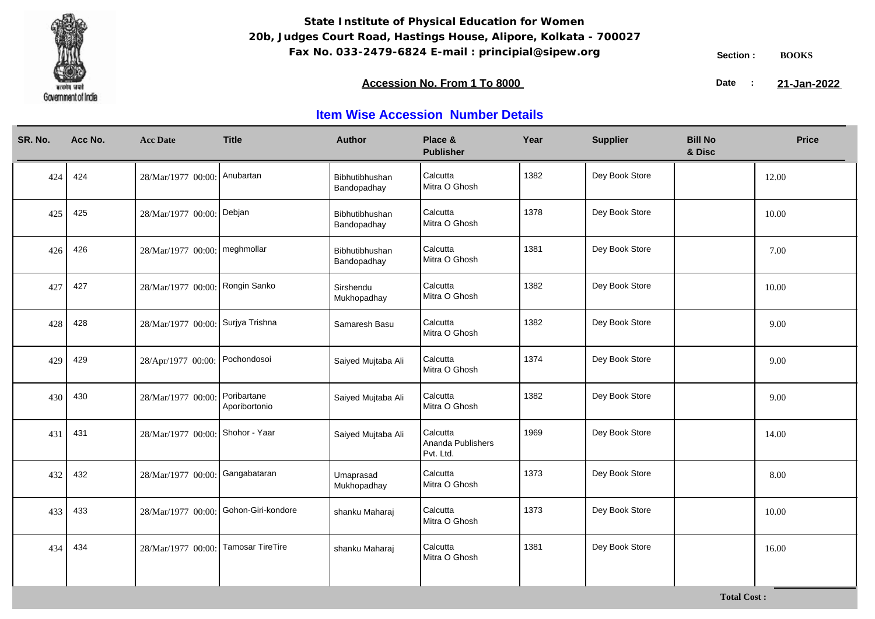

### **Accession No. From 1 To 8000 21-January 2008 21-January 2008 21-January 2008 21-January 2009**

21-Jan-2022

| SR. No. | Acc No. | <b>Acc Date</b>                   | <b>Title</b>                 | <b>Author</b>                 | Place &<br><b>Publisher</b>                | Year | <b>Supplier</b> | <b>Bill No</b><br>& Disc | <b>Price</b> |
|---------|---------|-----------------------------------|------------------------------|-------------------------------|--------------------------------------------|------|-----------------|--------------------------|--------------|
| 424     | 424     | 28/Mar/1977 00:00: Anubartan      |                              | Bibhutibhushan<br>Bandopadhay | Calcutta<br>Mitra O Ghosh                  | 1382 | Dey Book Store  |                          | 12.00        |
| 425     | 425     | 28/Mar/1977 00:00: Debjan         |                              | Bibhutibhushan<br>Bandopadhay | Calcutta<br>Mitra O Ghosh                  | 1378 | Dey Book Store  |                          | 10.00        |
| 426     | 426     | 28/Mar/1977 00:00: meghmollar     |                              | Bibhutibhushan<br>Bandopadhay | Calcutta<br>Mitra O Ghosh                  | 1381 | Dey Book Store  |                          | 7.00         |
| 427     | 427     | 28/Mar/1977 00:00: Rongin Sanko   |                              | Sirshendu<br>Mukhopadhay      | Calcutta<br>Mitra O Ghosh                  | 1382 | Dey Book Store  |                          | 10.00        |
| 428     | 428     | 28/Mar/1977 00:00: Surjya Trishna |                              | Samaresh Basu                 | Calcutta<br>Mitra O Ghosh                  | 1382 | Dey Book Store  |                          | 9.00         |
| 429     | 429     | 28/Apr/1977 00:00: Pochondosoi    |                              | Saiyed Mujtaba Ali            | Calcutta<br>Mitra O Ghosh                  | 1374 | Dey Book Store  |                          | 9.00         |
| 430     | 430     | 28/Mar/1977 00:00:                | Poribartane<br>Aporibortonio | Saiyed Mujtaba Ali            | Calcutta<br>Mitra O Ghosh                  | 1382 | Dey Book Store  |                          | 9.00         |
| 431     | 431     | 28/Mar/1977 00:00: Shohor - Yaar  |                              | Saiyed Mujtaba Ali            | Calcutta<br>Ananda Publishers<br>Pvt. Ltd. | 1969 | Dey Book Store  |                          | 14.00        |
| 432     | 432     | 28/Mar/1977 00:00:                | Gangabataran                 | Umaprasad<br>Mukhopadhay      | Calcutta<br>Mitra O Ghosh                  | 1373 | Dey Book Store  |                          | 8.00         |
| 433     | 433     | 28/Mar/1977 00:00                 | Gohon-Giri-kondore           | shanku Maharaj                | Calcutta<br>Mitra O Ghosh                  | 1373 | Dey Book Store  |                          | 10.00        |
| 434     | 434     | 28/Mar/1977 00:00:                | <b>Tamosar TireTire</b>      | shanku Maharaj                | Calcutta<br>Mitra O Ghosh                  | 1381 | Dey Book Store  |                          | 16.00        |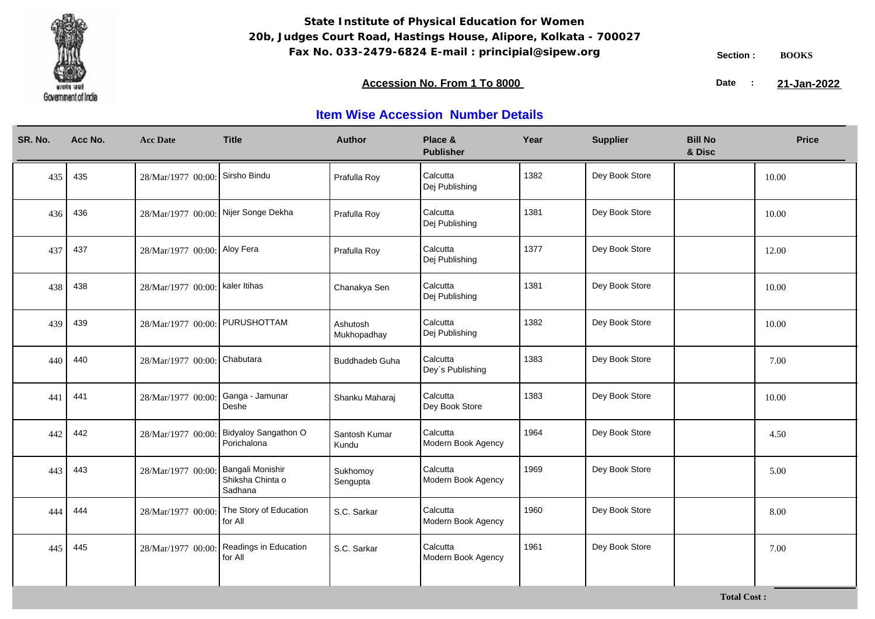

### **Accession No. From 1 To 8000 21-January 2008 21-January 2008 21-January 2008 21-January 2009**

21-Jan-2022

| SR. No. | Acc No. | <b>Acc Date</b>                      | <b>Title</b>                                    | <b>Author</b>           | Place &<br><b>Publisher</b>    | Year | <b>Supplier</b> | <b>Bill No</b><br>& Disc | <b>Price</b> |
|---------|---------|--------------------------------------|-------------------------------------------------|-------------------------|--------------------------------|------|-----------------|--------------------------|--------------|
| 435     | 435     | 28/Mar/1977 00:00: Sirsho Bindu      |                                                 | Prafulla Roy            | Calcutta<br>Dej Publishing     | 1382 | Dey Book Store  |                          | 10.00        |
| 436     | 436     | 28/Mar/1977 00:00: Nijer Songe Dekha |                                                 | Prafulla Roy            | Calcutta<br>Dej Publishing     | 1381 | Dey Book Store  |                          | 10.00        |
| 437     | 437     | 28/Mar/1977 00:00: Aloy Fera         |                                                 | Prafulla Roy            | Calcutta<br>Dej Publishing     | 1377 | Dey Book Store  |                          | 12.00        |
| 438     | 438     | 28/Mar/1977 00:00: kaler Itihas      |                                                 | Chanakya Sen            | Calcutta<br>Dej Publishing     | 1381 | Dey Book Store  |                          | 10.00        |
| 439     | 439     | 28/Mar/1977 00:00: PURUSHOTTAM       |                                                 | Ashutosh<br>Mukhopadhay | Calcutta<br>Dej Publishing     | 1382 | Dey Book Store  |                          | 10.00        |
| 440     | 440     | 28/Mar/1977 00:00: Chabutara         |                                                 | <b>Buddhadeb Guha</b>   | Calcutta<br>Dey's Publishing   | 1383 | Dey Book Store  |                          | 7.00         |
| 441     | 441     | 28/Mar/1977 00:00:                   | Ganga - Jamunar<br>Deshe                        | Shanku Maharaj          | Calcutta<br>Dey Book Store     | 1383 | Dey Book Store  |                          | 10.00        |
| 442     | 442     | 28/Mar/1977 00:00:                   | Bidyaloy Sangathon O<br>Porichalona             | Santosh Kumar<br>Kundu  | Calcutta<br>Modern Book Agency | 1964 | Dey Book Store  |                          | 4.50         |
| 443     | 443     | 28/Mar/1977 00:00:                   | Bangali Monishir<br>Shiksha Chinta o<br>Sadhana | Sukhomoy<br>Sengupta    | Calcutta<br>Modern Book Agency | 1969 | Dey Book Store  |                          | 5.00         |
| 444     | 444     | 28/Mar/1977 00:00                    | The Story of Education<br>for All               | S.C. Sarkar             | Calcutta<br>Modern Book Agency | 1960 | Dey Book Store  |                          | 8.00         |
| 445     | 445     | 28/Mar/1977 00:00:                   | Readings in Education<br>for All                | S.C. Sarkar             | Calcutta<br>Modern Book Agency | 1961 | Dey Book Store  |                          | 7.00         |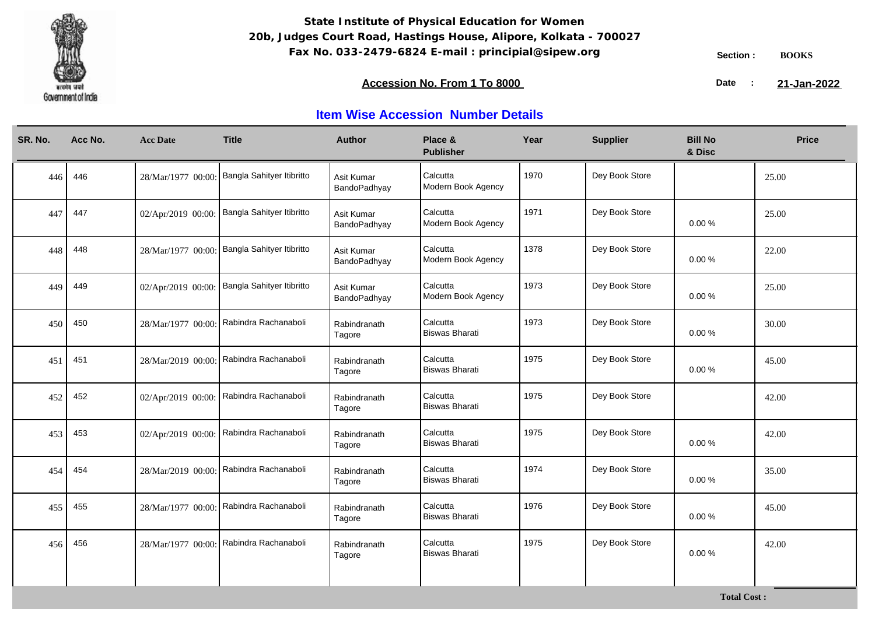

**Total Cost :**

### **Accession No. From 1 To 8000 21-January 2008 21-January 2008 21-January 2008 21-January 2009**

21-Jan-2022

| SR. No. |     | Acc No. | <b>Acc Date</b>    | <b>Title</b>                                 | <b>Author</b>              | Place &<br><b>Publisher</b>       | Year | <b>Supplier</b> | <b>Bill No</b><br>& Disc | <b>Price</b> |
|---------|-----|---------|--------------------|----------------------------------------------|----------------------------|-----------------------------------|------|-----------------|--------------------------|--------------|
|         | 446 | 446     | 28/Mar/1977 00:00: | Bangla Sahityer Itibritto                    | Asit Kumar<br>BandoPadhyay | Calcutta<br>Modern Book Agency    | 1970 | Dey Book Store  |                          | 25.00        |
|         | 447 | 447     |                    | 02/Apr/2019 00:00: Bangla Sahityer Itibritto | Asit Kumar<br>BandoPadhyay | Calcutta<br>Modern Book Agency    | 1971 | Dey Book Store  | 0.00%                    | 25.00        |
|         | 448 | 448     |                    | 28/Mar/1977 00:00: Bangla Sahityer Itibritto | Asit Kumar<br>BandoPadhyay | Calcutta<br>Modern Book Agency    | 1378 | Dey Book Store  | 0.00%                    | 22.00        |
|         | 449 | 449     | 02/Apr/2019 00:00: | Bangla Sahityer Itibritto                    | Asit Kumar<br>BandoPadhyay | Calcutta<br>Modern Book Agency    | 1973 | Dey Book Store  | 0.00%                    | 25.00        |
|         | 450 | 450     |                    | 28/Mar/1977 00:00: Rabindra Rachanaboli      | Rabindranath<br>Tagore     | Calcutta<br><b>Biswas Bharati</b> | 1973 | Dey Book Store  | 0.00%                    | 30.00        |
|         | 451 | 451     | 28/Mar/2019 00:00: | Rabindra Rachanaboli                         | Rabindranath<br>Tagore     | Calcutta<br><b>Biswas Bharati</b> | 1975 | Dey Book Store  | 0.00%                    | 45.00        |
|         | 452 | 452     | 02/Apr/2019 00:00: | Rabindra Rachanaboli                         | Rabindranath<br>Tagore     | Calcutta<br>Biswas Bharati        | 1975 | Dey Book Store  |                          | 42.00        |
|         | 453 | 453     | 02/Apr/2019 00:00: | Rabindra Rachanaboli                         | Rabindranath<br>Tagore     | Calcutta<br><b>Biswas Bharati</b> | 1975 | Dey Book Store  | 0.00%                    | 42.00        |
|         | 454 | 454     | 28/Mar/2019 00:00: | Rabindra Rachanaboli                         | Rabindranath<br>Tagore     | Calcutta<br>Biswas Bharati        | 1974 | Dey Book Store  | 0.00%                    | 35.00        |
|         | 455 | 455     | 28/Mar/1977 00:00: | Rabindra Rachanaboli                         | Rabindranath<br>Tagore     | Calcutta<br><b>Biswas Bharati</b> | 1976 | Dey Book Store  | 0.00%                    | 45.00        |
|         | 456 | 456     | 28/Mar/1977 00:00: | Rabindra Rachanaboli                         | Rabindranath<br>Tagore     | Calcutta<br><b>Biswas Bharati</b> | 1975 | Dey Book Store  | $0.00 \%$                | 42.00        |
|         |     |         |                    |                                              |                            |                                   |      |                 |                          |              |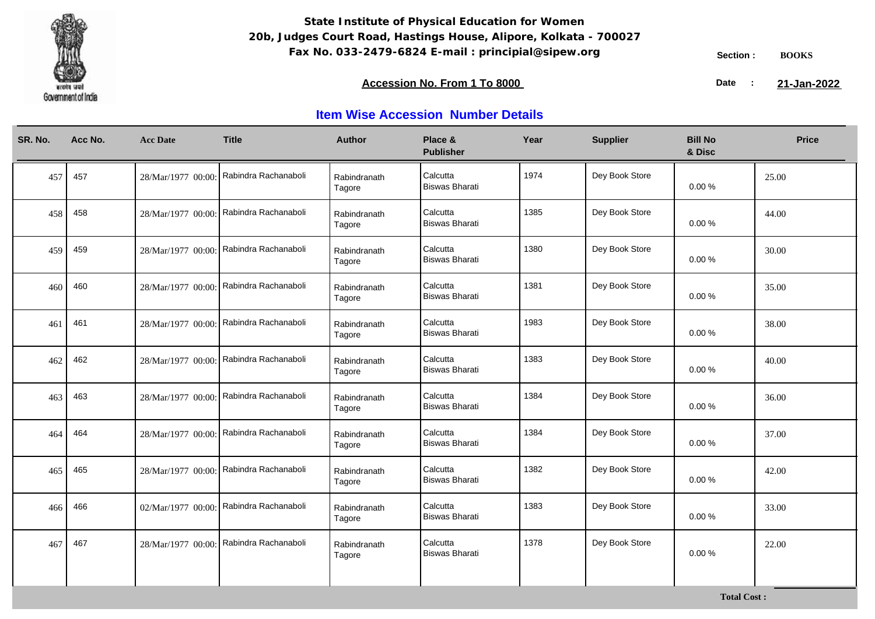

**Total Cost :**

### **Accession No. From 1 To 8000 21-January 2008 21-January 2008 21-January 2008 21-January 2009**

21-Jan-2022

| SR. No. | Acc No. | <b>Acc Date</b>    | <b>Title</b>                            | <b>Author</b>          | Place &<br><b>Publisher</b>       | Year | <b>Supplier</b> | <b>Bill No</b><br>& Disc | <b>Price</b> |
|---------|---------|--------------------|-----------------------------------------|------------------------|-----------------------------------|------|-----------------|--------------------------|--------------|
| 457     | 457     |                    | 28/Mar/1977 00:00: Rabindra Rachanaboli | Rabindranath<br>Tagore | Calcutta<br><b>Biswas Bharati</b> | 1974 | Dey Book Store  | 0.00%                    | 25.00        |
| 458     | 458     |                    | 28/Mar/1977 00:00: Rabindra Rachanaboli | Rabindranath<br>Tagore | Calcutta<br><b>Biswas Bharati</b> | 1385 | Dey Book Store  | 0.00%                    | 44.00        |
| 459     | 459     |                    | 28/Mar/1977 00:00: Rabindra Rachanaboli | Rabindranath<br>Tagore | Calcutta<br><b>Biswas Bharati</b> | 1380 | Dey Book Store  | $0.00 \%$                | 30.00        |
| 460     | 460     | 28/Mar/1977 00:00: | Rabindra Rachanaboli                    | Rabindranath<br>Tagore | Calcutta<br><b>Biswas Bharati</b> | 1381 | Dey Book Store  | 0.00%                    | 35.00        |
| 461     | 461     | 28/Mar/1977 00:00: | Rabindra Rachanaboli                    | Rabindranath<br>Tagore | Calcutta<br><b>Biswas Bharati</b> | 1983 | Dey Book Store  | $0.00 \%$                | 38.00        |
| 462     | 462     |                    | 28/Mar/1977 00:00: Rabindra Rachanaboli | Rabindranath<br>Tagore | Calcutta<br><b>Biswas Bharati</b> | 1383 | Dey Book Store  | 0.00%                    | 40.00        |
| 463     | 463     |                    | 28/Mar/1977 00:00: Rabindra Rachanaboli | Rabindranath<br>Tagore | Calcutta<br><b>Biswas Bharati</b> | 1384 | Dey Book Store  | 0.00%                    | 36.00        |
| 464     | 464     |                    | 28/Mar/1977 00:00: Rabindra Rachanaboli | Rabindranath<br>Tagore | Calcutta<br><b>Biswas Bharati</b> | 1384 | Dey Book Store  | 0.00%                    | 37.00        |
| 465     | 465     | 28/Mar/1977 00:00: | Rabindra Rachanaboli                    | Rabindranath<br>Tagore | Calcutta<br><b>Biswas Bharati</b> | 1382 | Dey Book Store  | 0.00%                    | 42.00        |
| 466     | 466     | 02/Mar/1977 00:00: | Rabindra Rachanaboli                    | Rabindranath<br>Tagore | Calcutta<br><b>Biswas Bharati</b> | 1383 | Dey Book Store  | 0.00%                    | 33.00        |
| 467     | 467     | 28/Mar/1977 00:00: | Rabindra Rachanaboli                    | Rabindranath<br>Tagore | Calcutta<br><b>Biswas Bharati</b> | 1378 | Dey Book Store  | 0.00%                    | 22.00        |
|         |         |                    |                                         |                        |                                   |      |                 |                          |              |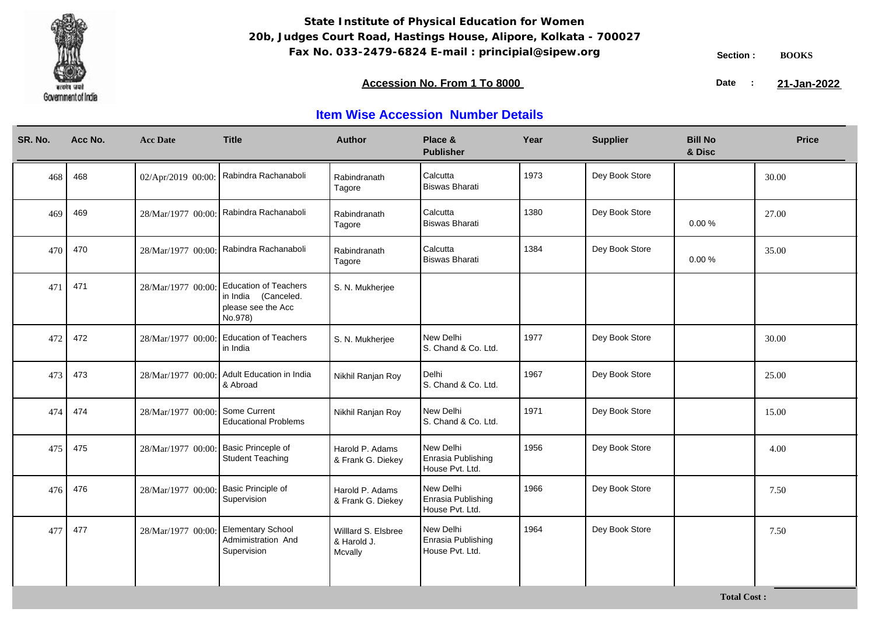

**Total Cost :**

### **Accession No. From 1 To 8000 21-January 2008 21-January 2008 21-January 2008 21-January 2009**

21-Jan-2022

| SR. No. | Acc No. | <b>Acc Date</b>    | <b>Title</b>                                                                         | <b>Author</b>                                 | Place &<br><b>Publisher</b>                        | Year | <b>Supplier</b> | <b>Bill No</b><br>& Disc | <b>Price</b> |
|---------|---------|--------------------|--------------------------------------------------------------------------------------|-----------------------------------------------|----------------------------------------------------|------|-----------------|--------------------------|--------------|
| 468     | 468     | 02/Apr/2019 00:00: | Rabindra Rachanaboli                                                                 | Rabindranath<br>Tagore                        | Calcutta<br><b>Biswas Bharati</b>                  | 1973 | Dey Book Store  |                          | 30.00        |
| 469     | 469     |                    | 28/Mar/1977 00:00: Rabindra Rachanaboli                                              | Rabindranath<br>Tagore                        | Calcutta<br><b>Biswas Bharati</b>                  | 1380 | Dey Book Store  | $0.00 \%$                | 27.00        |
| 470     | 470     |                    | 28/Mar/1977 00:00: Rabindra Rachanaboli                                              | Rabindranath<br>Tagore                        | Calcutta<br><b>Biswas Bharati</b>                  | 1384 | Dey Book Store  | 0.00%                    | 35.00        |
| 471     | 471     | 28/Mar/1977 00:00: | <b>Education of Teachers</b><br>in India (Canceled.<br>please see the Acc<br>No.978) | S. N. Mukherjee                               |                                                    |      |                 |                          |              |
| 472     | 472     | 28/Mar/1977 00:00: | <b>Education of Teachers</b><br>in India                                             | S. N. Mukherjee                               | New Delhi<br>S. Chand & Co. Ltd.                   | 1977 | Dey Book Store  |                          | 30.00        |
| 473     | 473     |                    | 28/Mar/1977 00:00: Adult Education in India<br>& Abroad                              | Nikhil Ranjan Roy                             | Delhi<br>S. Chand & Co. Ltd.                       | 1967 | Dey Book Store  |                          | 25.00        |
| 474     | 474     | 28/Mar/1977 00:00: | Some Current<br><b>Educational Problems</b>                                          | Nikhil Ranjan Roy                             | New Delhi<br>S. Chand & Co. Ltd.                   | 1971 | Dey Book Store  |                          | 15.00        |
| 475     | 475     | 28/Mar/1977 00:00: | Basic Princeple of<br><b>Student Teaching</b>                                        | Harold P. Adams<br>& Frank G. Diekey          | New Delhi<br>Enrasia Publishing<br>House Pvt. Ltd. | 1956 | Dey Book Store  |                          | 4.00         |
| 476     | 476     | 28/Mar/1977 00:00  | Basic Principle of<br>Supervision                                                    | Harold P. Adams<br>& Frank G. Diekey          | New Delhi<br>Enrasia Publishing<br>House Pvt. Ltd. | 1966 | Dey Book Store  |                          | 7.50         |
| 477     | 477     | 28/Mar/1977 00:00: | <b>Elementary School</b><br>Admimistration And<br>Supervision                        | Willlard S. Elsbree<br>& Harold J.<br>Mcvally | New Delhi<br>Enrasia Publishing<br>House Pvt. Ltd. | 1964 | Dey Book Store  |                          | 7.50         |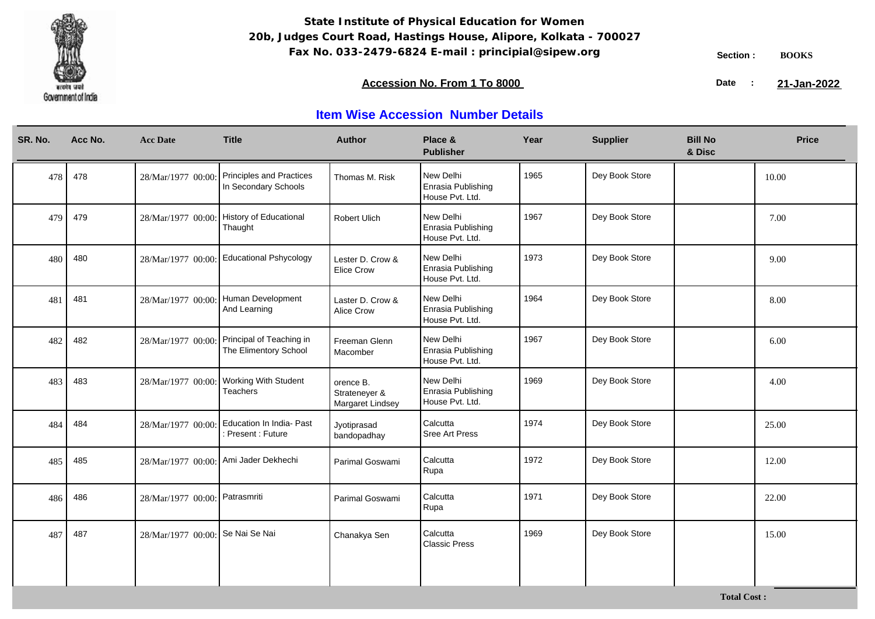

### **Accession No. From 1 To 8000 21-January 2008 21-January 2008 21-January 2008 21-January 2009**

21-Jan-2022

| SR. No. | Acc No. | <b>Acc Date</b>                  | <b>Title</b>                                                         | <b>Author</b>                                  | Place &<br><b>Publisher</b>                        | Year | <b>Supplier</b> | <b>Bill No</b><br>& Disc | <b>Price</b> |
|---------|---------|----------------------------------|----------------------------------------------------------------------|------------------------------------------------|----------------------------------------------------|------|-----------------|--------------------------|--------------|
| 478     | 478     | 28/Mar/1977 00:00:               | <b>Principles and Practices</b><br>In Secondary Schools              | Thomas M. Risk                                 | New Delhi<br>Enrasia Publishing<br>House Pvt. Ltd. | 1965 | Dey Book Store  |                          | 10.00        |
| 479     | 479     |                                  | 28/Mar/1977 00:00: History of Educational<br>Thaught                 | <b>Robert Ulich</b>                            | New Delhi<br>Enrasia Publishing<br>House Pvt. Ltd. | 1967 | Dey Book Store  |                          | 7.00         |
| 480     | 480     |                                  | 28/Mar/1977 00:00: Educational Pshycology                            | Lester D. Crow &<br><b>Elice Crow</b>          | New Delhi<br>Enrasia Publishing<br>House Pvt. Ltd. | 1973 | Dey Book Store  |                          | 9.00         |
| 481     | 481     | 28/Mar/1977 00:00:               | Human Development<br>And Learning                                    | Laster D. Crow &<br><b>Alice Crow</b>          | New Delhi<br>Enrasia Publishing<br>House Pvt. Ltd. | 1964 | Dey Book Store  |                          | 8.00         |
| 482     | 482     |                                  | 28/Mar/1977 00:00: Principal of Teaching in<br>The Elimentory School | Freeman Glenn<br>Macomber                      | New Delhi<br>Enrasia Publishing<br>House Pvt. Ltd. | 1967 | Dey Book Store  |                          | 6.00         |
| 483     | 483     | 28/Mar/1977 00:00:               | <b>Working With Student</b><br><b>Teachers</b>                       | orence B.<br>Strateneyer &<br>Margaret Lindsey | New Delhi<br>Enrasia Publishing<br>House Pvt. Ltd. | 1969 | Dey Book Store  |                          | 4.00         |
| 484     | 484     | 28/Mar/1977 00:00:               | Education In India- Past<br>Present: Future                          | Jyotiprasad<br>bandopadhay                     | Calcutta<br><b>Sree Art Press</b>                  | 1974 | Dey Book Store  |                          | 25.00        |
| 485     | 485     |                                  | 28/Mar/1977 00:00: Ami Jader Dekhechi                                | Parimal Goswami                                | Calcutta<br>Rupa                                   | 1972 | Dey Book Store  |                          | 12.00        |
| 486     | 486     | 28/Mar/1977 00:00: Patrasmriti   |                                                                      | Parimal Goswami                                | Calcutta<br>Rupa                                   | 1971 | Dey Book Store  |                          | 22.00        |
| 487     | 487     | 28/Mar/1977 00:00: Se Nai Se Nai |                                                                      | Chanakya Sen                                   | Calcutta<br><b>Classic Press</b>                   | 1969 | Dey Book Store  |                          | 15.00        |
|         |         |                                  |                                                                      |                                                |                                                    |      |                 |                          |              |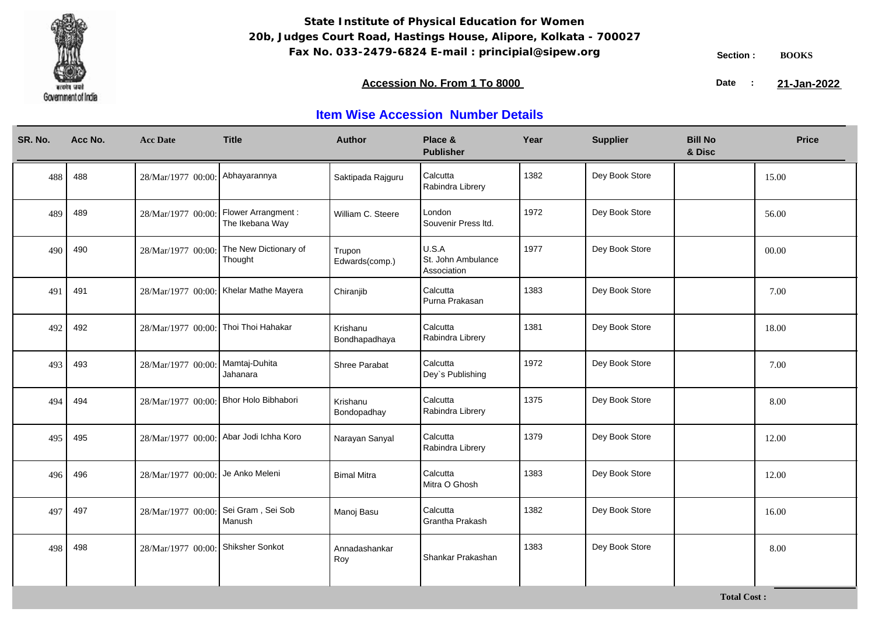

### **Accession No. From 1 To 8000 21-January 2008 21-January 2008 21-January 2008 21-January 2009**

21-Jan-2022

| SR. No. | Acc No. | <b>Acc Date</b>                        | <b>Title</b>                            | <b>Author</b>             | Place &<br><b>Publisher</b>                | Year | <b>Supplier</b> | <b>Bill No</b><br>& Disc | <b>Price</b> |
|---------|---------|----------------------------------------|-----------------------------------------|---------------------------|--------------------------------------------|------|-----------------|--------------------------|--------------|
| 488     | 488     | 28/Mar/1977 00:00: Abhayarannya        |                                         | Saktipada Rajguru         | Calcutta<br>Rabindra Librery               | 1382 | Dey Book Store  |                          | 15.00        |
| 489     | 489     | 28/Mar/1977 00:00:                     | Flower Arrangment :<br>The Ikebana Way  | William C. Steere         | London<br>Souvenir Press Itd.              | 1972 | Dey Book Store  |                          | 56.00        |
| 490     | 490     | 28/Mar/1977 00:00:                     | The New Dictionary of<br>Thought        | Trupon<br>Edwards(comp.)  | U.S.A<br>St. John Ambulance<br>Association | 1977 | Dey Book Store  |                          | 00.00        |
| 491     | 491     |                                        | 28/Mar/1977 00:00: Khelar Mathe Mayera  | Chiranjib                 | Calcutta<br>Purna Prakasan                 | 1383 | Dey Book Store  |                          | 7.00         |
| 492     | 492     | 28/Mar/1977 00:00:                     | Thoi Thoi Hahakar                       | Krishanu<br>Bondhapadhaya | Calcutta<br>Rabindra Librery               | 1381 | Dey Book Store  |                          | 18.00        |
| 493     | 493     | 28/Mar/1977 00:00:                     | Mamtaj-Duhita<br>Jahanara               | Shree Parabat             | Calcutta<br>Dey's Publishing               | 1972 | Dey Book Store  |                          | 7.00         |
| 494     | 494     | 28/Mar/1977 00:00: Bhor Holo Bibhabori |                                         | Krishanu<br>Bondopadhay   | Calcutta<br>Rabindra Librery               | 1375 | Dey Book Store  |                          | 8.00         |
| 495     | 495     |                                        | 28/Mar/1977 00:00: Abar Jodi Ichha Koro | Narayan Sanyal            | Calcutta<br>Rabindra Librery               | 1379 | Dey Book Store  |                          | 12.00        |
| 496     | 496     | 28/Mar/1977 00:00: Je Anko Meleni      |                                         | <b>Bimal Mitra</b>        | Calcutta<br>Mitra O Ghosh                  | 1383 | Dey Book Store  |                          | 12.00        |
| 497     | 497     | 28/Mar/1977 00:00:                     | Sei Gram, Sei Sob<br>Manush             | Manoj Basu                | Calcutta<br>Grantha Prakash                | 1382 | Dey Book Store  |                          | 16.00        |
| 498     | 498     | 28/Mar/1977 00:00: Shiksher Sonkot     |                                         | Annadashankar<br>Roy      | Shankar Prakashan                          | 1383 | Dey Book Store  |                          | 8.00         |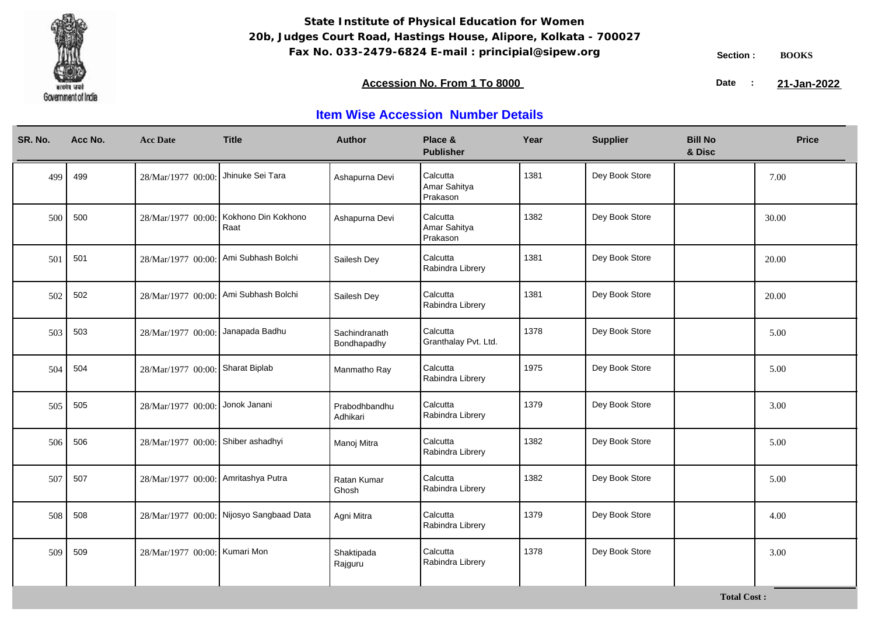

**Total Cost :**

### **Accession No. From 1 To 8000 21-January 2008 21-January 2008 21-January 2008 21-January 2009**

21-Jan-2022

| Acc No.<br><b>Title</b><br><b>Author</b><br>Place &<br>SR. No.<br><b>Acc Date</b><br><b>Publisher</b>                     | Year | <b>Supplier</b> | <b>Bill No</b><br>& Disc | <b>Price</b> |
|---------------------------------------------------------------------------------------------------------------------------|------|-----------------|--------------------------|--------------|
| Jhinuke Sei Tara<br>Calcutta<br>499<br>499<br>28/Mar/1977 00:00:<br>Ashapurna Devi<br>Amar Sahitya<br>Prakason            | 1381 | Dey Book Store  |                          | 7.00         |
| Kokhono Din Kokhono<br>Calcutta<br>500<br>500<br>28/Mar/1977 00:00:<br>Ashapurna Devi<br>Amar Sahitya<br>Raat<br>Prakason | 1382 | Dey Book Store  |                          | 30.00        |
| Calcutta<br>28/Mar/1977 00:00: Ami Subhash Bolchi<br>501<br>501<br>Sailesh Dey<br>Rabindra Librery                        | 1381 | Dey Book Store  |                          | 20.00        |
| Calcutta<br>28/Mar/1977 00:00: Ami Subhash Bolchi<br>502<br>502<br>Sailesh Dey<br>Rabindra Librery                        | 1381 | Dey Book Store  |                          | 20.00        |
| Calcutta<br>28/Mar/1977 00:00: Janapada Badhu<br>503<br>503<br>Sachindranath<br>Granthalay Pvt. Ltd.<br>Bondhapadhy       | 1378 | Dey Book Store  |                          | 5.00         |
| Calcutta<br>28/Mar/1977 00:00: Sharat Biplab<br>504<br>504<br>Manmatho Ray<br>Rabindra Librery                            | 1975 | Dey Book Store  |                          | 5.00         |
| Calcutta<br>28/Mar/1977 00:00: Jonok Janani<br>505<br>505<br>Prabodhbandhu<br>Rabindra Librery<br>Adhikari                | 1379 | Dey Book Store  |                          | 3.00         |
| Calcutta<br>28/Mar/1977 00:00: Shiber ashadhyi<br>506<br>506<br>Manoj Mitra<br>Rabindra Librery                           | 1382 | Dey Book Store  |                          | 5.00         |
| Calcutta<br>28/Mar/1977 00:00: Amritashya Putra<br>507<br>507<br>Ratan Kumar<br>Rabindra Librery<br>Ghosh                 | 1382 | Dey Book Store  |                          | 5.00         |
| Calcutta<br>28/Mar/1977 00:00: Nijosyo Sangbaad Data<br>508<br>508<br>Agni Mitra<br>Rabindra Librery                      | 1379 | Dey Book Store  |                          | 4.00         |
| Calcutta<br>28/Mar/1977 00:00: Kumari Mon<br>509<br>509<br>Shaktipada<br>Rabindra Librery<br>Rajguru                      | 1378 | Dey Book Store  |                          | 3.00         |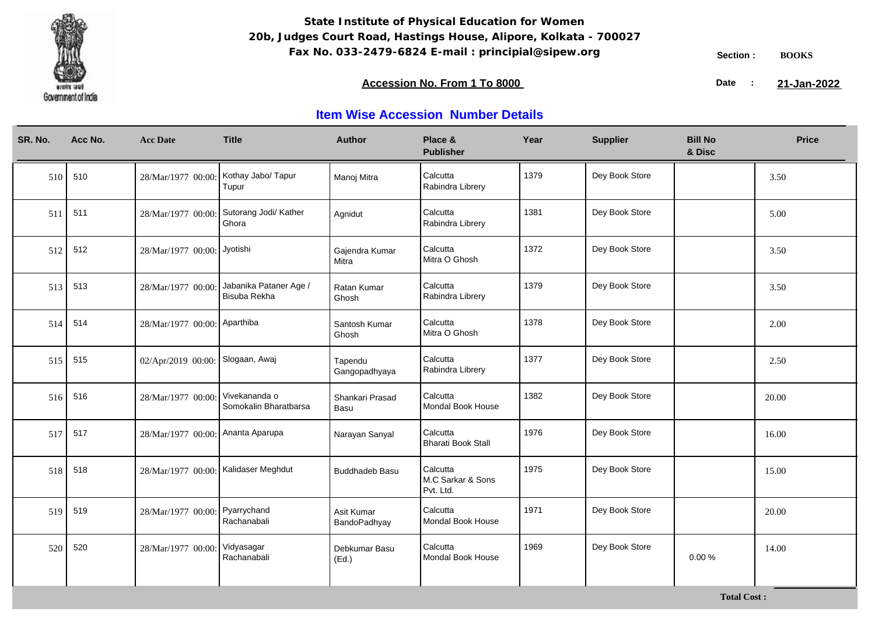

### **Accession No. From 1 To 8000 21-January 2008 21-January 2008 21-January 2008 21-January 2009**

21-Jan-2022

| SR. No. | Acc No. | <b>Acc Date</b>                      | <b>Title</b>                           | <b>Author</b>              | Place &<br><b>Publisher</b>                | Year | <b>Supplier</b> | <b>Bill No</b><br>& Disc | <b>Price</b> |
|---------|---------|--------------------------------------|----------------------------------------|----------------------------|--------------------------------------------|------|-----------------|--------------------------|--------------|
| 510     | 510     | 28/Mar/1977 00:00:                   | Kothay Jabo/ Tapur<br>Tupur            | Manoj Mitra                | Calcutta<br>Rabindra Librery               | 1379 | Dey Book Store  |                          | 3.50         |
| 511     | 511     | 28/Mar/1977 00:00:                   | Sutorang Jodi/ Kather<br>Ghora         | Agnidut                    | Calcutta<br>Rabindra Librery               | 1381 | Dey Book Store  |                          | 5.00         |
| 512     | 512     | 28/Mar/1977 00:00: Jyotishi          |                                        | Gajendra Kumar<br>Mitra    | Calcutta<br>Mitra O Ghosh                  | 1372 | Dey Book Store  |                          | 3.50         |
| 513     | 513     | 28/Mar/1977 00:00:                   | Jabanika Pataner Age /<br>Bisuba Rekha | Ratan Kumar<br>Ghosh       | Calcutta<br>Rabindra Librery               | 1379 | Dey Book Store  |                          | 3.50         |
| 514     | 514     | 28/Mar/1977 00:00: Aparthiba         |                                        | Santosh Kumar<br>Ghosh     | Calcutta<br>Mitra O Ghosh                  | 1378 | Dey Book Store  |                          | 2.00         |
| 515     | 515     | 02/Apr/2019 00:00: Slogaan, Awaj     |                                        | Tapendu<br>Gangopadhyaya   | Calcutta<br>Rabindra Librery               | 1377 | Dey Book Store  |                          | 2.50         |
| 516     | 516     | 28/Mar/1977 00:00                    | Vivekananda o<br>Somokalin Bharatbarsa | Shankari Prasad<br>Basu    | Calcutta<br>Mondal Book House              | 1382 | Dey Book Store  |                          | 20.00        |
| 517     | 517     | 28/Mar/1977 00:00: Ananta Aparupa    |                                        | Narayan Sanyal             | Calcutta<br><b>Bharati Book Stall</b>      | 1976 | Dey Book Store  |                          | 16.00        |
| 518     | 518     | 28/Mar/1977 00:00: Kalidaser Meghdut |                                        | <b>Buddhadeb Basu</b>      | Calcutta<br>M.C Sarkar & Sons<br>Pvt. Ltd. | 1975 | Dey Book Store  |                          | 15.00        |
| 519     | 519     | 28/Mar/1977 00:00:                   | Pyarrychand<br>Rachanabali             | Asit Kumar<br>BandoPadhyay | Calcutta<br>Mondal Book House              | 1971 | Dey Book Store  |                          | 20.00        |
| 520     | 520     | 28/Mar/1977 00:00:                   | Vidyasagar<br>Rachanabali              | Debkumar Basu<br>(Ed.)     | Calcutta<br>Mondal Book House              | 1969 | Dey Book Store  | 0.00%                    | 14.00        |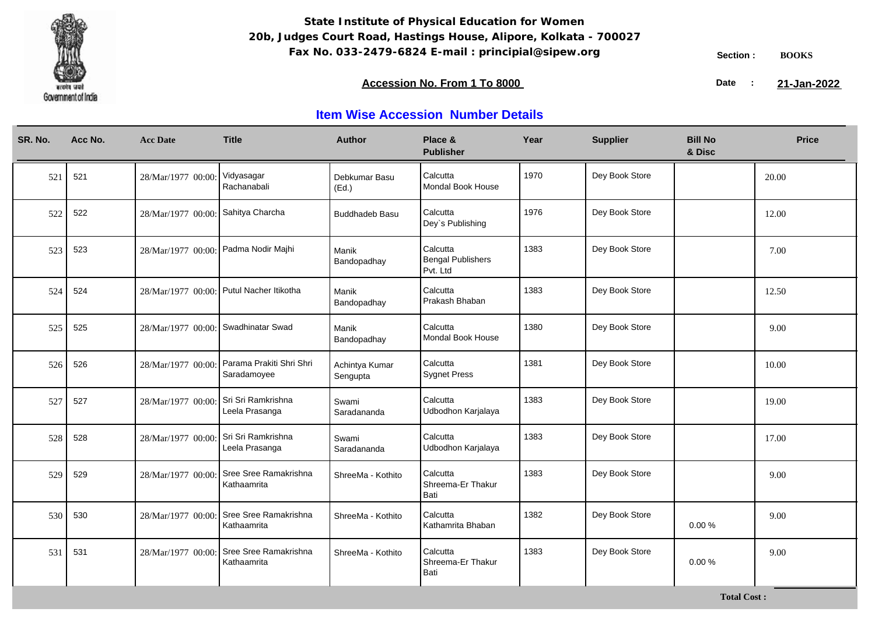

### **Accession No. From 1 To 8000 21-January 2008 21-January 2008 21-January 2008 21-January 2009**

21-Jan-2022

| SR. No. | Acc No. | <b>Acc Date</b>                      | <b>Title</b>                                               | <b>Author</b>              | Place &<br><b>Publisher</b>               | Year | <b>Supplier</b> | <b>Bill No</b><br>& Disc | <b>Price</b> |
|---------|---------|--------------------------------------|------------------------------------------------------------|----------------------------|-------------------------------------------|------|-----------------|--------------------------|--------------|
| 521     | 521     | 28/Mar/1977 00:00                    | Vidyasagar<br>Rachanabali                                  | Debkumar Basu<br>(Ed.)     | Calcutta<br>Mondal Book House             | 1970 | Dey Book Store  |                          | 20.00        |
| 522     | 522     | 28/Mar/1977 00:00: Sahitya Charcha   |                                                            | <b>Buddhadeb Basu</b>      | Calcutta<br>Dey's Publishing              | 1976 | Dey Book Store  |                          | 12.00        |
| 523     | 523     | 28/Mar/1977 00:00: Padma Nodir Majhi |                                                            | Manik<br>Bandopadhay       | Calcutta<br>Bengal Publishers<br>Pvt. Ltd | 1383 | Dey Book Store  |                          | 7.00         |
| 524     | 524     |                                      | 28/Mar/1977 00:00: Putul Nacher Itikotha                   | Manik<br>Bandopadhay       | Calcutta<br>Prakash Bhaban                | 1383 | Dey Book Store  |                          | 12.50        |
| 525     | 525     | 28/Mar/1977 00:00: Swadhinatar Swad  |                                                            | Manik<br>Bandopadhay       | Calcutta<br>Mondal Book House             | 1380 | Dey Book Store  |                          | 9.00         |
| 526     | 526     |                                      | 28/Mar/1977 00:00: Parama Prakiti Shri Shri<br>Saradamoyee | Achintya Kumar<br>Sengupta | Calcutta<br><b>Sygnet Press</b>           | 1381 | Dey Book Store  |                          | 10.00        |
| 527     | 527     | 28/Mar/1977 00:00:                   | Sri Sri Ramkrishna<br>Leela Prasanga                       | Swami<br>Saradananda       | Calcutta<br>Udbodhon Karjalaya            | 1383 | Dey Book Store  |                          | 19.00        |
| 528     | 528     | 28/Mar/1977 00:00:                   | Sri Sri Ramkrishna<br>Leela Prasanga                       | Swami<br>Saradananda       | Calcutta<br>Udbodhon Karjalaya            | 1383 | Dey Book Store  |                          | 17.00        |
| 529     | 529     | 28/Mar/1977 00:00:                   | Sree Sree Ramakrishna<br>Kathaamrita                       | ShreeMa - Kothito          | Calcutta<br>Shreema-Er Thakur<br>Bati     | 1383 | Dey Book Store  |                          | 9.00         |
| 530     | 530     | 28/Mar/1977 00:00                    | Sree Sree Ramakrishna<br>Kathaamrita                       | ShreeMa - Kothito          | Calcutta<br>Kathamrita Bhaban             | 1382 | Dey Book Store  | 0.00%                    | 9.00         |
| 531     | 531     | 28/Mar/1977 00:00                    | Sree Sree Ramakrishna<br>Kathaamrita                       | ShreeMa - Kothito          | Calcutta<br>Shreema-Er Thakur<br>Bati     | 1383 | Dey Book Store  | 0.00%                    | 9.00         |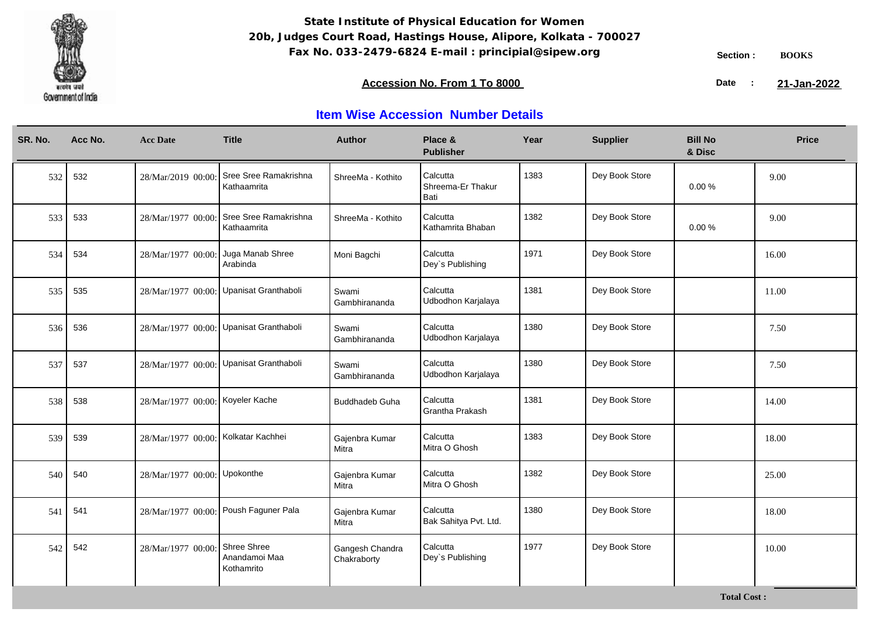

**Total Cost :**

### **Accession No. From 1 To 8000 21-January 2008 21-January 2008 21-January 2008 21-January 2009**

21-Jan-2022

| SR. No. | Acc No. | <b>Acc Date</b>                     | <b>Title</b>                               | <b>Author</b>                  | Place &<br><b>Publisher</b>           | Year | <b>Supplier</b> | <b>Bill No</b><br>& Disc | <b>Price</b> |
|---------|---------|-------------------------------------|--------------------------------------------|--------------------------------|---------------------------------------|------|-----------------|--------------------------|--------------|
| 532     | 532     | 28/Mar/2019 00:00:                  | Sree Sree Ramakrishna<br>Kathaamrita       | ShreeMa - Kothito              | Calcutta<br>Shreema-Er Thakur<br>Bati | 1383 | Dey Book Store  | 0.00%                    | 9.00         |
| 533     | 533     | 28/Mar/1977 00:00:                  | Sree Sree Ramakrishna<br>Kathaamrita       | ShreeMa - Kothito              | Calcutta<br>Kathamrita Bhaban         | 1382 | Dey Book Store  | 0.00%                    | 9.00         |
| 534     | 534     | 28/Mar/1977 00:00:                  | Juga Manab Shree<br>Arabinda               | Moni Bagchi                    | Calcutta<br>Dey's Publishing          | 1971 | Dey Book Store  |                          | 16.00        |
| 535     | 535     |                                     | 28/Mar/1977 00:00: Upanisat Granthaboli    | Swami<br>Gambhirananda         | Calcutta<br>Udbodhon Karjalaya        | 1381 | Dey Book Store  |                          | 11.00        |
| 536     | 536     |                                     | 28/Mar/1977 00:00: Upanisat Granthaboli    | Swami<br>Gambhirananda         | Calcutta<br>Udbodhon Karjalaya        | 1380 | Dey Book Store  |                          | 7.50         |
| 537     | 537     |                                     | 28/Mar/1977 00:00: Upanisat Granthaboli    | Swami<br>Gambhirananda         | Calcutta<br>Udbodhon Karjalaya        | 1380 | Dey Book Store  |                          | 7.50         |
| 538     | 538     | 28/Mar/1977 00:00: Koyeler Kache    |                                            | Buddhadeb Guha                 | Calcutta<br>Grantha Prakash           | 1381 | Dey Book Store  |                          | 14.00        |
| 539     | 539     | 28/Mar/1977 00:00: Kolkatar Kachhei |                                            | Gajenbra Kumar<br>Mitra        | Calcutta<br>Mitra O Ghosh             | 1383 | Dey Book Store  |                          | 18.00        |
| 540     | 540     | 28/Mar/1977 00:00: Upokonthe        |                                            | Gajenbra Kumar<br>Mitra        | Calcutta<br>Mitra O Ghosh             | 1382 | Dey Book Store  |                          | 25.00        |
| 541     | 541     |                                     | 28/Mar/1977 00:00: Poush Faguner Pala      | Gajenbra Kumar<br>Mitra        | Calcutta<br>Bak Sahitya Pvt. Ltd.     | 1380 | Dey Book Store  |                          | 18.00        |
| 542     | 542     | 28/Mar/1977 00:00:                  | Shree Shree<br>Anandamoi Maa<br>Kothamrito | Gangesh Chandra<br>Chakraborty | Calcutta<br>Dey's Publishing          | 1977 | Dey Book Store  |                          | 10.00        |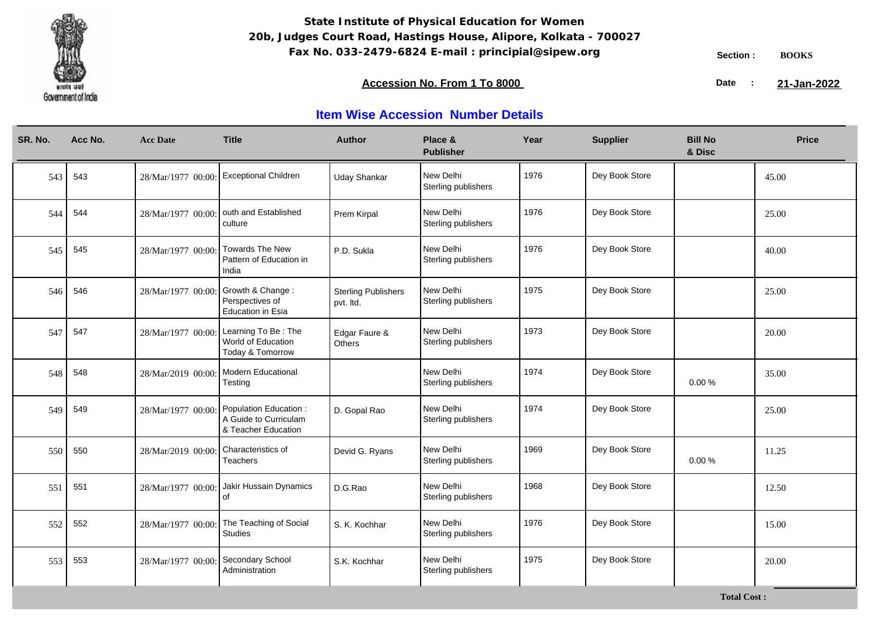

### **Accession No. From 1 To 8000 21-January 2008 21-January 2008 21-January 2008 21-January 2009**

21-Jan-2022

| SR. No. | Acc No. | <b>Acc Date</b>    | <b>Title</b>                                                           | <b>Author</b>                           | Place &<br><b>Publisher</b>      | Year | <b>Supplier</b> | <b>Bill No</b><br>& Disc | <b>Price</b> |
|---------|---------|--------------------|------------------------------------------------------------------------|-----------------------------------------|----------------------------------|------|-----------------|--------------------------|--------------|
| 543     | 543     | 28/Mar/1977 00:00: | <b>Exceptional Children</b>                                            | <b>Uday Shankar</b>                     | New Delhi<br>Sterling publishers | 1976 | Dey Book Store  |                          | 45.00        |
| 544     | 544     | 28/Mar/1977 00:00: | outh and Established<br>culture                                        | Prem Kirpal                             | New Delhi<br>Sterling publishers | 1976 | Dey Book Store  |                          | 25.00        |
| 545     | 545     | 28/Mar/1977 00:00  | <b>Towards The New</b><br>Pattern of Education in<br>India             | P.D. Sukla                              | New Delhi<br>Sterling publishers | 1976 | Dey Book Store  |                          | 40.00        |
| 546     | 546     | 28/Mar/1977 00:00  | Growth & Change:<br>Perspectives of<br>Education in Esia               | <b>Sterling Publishers</b><br>pvt. Itd. | New Delhi<br>Sterling publishers | 1975 | Dey Book Store  |                          | 25.00        |
| 547     | 547     | 28/Mar/1977 00:00: | Learning To Be: The<br>World of Education<br>Today & Tomorrow          | Edgar Faure &<br>Others                 | New Delhi<br>Sterling publishers | 1973 | Dey Book Store  |                          | 20.00        |
| 548     | 548     | 28/Mar/2019 00:00  | Modern Educational<br>Testing                                          |                                         | New Delhi<br>Sterling publishers | 1974 | Dey Book Store  | 0.00%                    | 35.00        |
| 549     | 549     | 28/Mar/1977 00:00: | Population Education :<br>A Guide to Curriculam<br>& Teacher Education | D. Gopal Rao                            | New Delhi<br>Sterling publishers | 1974 | Dey Book Store  |                          | 25.00        |
| 550     | 550     | 28/Mar/2019 00:00  | Characteristics of<br><b>Teachers</b>                                  | Devid G. Ryans                          | New Delhi<br>Sterling publishers | 1969 | Dey Book Store  | 0.00%                    | 11.25        |
| 551     | 551     | 28/Mar/1977 00:00  | Jakir Hussain Dynamics<br>of                                           | D.G.Rao                                 | New Delhi<br>Sterling publishers | 1968 | Dey Book Store  |                          | 12.50        |
| 552     | 552     | 28/Mar/1977 00:00  | The Teaching of Social<br><b>Studies</b>                               | S. K. Kochhar                           | New Delhi<br>Sterling publishers | 1976 | Dey Book Store  |                          | 15.00        |
| 553     | 553     | 28/Mar/1977 00:00  | Secondary School<br>Administration                                     | S.K. Kochhar                            | New Delhi<br>Sterling publishers | 1975 | Dey Book Store  |                          | 20.00        |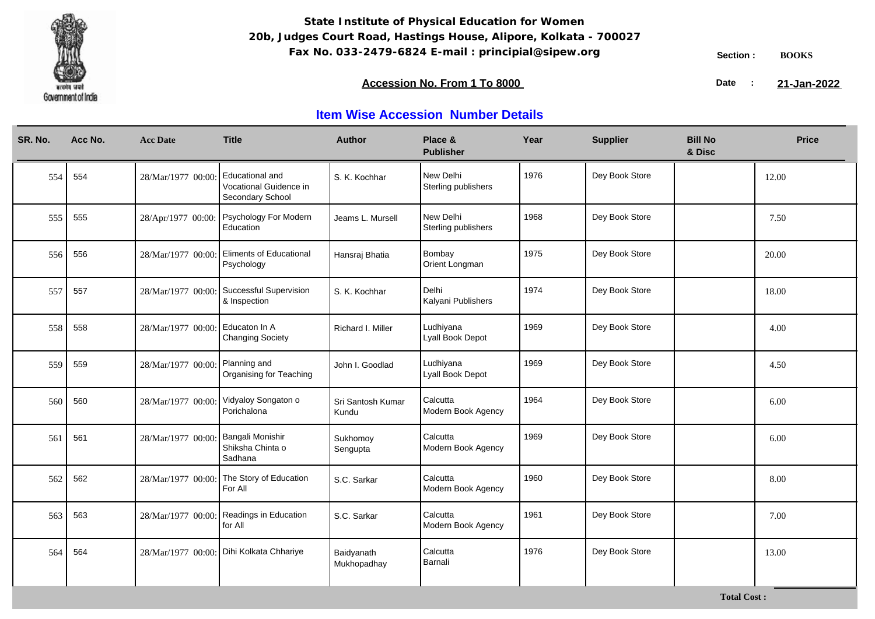

**Total Cost :**

### **Accession No. From 1 To 8000 21-January 2008 21-January 2008 21-January 2008 21-January 2009**

21-Jan-2022

| SR. No. | Acc No. | <b>Acc Date</b>    | <b>Title</b>                                                  | <b>Author</b>              | Place &<br><b>Publisher</b>      | Year | <b>Supplier</b> | <b>Bill No</b><br>& Disc | <b>Price</b> |
|---------|---------|--------------------|---------------------------------------------------------------|----------------------------|----------------------------------|------|-----------------|--------------------------|--------------|
| 554     | 554     | 28/Mar/1977 00:00  | Educational and<br>Vocational Guidence in<br>Secondary School | S. K. Kochhar              | New Delhi<br>Sterling publishers | 1976 | Dey Book Store  |                          | 12.00        |
| 555     | 555     | 28/Apr/1977 00:00: | Psychology For Modern<br>Education                            | Jeams L. Mursell           | New Delhi<br>Sterling publishers | 1968 | Dey Book Store  |                          | 7.50         |
| 556     | 556     | 28/Mar/1977 00:00: | <b>Eliments of Educational</b><br>Psychology                  | Hansraj Bhatia             | Bombay<br>Orient Longman         | 1975 | Dey Book Store  |                          | 20.00        |
| 557     | 557     | 28/Mar/1977 00:00: | Successful Supervision<br>& Inspection                        | S. K. Kochhar              | Delhi<br>Kalyani Publishers      | 1974 | Dey Book Store  |                          | 18.00        |
| 558     | 558     | 28/Mar/1977 00:00: | Educaton In A<br><b>Changing Society</b>                      | Richard I. Miller          | Ludhiyana<br>Lyall Book Depot    | 1969 | Dey Book Store  |                          | 4.00         |
| 559     | 559     | 28/Mar/1977 00:00: | Planning and<br>Organising for Teaching                       | John I. Goodlad            | Ludhiyana<br>Lyall Book Depot    | 1969 | Dey Book Store  |                          | 4.50         |
| 560     | 560     | 28/Mar/1977 00:00: | Vidyaloy Songaton o<br>Porichalona                            | Sri Santosh Kumar<br>Kundu | Calcutta<br>Modern Book Agency   | 1964 | Dey Book Store  |                          | 6.00         |
| 561     | 561     | 28/Mar/1977 00:00  | Bangali Monishir<br>Shiksha Chinta o<br>Sadhana               | Sukhomoy<br>Sengupta       | Calcutta<br>Modern Book Agency   | 1969 | Dey Book Store  |                          | 6.00         |
| 562     | 562     | 28/Mar/1977 00:00: | The Story of Education<br>For All                             | S.C. Sarkar                | Calcutta<br>Modern Book Agency   | 1960 | Dey Book Store  |                          | 8.00         |
| 563     | 563     | 28/Mar/1977 00:00: | Readings in Education<br>for All                              | S.C. Sarkar                | Calcutta<br>Modern Book Agency   | 1961 | Dey Book Store  |                          | 7.00         |
| 564     | 564     |                    | 28/Mar/1977 00:00: Dihi Kolkata Chhariye                      | Baidyanath<br>Mukhopadhay  | Calcutta<br>Barnali              | 1976 | Dey Book Store  |                          | 13.00        |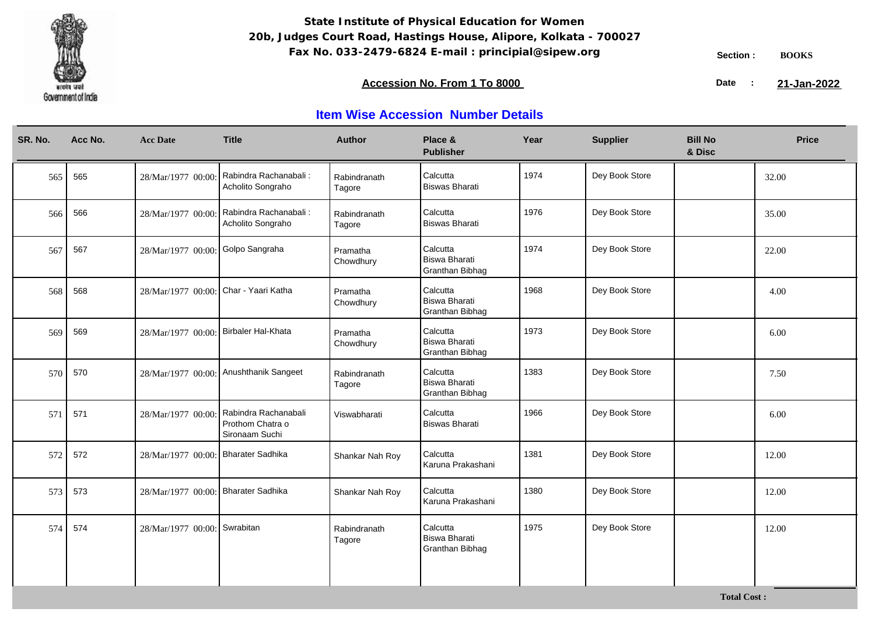

### **Accession No. From 1 To 8000 21-January 2008 21-January 2008 21-January 2008 21-January 2009**

21-Jan-2022

| SR. No. | Acc No. | <b>Acc Date</b>                       | <b>Title</b>                                               | <b>Author</b>          | Place &<br><b>Publisher</b>                                | Year | <b>Supplier</b> | <b>Bill No</b><br>& Disc | <b>Price</b> |
|---------|---------|---------------------------------------|------------------------------------------------------------|------------------------|------------------------------------------------------------|------|-----------------|--------------------------|--------------|
| 565     | 565     | 28/Mar/1977 00:00                     | Rabindra Rachanabali:<br>Acholito Songraho                 | Rabindranath<br>Tagore | Calcutta<br>Biswas Bharati                                 | 1974 | Dey Book Store  |                          | 32.00        |
| 566     | 566     | 28/Mar/1977 00:00:                    | Rabindra Rachanabali:<br>Acholito Songraho                 | Rabindranath<br>Tagore | Calcutta<br>Biswas Bharati                                 | 1976 | Dey Book Store  |                          | 35.00        |
| 567     | 567     | 28/Mar/1977 00:00: Golpo Sangraha     |                                                            | Pramatha<br>Chowdhury  | Calcutta<br>Biswa Bharati<br>Granthan Bibhag               | 1974 | Dey Book Store  |                          | 22.00        |
| 568     | 568     | 28/Mar/1977 00:00: Char - Yaari Katha |                                                            | Pramatha<br>Chowdhury  | Calcutta<br>Biswa Bharati<br>Granthan Bibhag               | 1968 | Dey Book Store  |                          | 4.00         |
| 569     | 569     | 28/Mar/1977 00:00:                    | Birbaler Hal-Khata                                         | Pramatha<br>Chowdhury  | Calcutta<br>Biswa Bharati<br>Granthan Bibhag               | 1973 | Dey Book Store  |                          | 6.00         |
| 570     | 570     | 28/Mar/1977 00:00:                    | Anushthanik Sangeet                                        | Rabindranath<br>Tagore | Calcutta<br>Biswa Bharati<br><b>Granthan Bibhag</b>        | 1383 | Dey Book Store  |                          | 7.50         |
| 571     | 571     | 28/Mar/1977 00:00:                    | Rabindra Rachanabali<br>Prothom Chatra o<br>Sironaam Suchi | Viswabharati           | Calcutta<br><b>Biswas Bharati</b>                          | 1966 | Dey Book Store  |                          | 6.00         |
| 572     | 572     | 28/Mar/1977 00:00: Bharater Sadhika   |                                                            | Shankar Nah Roy        | Calcutta<br>Karuna Prakashani                              | 1381 | Dey Book Store  |                          | 12.00        |
| 573     | 573     | 28/Mar/1977 00:00: Bharater Sadhika   |                                                            | Shankar Nah Roy        | Calcutta<br>Karuna Prakashani                              | 1380 | Dey Book Store  |                          | 12.00        |
| 574     | 574     | 28/Mar/1977 00:00: Swrabitan          |                                                            | Rabindranath<br>Tagore | Calcutta<br><b>Biswa Bharati</b><br><b>Granthan Bibhag</b> | 1975 | Dey Book Store  |                          | 12.00        |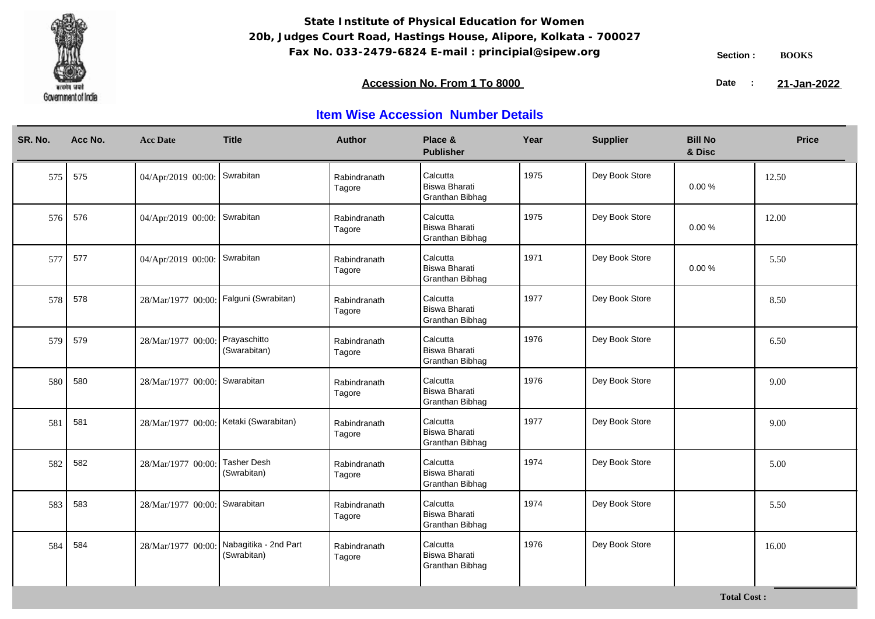

### **Accession No. From 1 To 8000 21-January 2008 21-January 2008 21-January 2008 21-January 2009**

21-Jan-2022

| SR. No. | Acc No. | <b>Acc Date</b>                        | <b>Title</b>                         | <b>Author</b>          | Place &<br><b>Publisher</b>                         | Year | <b>Supplier</b> | <b>Bill No</b><br>& Disc | <b>Price</b> |
|---------|---------|----------------------------------------|--------------------------------------|------------------------|-----------------------------------------------------|------|-----------------|--------------------------|--------------|
| 575     | 575     | 04/Apr/2019 00:00:                     | Swrabitan                            | Rabindranath<br>Tagore | Calcutta<br><b>Biswa Bharati</b><br>Granthan Bibhag | 1975 | Dey Book Store  | 0.00%                    | 12.50        |
| 576     | 576     | 04/Apr/2019 00:00:                     | Swrabitan                            | Rabindranath<br>Tagore | Calcutta<br><b>Biswa Bharati</b><br>Granthan Bibhag | 1975 | Dey Book Store  | $0.00 \%$                | 12.00        |
| 577     | 577     | 04/Apr/2019 00:00: Swrabitan           |                                      | Rabindranath<br>Tagore | Calcutta<br><b>Biswa Bharati</b><br>Granthan Bibhag | 1971 | Dey Book Store  | 0.00%                    | 5.50         |
| 578     | 578     | 28/Mar/1977 00:00: Falguni (Swrabitan) |                                      | Rabindranath<br>Tagore | Calcutta<br><b>Biswa Bharati</b><br>Granthan Bibhag | 1977 | Dey Book Store  |                          | 8.50         |
| 579     | 579     | 28/Mar/1977 00:00:                     | Prayaschitto<br>(Swarabitan)         | Rabindranath<br>Tagore | Calcutta<br><b>Biswa Bharati</b><br>Granthan Bibhag | 1976 | Dey Book Store  |                          | 6.50         |
| 580     | 580     | 28/Mar/1977 00:00: Swarabitan          |                                      | Rabindranath<br>Tagore | Calcutta<br><b>Biswa Bharati</b><br>Granthan Bibhag | 1976 | Dey Book Store  |                          | 9.00         |
| 581     | 581     | 28/Mar/1977 00:00: Ketaki (Swarabitan) |                                      | Rabindranath<br>Tagore | Calcutta<br><b>Biswa Bharati</b><br>Granthan Bibhag | 1977 | Dey Book Store  |                          | 9.00         |
| 582     | 582     | 28/Mar/1977 00:00:                     | <b>Tasher Desh</b><br>(Swrabitan)    | Rabindranath<br>Tagore | Calcutta<br><b>Biswa Bharati</b><br>Granthan Bibhag | 1974 | Dey Book Store  |                          | 5.00         |
| 583     | 583     | 28/Mar/1977 00:00: Swarabitan          |                                      | Rabindranath<br>Tagore | Calcutta<br><b>Biswa Bharati</b><br>Granthan Bibhag | 1974 | Dey Book Store  |                          | 5.50         |
| 584     | 584     | 28/Mar/1977 00:00:                     | Nabagitika - 2nd Part<br>(Swrabitan) | Rabindranath<br>Tagore | Calcutta<br><b>Biswa Bharati</b><br>Granthan Bibhag | 1976 | Dey Book Store  |                          | 16.00        |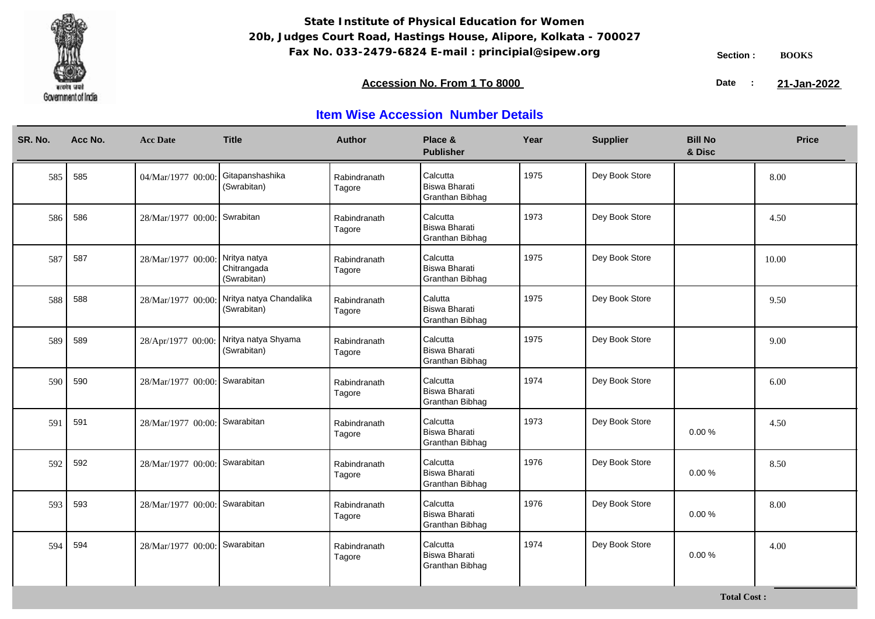

**Total Cost :**

### **Accession No. From 1 To 8000 21-January 2008 21-January 2008 21-January 2008 21-January 2009**

21-Jan-2022

| SR. No. | Acc No. | <b>Acc Date</b>               | <b>Title</b>                               | <b>Author</b>          | Place &<br><b>Publisher</b>                                | Year | <b>Supplier</b> | <b>Bill No</b><br>& Disc | <b>Price</b> |
|---------|---------|-------------------------------|--------------------------------------------|------------------------|------------------------------------------------------------|------|-----------------|--------------------------|--------------|
| 585     | 585     | 04/Mar/1977 00:00             | Gitapanshashika<br>(Swrabitan)             | Rabindranath<br>Tagore | Calcutta<br><b>Biswa Bharati</b><br>Granthan Bibhag        | 1975 | Dey Book Store  |                          | 8.00         |
| 586     | 586     | 28/Mar/1977 00:00:            | Swrabitan                                  | Rabindranath<br>Tagore | Calcutta<br><b>Biswa Bharati</b><br>Granthan Bibhag        | 1973 | Dey Book Store  |                          | 4.50         |
| 587     | 587     | 28/Mar/1977 00:00:            | Nritya natya<br>Chitrangada<br>(Swrabitan) | Rabindranath<br>Tagore | Calcutta<br><b>Biswa Bharati</b><br>Granthan Bibhag        | 1975 | Dey Book Store  |                          | 10.00        |
| 588     | 588     | 28/Mar/1977 00:00:            | Nritya natya Chandalika<br>(Swrabitan)     | Rabindranath<br>Tagore | Calutta<br><b>Biswa Bharati</b><br>Granthan Bibhag         | 1975 | Dey Book Store  |                          | 9.50         |
| 589     | 589     | 28/Apr/1977 00:00:            | Nritya natya Shyama<br>(Swrabitan)         | Rabindranath<br>Tagore | Calcutta<br><b>Biswa Bharati</b><br>Granthan Bibhag        | 1975 | Dey Book Store  |                          | 9.00         |
| 590     | 590     | 28/Mar/1977 00:00: Swarabitan |                                            | Rabindranath<br>Tagore | Calcutta<br><b>Biswa Bharati</b><br>Granthan Bibhag        | 1974 | Dey Book Store  |                          | 6.00         |
| 591     | 591     | 28/Mar/1977 00:00: Swarabitan |                                            | Rabindranath<br>Tagore | Calcutta<br><b>Biswa Bharati</b><br><b>Granthan Bibhag</b> | 1973 | Dey Book Store  | 0.00%                    | 4.50         |
| 592     | 592     | 28/Mar/1977 00:00:            | Swarabitan                                 | Rabindranath<br>Tagore | Calcutta<br><b>Biswa Bharati</b><br><b>Granthan Bibhag</b> | 1976 | Dey Book Store  | 0.00%                    | 8.50         |
| 593     | 593     | 28/Mar/1977 00:00: Swarabitan |                                            | Rabindranath<br>Tagore | Calcutta<br><b>Biswa Bharati</b><br>Granthan Bibhag        | 1976 | Dey Book Store  | 0.00%                    | 8.00         |
| 594     | 594     | 28/Mar/1977 00:00: Swarabitan |                                            | Rabindranath<br>Tagore | Calcutta<br><b>Biswa Bharati</b><br>Granthan Bibhag        | 1974 | Dey Book Store  | 0.00%                    | 4.00         |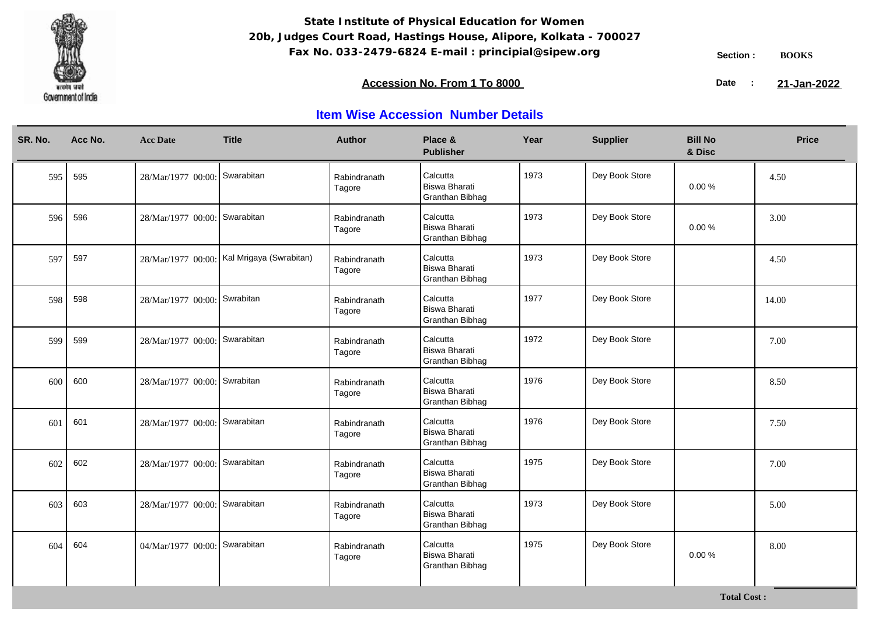

**Total Cost :**

### **Accession No. From 1 To 8000 21-January 2008 21-January 2008 21-January 2008 21-January 2009**

21-Jan-2022

| SR. No. | Acc No. | <b>Acc Date</b>               | <b>Title</b>                               | <b>Author</b>          | Place &<br><b>Publisher</b>                                | Year | <b>Supplier</b> | <b>Bill No</b><br>& Disc | <b>Price</b> |
|---------|---------|-------------------------------|--------------------------------------------|------------------------|------------------------------------------------------------|------|-----------------|--------------------------|--------------|
| 595     | 595     | 28/Mar/1977 00:00: Swarabitan |                                            | Rabindranath<br>Tagore | Calcutta<br><b>Biswa Bharati</b><br>Granthan Bibhag        | 1973 | Dey Book Store  | $0.00 \%$                | 4.50         |
| 596     | 596     | 28/Mar/1977 00:00: Swarabitan |                                            | Rabindranath<br>Tagore | Calcutta<br><b>Biswa Bharati</b><br>Granthan Bibhag        | 1973 | Dey Book Store  | $0.00 \%$                | 3.00         |
| 597     | 597     |                               | 28/Mar/1977 00:00: Kal Mrigaya (Swrabitan) | Rabindranath<br>Tagore | Calcutta<br><b>Biswa Bharati</b><br>Granthan Bibhag        | 1973 | Dey Book Store  |                          | 4.50         |
| 598     | 598     | 28/Mar/1977 00:00: Swrabitan  |                                            | Rabindranath<br>Tagore | Calcutta<br><b>Biswa Bharati</b><br>Granthan Bibhag        | 1977 | Dey Book Store  |                          | 14.00        |
| 599     | 599     | 28/Mar/1977 00:00:            | Swarabitan                                 | Rabindranath<br>Tagore | Calcutta<br><b>Biswa Bharati</b><br><b>Granthan Bibhag</b> | 1972 | Dey Book Store  |                          | 7.00         |
| 600     | 600     | 28/Mar/1977 00:00: Swrabitan  |                                            | Rabindranath<br>Tagore | Calcutta<br><b>Biswa Bharati</b><br>Granthan Bibhag        | 1976 | Dey Book Store  |                          | 8.50         |
| 601     | 601     | 28/Mar/1977 00:00: Swarabitan |                                            | Rabindranath<br>Tagore | Calcutta<br><b>Biswa Bharati</b><br>Granthan Bibhag        | 1976 | Dey Book Store  |                          | 7.50         |
| 602     | 602     | 28/Mar/1977 00:00:            | Swarabitan                                 | Rabindranath<br>Tagore | Calcutta<br><b>Biswa Bharati</b><br><b>Granthan Bibhag</b> | 1975 | Dey Book Store  |                          | 7.00         |
| 603     | 603     | 28/Mar/1977 00:00: Swarabitan |                                            | Rabindranath<br>Tagore | Calcutta<br><b>Biswa Bharati</b><br>Granthan Bibhag        | 1973 | Dey Book Store  |                          | 5.00         |
| 604     | 604     | 04/Mar/1977 00:00: Swarabitan |                                            | Rabindranath<br>Tagore | Calcutta<br><b>Biswa Bharati</b><br><b>Granthan Bibhag</b> | 1975 | Dey Book Store  | 0.00%                    | 8.00         |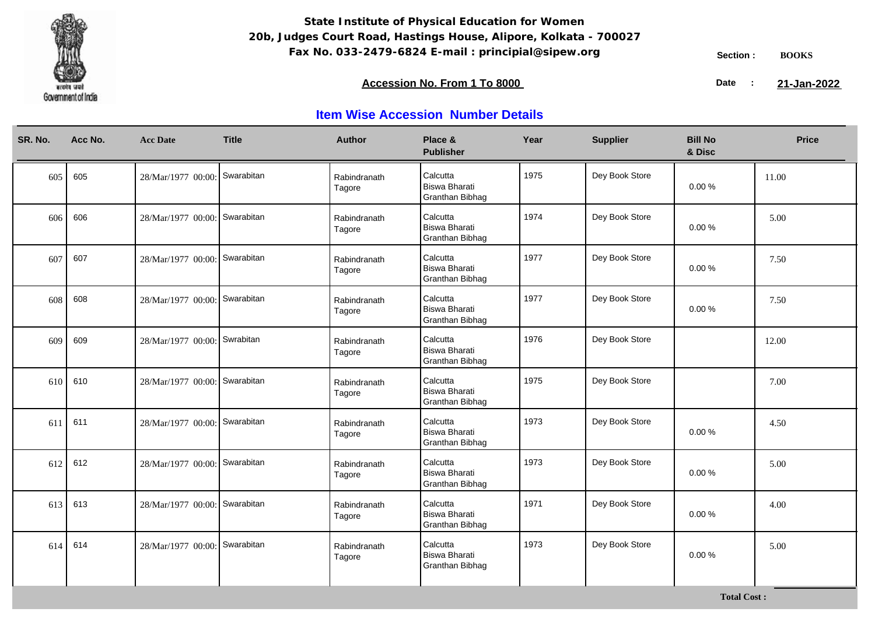

### **Accession No. From 1 To 8000 21-January 2008 21-January 2008 21-January 2008 21-January 2009**

21-Jan-2022

| SR. No. | Acc No. | <b>Acc Date</b>               | <b>Title</b> | <b>Author</b>          | Place &<br><b>Publisher</b>                                | Year | <b>Supplier</b> | <b>Bill No</b><br>& Disc | <b>Price</b> |
|---------|---------|-------------------------------|--------------|------------------------|------------------------------------------------------------|------|-----------------|--------------------------|--------------|
| 605     | 605     | 28/Mar/1977 00:00: Swarabitan |              | Rabindranath<br>Tagore | Calcutta<br><b>Biswa Bharati</b><br>Granthan Bibhag        | 1975 | Dey Book Store  | $0.00 \%$                | 11.00        |
| 606     | 606     | 28/Mar/1977 00:00: Swarabitan |              | Rabindranath<br>Tagore | Calcutta<br><b>Biswa Bharati</b><br>Granthan Bibhag        | 1974 | Dey Book Store  | 0.00%                    | 5.00         |
| 607     | 607     | 28/Mar/1977 00:00: Swarabitan |              | Rabindranath<br>Tagore | Calcutta<br><b>Biswa Bharati</b><br>Granthan Bibhag        | 1977 | Dey Book Store  | 0.00%                    | 7.50         |
| 608     | 608     | 28/Mar/1977 00:00: Swarabitan |              | Rabindranath<br>Tagore | Calcutta<br><b>Biswa Bharati</b><br>Granthan Bibhag        | 1977 | Dey Book Store  | 0.00%                    | 7.50         |
| 609     | 609     | 28/Mar/1977 00:00:            | Swrabitan    | Rabindranath<br>Tagore | Calcutta<br><b>Biswa Bharati</b><br>Granthan Bibhag        | 1976 | Dey Book Store  |                          | 12.00        |
| 610     | 610     | 28/Mar/1977 00:00: Swarabitan |              | Rabindranath<br>Tagore | Calcutta<br><b>Biswa Bharati</b><br>Granthan Bibhag        | 1975 | Dey Book Store  |                          | 7.00         |
| 611     | 611     | 28/Mar/1977 00:00: Swarabitan |              | Rabindranath<br>Tagore | Calcutta<br><b>Biswa Bharati</b><br>Granthan Bibhag        | 1973 | Dey Book Store  | 0.00%                    | 4.50         |
| 612     | 612     | 28/Mar/1977 00:00: Swarabitan |              | Rabindranath<br>Tagore | Calcutta<br><b>Biswa Bharati</b><br>Granthan Bibhag        | 1973 | Dey Book Store  | 0.00%                    | 5.00         |
| 613     | 613     | 28/Mar/1977 00:00: Swarabitan |              | Rabindranath<br>Tagore | Calcutta<br><b>Biswa Bharati</b><br>Granthan Bibhag        | 1971 | Dey Book Store  | 0.00%                    | 4.00         |
| 614     | 614     | 28/Mar/1977 00:00: Swarabitan |              | Rabindranath<br>Tagore | Calcutta<br><b>Biswa Bharati</b><br><b>Granthan Bibhag</b> | 1973 | Dey Book Store  | 0.00%                    | 5.00         |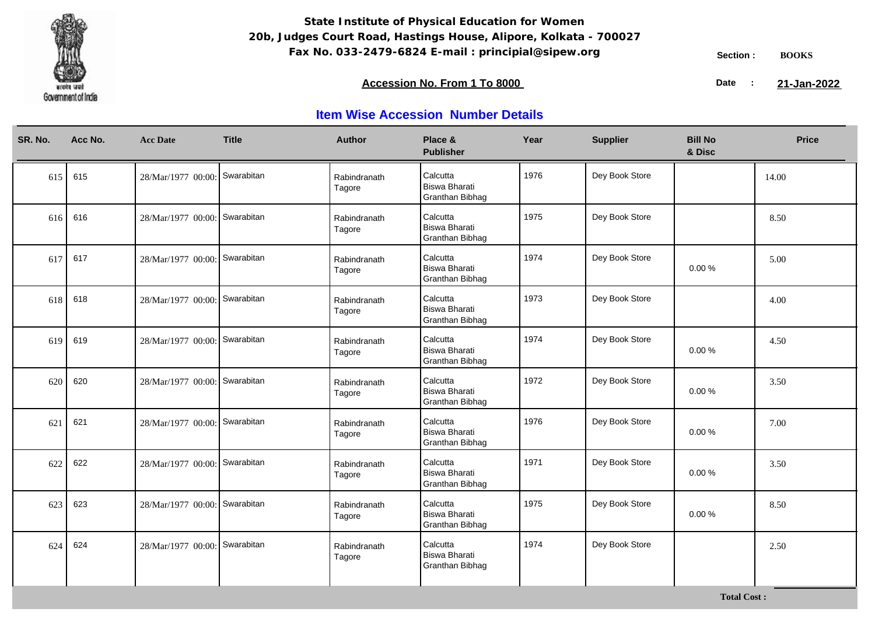

### **Accession No. From 1 To 8000 21-January 2008 21-January 2008 21-January 2008 21-January 2009**

21-Jan-2022

| SR. No. | Acc No. | <b>Acc Date</b>               | <b>Title</b> | <b>Author</b>          | Place &<br><b>Publisher</b>                                | Year | <b>Supplier</b> | <b>Bill No</b><br>& Disc | <b>Price</b> |
|---------|---------|-------------------------------|--------------|------------------------|------------------------------------------------------------|------|-----------------|--------------------------|--------------|
| 615     | 615     | 28/Mar/1977 00:00: Swarabitan |              | Rabindranath<br>Tagore | Calcutta<br><b>Biswa Bharati</b><br>Granthan Bibhag        | 1976 | Dey Book Store  |                          | 14.00        |
| 616     | 616     | 28/Mar/1977 00:00: Swarabitan |              | Rabindranath<br>Tagore | Calcutta<br><b>Biswa Bharati</b><br>Granthan Bibhag        | 1975 | Dey Book Store  |                          | 8.50         |
| 617     | 617     | 28/Mar/1977 00:00: Swarabitan |              | Rabindranath<br>Tagore | Calcutta<br><b>Biswa Bharati</b><br>Granthan Bibhag        | 1974 | Dey Book Store  | 0.00%                    | 5.00         |
| 618     | 618     | 28/Mar/1977 00:00: Swarabitan |              | Rabindranath<br>Tagore | Calcutta<br><b>Biswa Bharati</b><br>Granthan Bibhag        | 1973 | Dey Book Store  |                          | 4.00         |
| 619     | 619     | 28/Mar/1977 00:00:            | Swarabitan   | Rabindranath<br>Tagore | Calcutta<br><b>Biswa Bharati</b><br><b>Granthan Bibhag</b> | 1974 | Dey Book Store  | $0.00 \%$                | 4.50         |
| 620     | 620     | 28/Mar/1977 00:00: Swarabitan |              | Rabindranath<br>Tagore | Calcutta<br><b>Biswa Bharati</b><br>Granthan Bibhag        | 1972 | Dey Book Store  | 0.00%                    | 3.50         |
| 621     | 621     | 28/Mar/1977 00:00: Swarabitan |              | Rabindranath<br>Tagore | Calcutta<br><b>Biswa Bharati</b><br>Granthan Bibhag        | 1976 | Dey Book Store  | 0.00%                    | 7.00         |
| 622     | 622     | 28/Mar/1977 00:00:            | Swarabitan   | Rabindranath<br>Tagore | Calcutta<br><b>Biswa Bharati</b><br><b>Granthan Bibhag</b> | 1971 | Dey Book Store  | 0.00%                    | 3.50         |
| 623     | 623     | 28/Mar/1977 00:00: Swarabitan |              | Rabindranath<br>Tagore | Calcutta<br><b>Biswa Bharati</b><br>Granthan Bibhag        | 1975 | Dey Book Store  | 0.00%                    | 8.50         |
| 624     | 624     | 28/Mar/1977 00:00: Swarabitan |              | Rabindranath<br>Tagore | Calcutta<br><b>Biswa Bharati</b><br><b>Granthan Bibhag</b> | 1974 | Dey Book Store  |                          | 2.50         |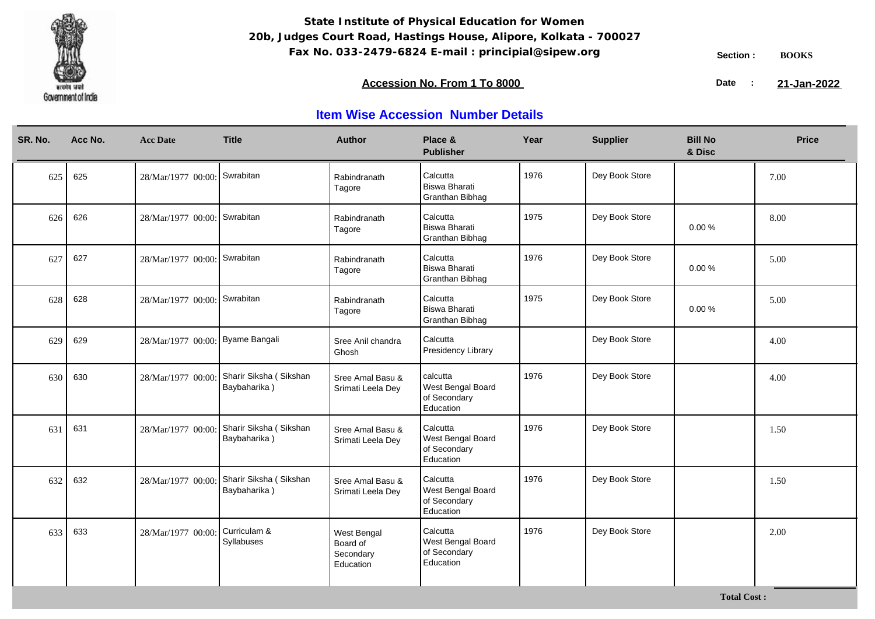

**Total Cost :**

### **Accession No. From 1 To 8000 21-January 2008 21-January 2008 21-January 2008 21-January 2009**

21-Jan-2022

| SR. No. | Acc No. | <b>Acc Date</b>                  | <b>Title</b>                                              | <b>Author</b>                                     | Place &<br><b>Publisher</b>                                | Year | <b>Supplier</b> | <b>Bill No</b><br>& Disc | <b>Price</b> |
|---------|---------|----------------------------------|-----------------------------------------------------------|---------------------------------------------------|------------------------------------------------------------|------|-----------------|--------------------------|--------------|
| 625     | 625     | 28/Mar/1977 00:00: Swrabitan     |                                                           | Rabindranath<br>Tagore                            | Calcutta<br><b>Biswa Bharati</b><br>Granthan Bibhag        | 1976 | Dey Book Store  |                          | 7.00         |
| 626     | 626     | 28/Mar/1977 00:00: Swrabitan     |                                                           | Rabindranath<br>Tagore                            | Calcutta<br><b>Biswa Bharati</b><br>Granthan Bibhag        | 1975 | Dey Book Store  | 0.00%                    | 8.00         |
| 627     | 627     | 28/Mar/1977 00:00: Swrabitan     |                                                           | Rabindranath<br>Tagore                            | Calcutta<br><b>Biswa Bharati</b><br>Granthan Bibhag        | 1976 | Dey Book Store  | 0.00%                    | 5.00         |
| 628     | 628     | 28/Mar/1977 00:00: Swrabitan     |                                                           | Rabindranath<br>Tagore                            | Calcutta<br><b>Biswa Bharati</b><br>Granthan Bibhag        | 1975 | Dey Book Store  | $0.00 \%$                | 5.00         |
| 629     | 629     | 28/Mar/1977 00:00: Byame Bangali |                                                           | Sree Anil chandra<br>Ghosh                        | Calcutta<br><b>Presidency Library</b>                      |      | Dey Book Store  |                          | 4.00         |
| 630     | 630     | 28/Mar/1977 00:00:               | Sharir Siksha (Sikshan<br>Baybaharika)                    | Sree Amal Basu &<br>Srimati Leela Dey             | calcutta<br>West Bengal Board<br>of Secondary<br>Education | 1976 | Dey Book Store  |                          | 4.00         |
| 631     | 631     | 28/Mar/1977 00:00                | Sharir Siksha (Sikshan<br>Baybaharika)                    | Sree Amal Basu &<br>Srimati Leela Dey             | Calcutta<br>West Bengal Board<br>of Secondary<br>Education | 1976 | Dey Book Store  |                          | 1.50         |
| 632     | 632     |                                  | 28/Mar/1977 00:00: Sharir Siksha (Sikshan<br>Baybaharika) | Sree Amal Basu &<br>Srimati Leela Dey             | Calcutta<br>West Bengal Board<br>of Secondary<br>Education | 1976 | Dey Book Store  |                          | 1.50         |
| 633     | 633     | 28/Mar/1977 00:00:               | Curriculam &<br>Syllabuses                                | West Bengal<br>Board of<br>Secondary<br>Education | Calcutta<br>West Bengal Board<br>of Secondary<br>Education | 1976 | Dey Book Store  |                          | 2.00         |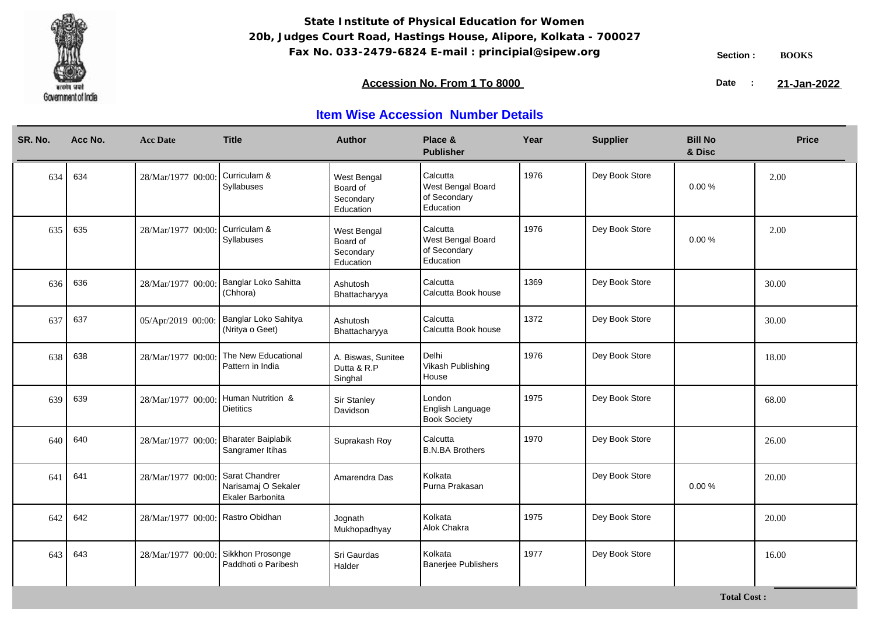

### **Accession No. From 1 To 8000 21-January 2008 21-January 2008 21-January 2008 21-January 2009**

21-Jan-2022

| SR. No. | Acc No. | <b>Acc Date</b>                   | <b>Title</b>                                              | <b>Author</b>                                     | Place &<br><b>Publisher</b>                                | Year | <b>Supplier</b> | <b>Bill No</b><br>& Disc | <b>Price</b> |
|---------|---------|-----------------------------------|-----------------------------------------------------------|---------------------------------------------------|------------------------------------------------------------|------|-----------------|--------------------------|--------------|
| 634     | 634     | 28/Mar/1977 00:00:                | Curriculam &<br>Syllabuses                                | West Bengal<br>Board of<br>Secondary<br>Education | Calcutta<br>West Bengal Board<br>of Secondary<br>Education | 1976 | Dey Book Store  | 0.00%                    | 2.00         |
| 635     | 635     | 28/Mar/1977 00:00:                | Curriculam &<br>Syllabuses                                | West Bengal<br>Board of<br>Secondary<br>Education | Calcutta<br>West Bengal Board<br>of Secondary<br>Education | 1976 | Dey Book Store  | 0.00%                    | 2.00         |
| 636     | 636     |                                   | 28/Mar/1977 00:00: Banglar Loko Sahitta<br>(Chhora)       | Ashutosh<br>Bhattacharyya                         | Calcutta<br>Calcutta Book house                            | 1369 | Dey Book Store  |                          | 30.00        |
| 637     | 637     | 05/Apr/2019 00:00:                | Banglar Loko Sahitya<br>(Nritya o Geet)                   | Ashutosh<br>Bhattacharyya                         | Calcutta<br>Calcutta Book house                            | 1372 | Dey Book Store  |                          | 30.00        |
| 638     | 638     | 28/Mar/1977 00:00:                | The New Educational<br>Pattern in India                   | A. Biswas, Sunitee<br>Dutta & R.P<br>Singhal      | Delhi<br>Vikash Publishing<br>House                        | 1976 | Dey Book Store  |                          | 18.00        |
| 639     | 639     | 28/Mar/1977 00:00:                | Human Nutrition &<br><b>Dietitics</b>                     | Sir Stanley<br>Davidson                           | London<br>English Language<br><b>Book Society</b>          | 1975 | Dey Book Store  |                          | 68.00        |
| 640     | 640     | 28/Mar/1977 00:00:                | <b>Bharater Baiplabik</b><br>Sangramer Itihas             | Suprakash Roy                                     | Calcutta<br><b>B.N.BA Brothers</b>                         | 1970 | Dey Book Store  |                          | 26.00        |
| 641     | 641     | 28/Mar/1977 00:00:                | Sarat Chandrer<br>Narisamaj O Sekaler<br>Ekaler Barbonita | Amarendra Das                                     | Kolkata<br>Purna Prakasan                                  |      | Dey Book Store  | 0.00%                    | 20.00        |
| 642     | 642     | 28/Mar/1977 00:00: Rastro Obidhan |                                                           | Jognath<br>Mukhopadhyay                           | Kolkata<br>Alok Chakra                                     | 1975 | Dey Book Store  |                          | 20.00        |
| 643     | 643     | 28/Mar/1977 00:00:                | Sikkhon Prosonge<br>Paddhoti o Paribesh                   | Sri Gaurdas<br>Halder                             | Kolkata<br><b>Banerjee Publishers</b>                      | 1977 | Dey Book Store  |                          | 16.00        |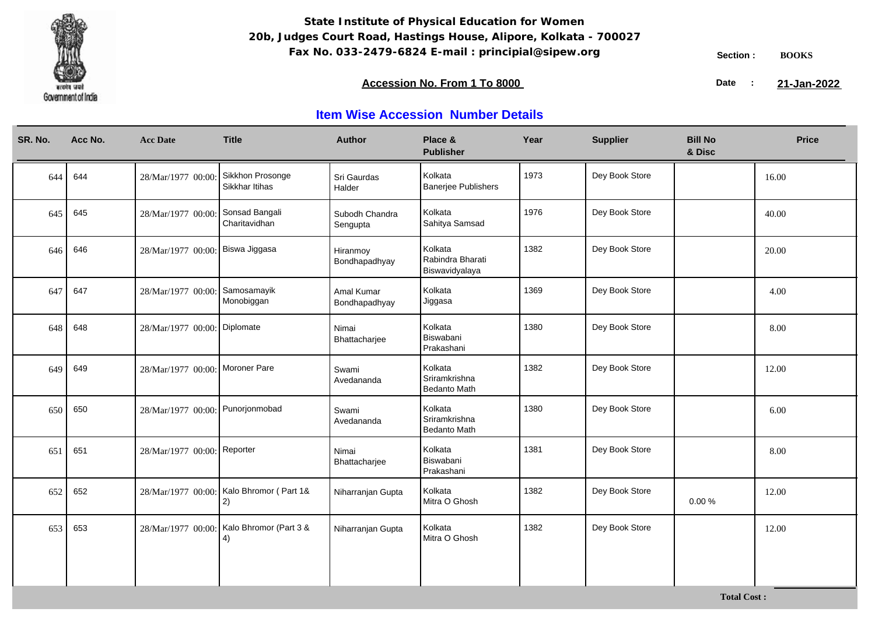

### **Accession No. From 1 To 8000 21-January 2008 21-January 2008 21-January 2008 21-January 2009**

21-Jan-2022

| SR. No. | Acc No. | <b>Acc Date</b>                  | <b>Title</b>                                    | <b>Author</b>               | Place &<br><b>Publisher</b>                   | Year | <b>Supplier</b> | <b>Bill No</b><br>& Disc | <b>Price</b> |
|---------|---------|----------------------------------|-------------------------------------------------|-----------------------------|-----------------------------------------------|------|-----------------|--------------------------|--------------|
| 644     | 644     | 28/Mar/1977 00:00                | Sikkhon Prosonge<br>Sikkhar Itihas              | Sri Gaurdas<br>Halder       | Kolkata<br><b>Banerjee Publishers</b>         | 1973 | Dey Book Store  |                          | 16.00        |
| 645     | 645     | 28/Mar/1977 00:00:               | Sonsad Bangali<br>Charitavidhan                 | Subodh Chandra<br>Sengupta  | Kolkata<br>Sahitya Samsad                     | 1976 | Dey Book Store  |                          | 40.00        |
| 646     | 646     | 28/Mar/1977 00:00: Biswa Jiggasa |                                                 | Hiranmoy<br>Bondhapadhyay   | Kolkata<br>Rabindra Bharati<br>Biswavidyalaya | 1382 | Dey Book Store  |                          | 20.00        |
| 647     | 647     | 28/Mar/1977 00:00:               | Samosamayik<br>Monobiggan                       | Amal Kumar<br>Bondhapadhyay | Kolkata<br>Jiggasa                            | 1369 | Dey Book Store  |                          | 4.00         |
| 648     | 648     | 28/Mar/1977 00:00: Diplomate     |                                                 | Nimai<br>Bhattacharjee      | Kolkata<br>Biswabani<br>Prakashani            | 1380 | Dey Book Store  |                          | 8.00         |
| 649     | 649     | 28/Mar/1977 00:00: Moroner Pare  |                                                 | Swami<br>Avedananda         | Kolkata<br>Sriramkrishna<br>Bedanto Math      | 1382 | Dey Book Store  |                          | 12.00        |
| 650     | 650     | 28/Mar/1977 00:00: Punorjonmobad |                                                 | Swami<br>Avedananda         | Kolkata<br>Sriramkrishna<br>Bedanto Math      | 1380 | Dey Book Store  |                          | 6.00         |
| 651     | 651     | 28/Mar/1977 00:00: Reporter      |                                                 | Nimai<br>Bhattacharjee      | Kolkata<br>Biswabani<br>Prakashani            | 1381 | Dey Book Store  |                          | 8.00         |
| 652     | 652     |                                  | 28/Mar/1977 00:00: Kalo Bhromor (Part 1&<br>2)  | Niharranjan Gupta           | Kolkata<br>Mitra O Ghosh                      | 1382 | Dey Book Store  | 0.00%                    | 12.00        |
| 653     | 653     |                                  | 28/Mar/1977 00:00: Kalo Bhromor (Part 3 &<br>4) | Niharranjan Gupta           | Kolkata<br>Mitra O Ghosh                      | 1382 | Dey Book Store  |                          | 12.00        |
|         |         |                                  |                                                 |                             |                                               |      |                 |                          |              |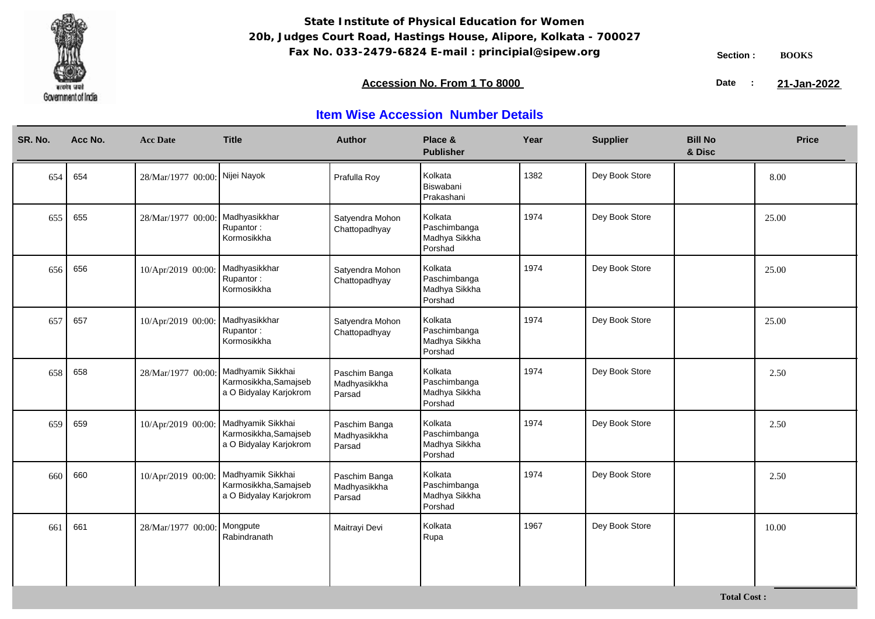

### **Accession No. From 1 To 8000 21-January 2008 21-January 2008 21-January 2008 21-January 2009**

21-Jan-2022

| SR. No. | Acc No. | <b>Acc Date</b>                | <b>Title</b>                                                         | <b>Author</b>                           | Place &<br><b>Publisher</b>                         | Year | <b>Supplier</b> | <b>Bill No</b><br>& Disc | <b>Price</b> |
|---------|---------|--------------------------------|----------------------------------------------------------------------|-----------------------------------------|-----------------------------------------------------|------|-----------------|--------------------------|--------------|
| 654     | 654     | 28/Mar/1977 00:00: Nijei Nayok |                                                                      | Prafulla Roy                            | Kolkata<br>Biswabani<br>Prakashani                  | 1382 | Dey Book Store  |                          | 8.00         |
| 655     | 655     | 28/Mar/1977 00:00:             | Madhyasikkhar<br>Rupantor:<br>Kormosikkha                            | Satyendra Mohon<br>Chattopadhyay        | Kolkata<br>Paschimbanga<br>Madhya Sikkha<br>Porshad | 1974 | Dey Book Store  |                          | 25.00        |
| 656     | 656     | 10/Apr/2019 00:00:             | Madhyasikkhar<br>Rupantor:<br>Kormosikkha                            | Satyendra Mohon<br>Chattopadhyay        | Kolkata<br>Paschimbanga<br>Madhya Sikkha<br>Porshad | 1974 | Dey Book Store  |                          | 25.00        |
| 657     | 657     | 10/Apr/2019 00:00:             | Madhyasikkhar<br>Rupantor:<br>Kormosikkha                            | Satyendra Mohon<br>Chattopadhyay        | Kolkata<br>Paschimbanga<br>Madhya Sikkha<br>Porshad | 1974 | Dey Book Store  |                          | 25.00        |
| 658     | 658     | 28/Mar/1977 00:00:             | Madhyamik Sikkhai<br>Karmosikkha, Samajseb<br>a O Bidyalay Karjokrom | Paschim Banga<br>Madhyasikkha<br>Parsad | Kolkata<br>Paschimbanga<br>Madhya Sikkha<br>Porshad | 1974 | Dey Book Store  |                          | 2.50         |
| 659     | 659     | 10/Apr/2019 00:00:             | Madhyamik Sikkhai<br>Karmosikkha, Samajseb<br>a O Bidyalay Karjokrom | Paschim Banga<br>Madhyasikkha<br>Parsad | Kolkata<br>Paschimbanga<br>Madhya Sikkha<br>Porshad | 1974 | Dey Book Store  |                          | 2.50         |
| 660     | 660     | 10/Apr/2019 00:00:             | Madhyamik Sikkhai<br>Karmosikkha, Samajseb<br>a O Bidyalay Karjokrom | Paschim Banga<br>Madhyasikkha<br>Parsad | Kolkata<br>Paschimbanga<br>Madhya Sikkha<br>Porshad | 1974 | Dey Book Store  |                          | 2.50         |
| 661     | 661     | 28/Mar/1977 00:00:             | Mongpute<br>Rabindranath                                             | Maitrayi Devi                           | Kolkata<br>Rupa                                     | 1967 | Dey Book Store  |                          | 10.00        |
|         |         |                                |                                                                      |                                         |                                                     |      |                 |                          |              |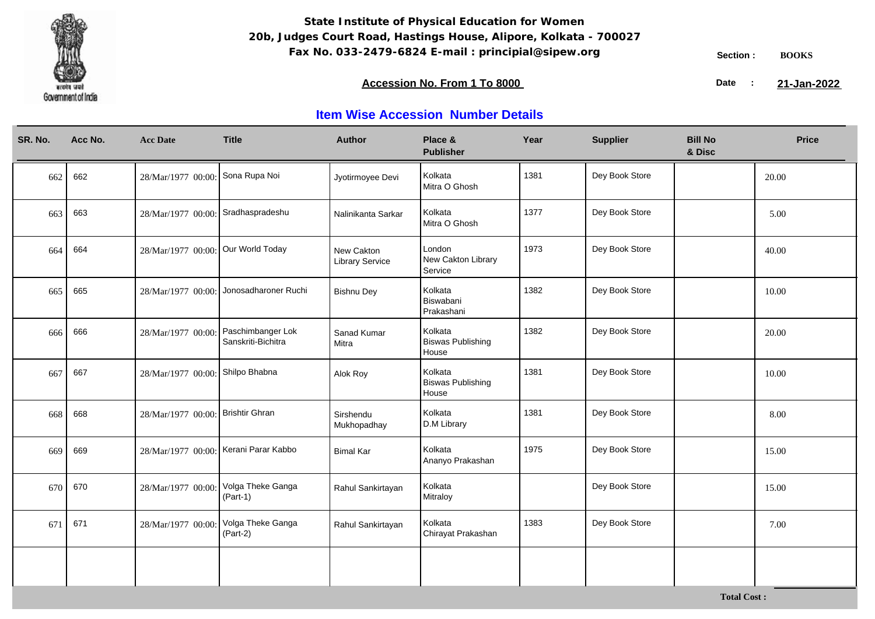

### **Accession No. From 1 To 8000 21-January 2008 21-January 2008 21-January 2008 21-January 2009**

21-Jan-2022

| SR. No. | Acc No. | <b>Acc Date</b>                       | <b>Title</b>                            | <b>Author</b>                        | Place &<br><b>Publisher</b>                  | Year | <b>Supplier</b> | <b>Bill No</b><br>& Disc | <b>Price</b> |
|---------|---------|---------------------------------------|-----------------------------------------|--------------------------------------|----------------------------------------------|------|-----------------|--------------------------|--------------|
| 662     | 662     | 28/Mar/1977 00:00: Sona Rupa Noi      |                                         | Jyotirmoyee Devi                     | Kolkata<br>Mitra O Ghosh                     | 1381 | Dey Book Store  |                          | 20.00        |
| 663     | 663     | 28/Mar/1977 00:00: Sradhaspradeshu    |                                         | Nalinikanta Sarkar                   | Kolkata<br>Mitra O Ghosh                     | 1377 | Dey Book Store  |                          | 5.00         |
| 664     | 664     | 28/Mar/1977 00:00: Our World Today    |                                         | New Cakton<br><b>Library Service</b> | London<br>New Cakton Library<br>Service      | 1973 | Dey Book Store  |                          | 40.00        |
| 665     | 665     |                                       | 28/Mar/1977 00:00: Jonosadharoner Ruchi | <b>Bishnu Dey</b>                    | Kolkata<br>Biswabani<br>Prakashani           | 1382 | Dey Book Store  |                          | 10.00        |
| 666     | 666     | 28/Mar/1977 00:00:                    | Paschimbanger Lok<br>Sanskriti-Bichitra | Sanad Kumar<br>Mitra                 | Kolkata<br><b>Biswas Publishing</b><br>House | 1382 | Dey Book Store  |                          | 20.00        |
| 667     | 667     | 28/Mar/1977 00:00: Shilpo Bhabna      |                                         | Alok Roy                             | Kolkata<br><b>Biswas Publishing</b><br>House | 1381 | Dey Book Store  |                          | 10.00        |
| 668     | 668     | 28/Mar/1977 00:00:                    | Brishtir Ghran                          | Sirshendu<br>Mukhopadhay             | Kolkata<br>D.M Library                       | 1381 | Dey Book Store  |                          | 8.00         |
| 669     | 669     | 28/Mar/1977 00:00: Kerani Parar Kabbo |                                         | <b>Bimal Kar</b>                     | Kolkata<br>Ananyo Prakashan                  | 1975 | Dey Book Store  |                          | 15.00        |
| 670     | 670     | 28/Mar/1977 00:00:                    | Volga Theke Ganga<br>$(Part-1)$         | Rahul Sankirtayan                    | Kolkata<br>Mitraloy                          |      | Dey Book Store  |                          | 15.00        |
| 671     | 671     | 28/Mar/1977 00:00:                    | Volga Theke Ganga<br>(Part-2)           | Rahul Sankirtayan                    | Kolkata<br>Chirayat Prakashan                | 1383 | Dey Book Store  |                          | 7.00         |
|         |         |                                       |                                         |                                      |                                              |      |                 |                          |              |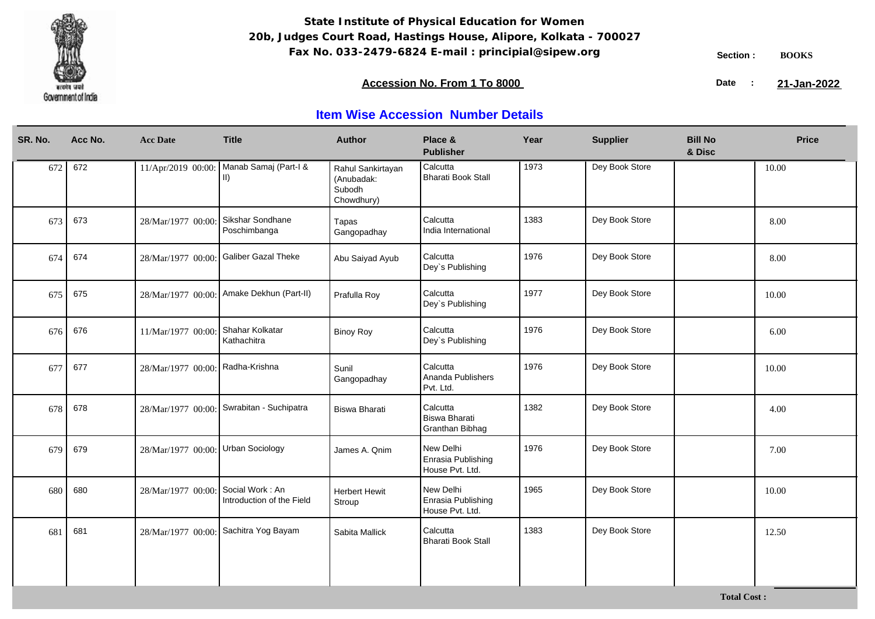

### **Accession No. From 1 To 8000 21-January 2008 21-January 2008 21-January 2008 21-January 2009**

21-Jan-2022

| SR. No. | Acc No. | <b>Acc Date</b>                  | <b>Title</b>                                 | <b>Author</b>                                           | Place &<br><b>Publisher</b>                         | Year | <b>Supplier</b> | <b>Bill No</b><br>& Disc | <b>Price</b> |
|---------|---------|----------------------------------|----------------------------------------------|---------------------------------------------------------|-----------------------------------------------------|------|-----------------|--------------------------|--------------|
| 672     | 672     | 11/Apr/2019 00:00:               | Manab Samaj (Part-I &<br>II)                 | Rahul Sankirtayan<br>(Anubadak:<br>Subodh<br>Chowdhury) | Calcutta<br>Bharati Book Stall                      | 1973 | Dey Book Store  |                          | 10.00        |
| 673     | 673     | 28/Mar/1977 00:00                | Sikshar Sondhane<br>Poschimbanga             | Tapas<br>Gangopadhay                                    | Calcutta<br>India International                     | 1383 | Dey Book Store  |                          | 8.00         |
| 674     | 674     | 28/Mar/1977 00:00                | <b>Galiber Gazal Theke</b>                   | Abu Saiyad Ayub                                         | Calcutta<br>Dey's Publishing                        | 1976 | Dey Book Store  |                          | 8.00         |
| 675     | 675     | 28/Mar/1977 00:00:               | Amake Dekhun (Part-II)                       | Prafulla Roy                                            | Calcutta<br>Dey's Publishing                        | 1977 | Dey Book Store  |                          | 10.00        |
| 676     | 676     | 11/Mar/1977 00:00                | Shahar Kolkatar<br>Kathachitra               | <b>Binoy Roy</b>                                        | Calcutta<br>Dey's Publishing                        | 1976 | Dey Book Store  |                          | 6.00         |
| 677     | 677     | 28/Mar/1977 00:00: Radha-Krishna |                                              | Sunil<br>Gangopadhay                                    | Calcutta<br>Ananda Publishers<br>Pvt. Ltd.          | 1976 | Dey Book Store  |                          | 10.00        |
| 678     | 678     | 28/Mar/1977 00:00:               | Swrabitan - Suchipatra                       | Biswa Bharati                                           | Calcutta<br><b>Biswa Bharati</b><br>Granthan Bibhag | 1382 | Dey Book Store  |                          | 4.00         |
| 679     | 679     | 28/Mar/1977 00:00:               | <b>Urban Sociology</b>                       | James A. Qnim                                           | New Delhi<br>Enrasia Publishing<br>House Pvt. Ltd.  | 1976 | Dey Book Store  |                          | 7.00         |
| 680     | 680     | 28/Mar/1977 00:00                | Social Work: An<br>Introduction of the Field | <b>Herbert Hewit</b><br>Stroup                          | New Delhi<br>Enrasia Publishing<br>House Pvt. Ltd.  | 1965 | Dey Book Store  |                          | 10.00        |
| 681     | 681     | 28/Mar/1977 00:00                | Sachitra Yog Bayam                           | Sabita Mallick                                          | Calcutta<br>Bharati Book Stall                      | 1383 | Dey Book Store  |                          | 12.50        |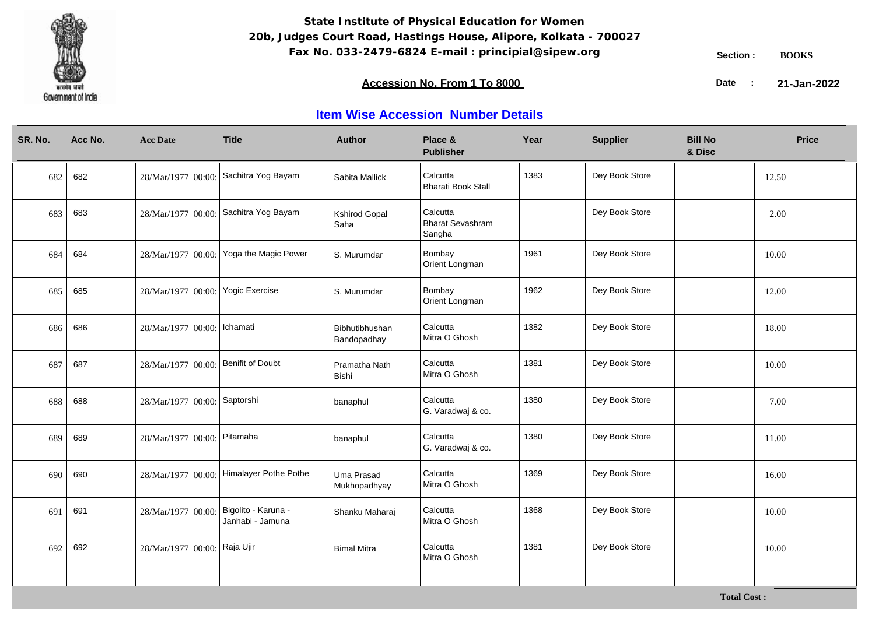

### **Accession No. From 1 To 8000 21-January 2008 21-January 2008 21-January 2008 21-January 2009**

21-Jan-2022

| SR. No. | Acc No. | <b>Acc Date</b>                     | <b>Title</b>                             | <b>Author</b>                 | Place &<br><b>Publisher</b>                   | Year | <b>Supplier</b> | <b>Bill No</b><br>& Disc | <b>Price</b> |
|---------|---------|-------------------------------------|------------------------------------------|-------------------------------|-----------------------------------------------|------|-----------------|--------------------------|--------------|
| 682     | 682     |                                     | 28/Mar/1977 00:00: Sachitra Yog Bayam    | Sabita Mallick                | Calcutta<br><b>Bharati Book Stall</b>         | 1383 | Dey Book Store  |                          | 12.50        |
| 683     | 683     |                                     | 28/Mar/1977 00:00: Sachitra Yog Bayam    | <b>Kshirod Gopal</b><br>Saha  | Calcutta<br><b>Bharat Sevashram</b><br>Sangha |      | Dey Book Store  |                          | 2.00         |
| 684     | 684     | 28/Mar/1977 00:00:                  | Yoga the Magic Power                     | S. Murumdar                   | Bombay<br>Orient Longman                      | 1961 | Dey Book Store  |                          | 10.00        |
| 685     | 685     | 28/Mar/1977 00:00: Yogic Exercise   |                                          | S. Murumdar                   | Bombay<br>Orient Longman                      | 1962 | Dey Book Store  |                          | 12.00        |
| 686     | 686     | 28/Mar/1977 00:00:   Ichamati       |                                          | Bibhutibhushan<br>Bandopadhay | Calcutta<br>Mitra O Ghosh                     | 1382 | Dey Book Store  |                          | 18.00        |
| 687     | 687     | 28/Mar/1977 00:00: Benifit of Doubt |                                          | Pramatha Nath<br>Bishi        | Calcutta<br>Mitra O Ghosh                     | 1381 | Dey Book Store  |                          | 10.00        |
| 688     | 688     | 28/Mar/1977 00:00: Saptorshi        |                                          | banaphul                      | Calcutta<br>G. Varadwaj & co.                 | 1380 | Dey Book Store  |                          | 7.00         |
| 689     | 689     | 28/Mar/1977 00:00: Pitamaha         |                                          | banaphul                      | Calcutta<br>G. Varadwaj & co.                 | 1380 | Dey Book Store  |                          | 11.00        |
| 690     | 690     |                                     | 28/Mar/1977 00:00: Himalayer Pothe Pothe | Uma Prasad<br>Mukhopadhyay    | Calcutta<br>Mitra O Ghosh                     | 1369 | Dey Book Store  |                          | 16.00        |
| 691     | 691     | 28/Mar/1977 00:00:                  | Bigolito - Karuna -<br>Janhabi - Jamuna  | Shanku Maharaj                | Calcutta<br>Mitra O Ghosh                     | 1368 | Dey Book Store  |                          | 10.00        |
| 692     | 692     | 28/Mar/1977 00:00: Raja Ujir        |                                          | <b>Bimal Mitra</b>            | Calcutta<br>Mitra O Ghosh                     | 1381 | Dey Book Store  |                          | 10.00        |
|         |         |                                     |                                          |                               |                                               |      |                 |                          |              |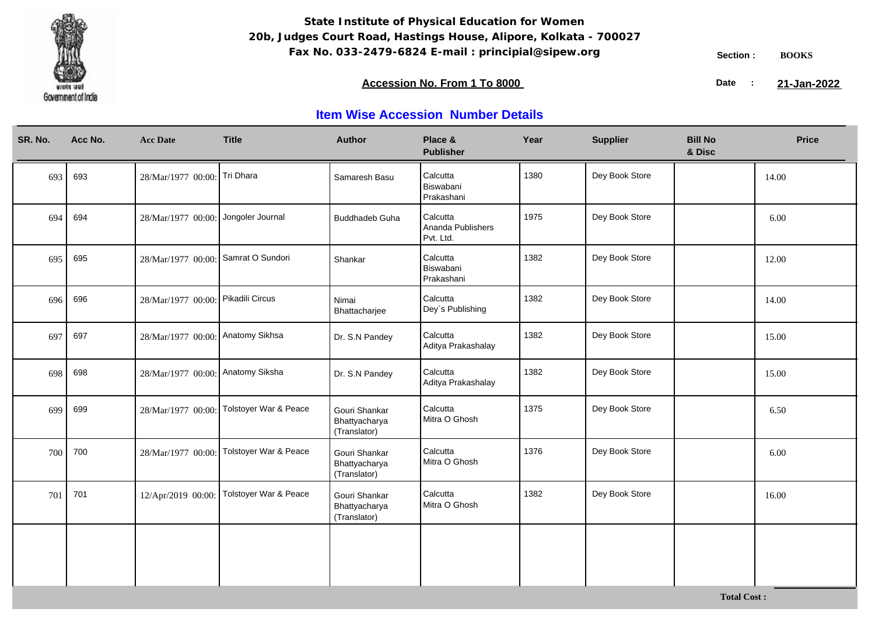

### **Accession No. From 1 To 8000 21-January 2008 21-January 2008 21-January 2008 21-January 2009**

21-Jan-2022

| SR. No. | Acc No. | <b>Acc Date</b>                     | <b>Title</b>          | <b>Author</b>                                  | Place &<br><b>Publisher</b>                | Year | <b>Supplier</b> | <b>Bill No</b><br>& Disc | <b>Price</b> |
|---------|---------|-------------------------------------|-----------------------|------------------------------------------------|--------------------------------------------|------|-----------------|--------------------------|--------------|
| 693     | 693     | 28/Mar/1977 00:00: Tri Dhara        |                       | Samaresh Basu                                  | Calcutta<br>Biswabani<br>Prakashani        | 1380 | Dey Book Store  |                          | 14.00        |
| 694     | 694     | 28/Mar/1977 00:00: Jongoler Journal |                       | <b>Buddhadeb Guha</b>                          | Calcutta<br>Ananda Publishers<br>Pvt. Ltd. | 1975 | Dey Book Store  |                          | 6.00         |
| 695     | 695     | 28/Mar/1977 00:00:                  | Samrat O Sundori      | Shankar                                        | Calcutta<br>Biswabani<br>Prakashani        | 1382 | Dey Book Store  |                          | 12.00        |
| 696     | 696     | 28/Mar/1977 00:00: Pikadili Circus  |                       | Nimai<br>Bhattacharjee                         | Calcutta<br>Dey's Publishing               | 1382 | Dey Book Store  |                          | 14.00        |
| 697     | 697     | 28/Mar/1977 00:00: Anatomy Sikhsa   |                       | Dr. S.N Pandey                                 | Calcutta<br>Aditya Prakashalay             | 1382 | Dey Book Store  |                          | 15.00        |
| 698     | 698     | 28/Mar/1977 00:00: Anatomy Siksha   |                       | Dr. S.N Pandey                                 | Calcutta<br>Aditya Prakashalay             | 1382 | Dey Book Store  |                          | 15.00        |
| 699     | 699     | 28/Mar/1977 00:00:                  | Tolstoyer War & Peace | Gouri Shankar<br>Bhattyacharya<br>(Translator) | Calcutta<br>Mitra O Ghosh                  | 1375 | Dey Book Store  |                          | 6.50         |
| 700     | 700     | 28/Mar/1977 00:00:                  | Tolstoyer War & Peace | Gouri Shankar<br>Bhattyacharya<br>(Translator) | Calcutta<br>Mitra O Ghosh                  | 1376 | Dey Book Store  |                          | 6.00         |
| 701     | 701     | 12/Apr/2019 00:00:                  | Tolstoyer War & Peace | Gouri Shankar<br>Bhattyacharya<br>(Translator) | Calcutta<br>Mitra O Ghosh                  | 1382 | Dey Book Store  |                          | 16.00        |
|         |         |                                     |                       |                                                |                                            |      |                 |                          |              |
|         |         |                                     |                       |                                                |                                            |      |                 |                          |              |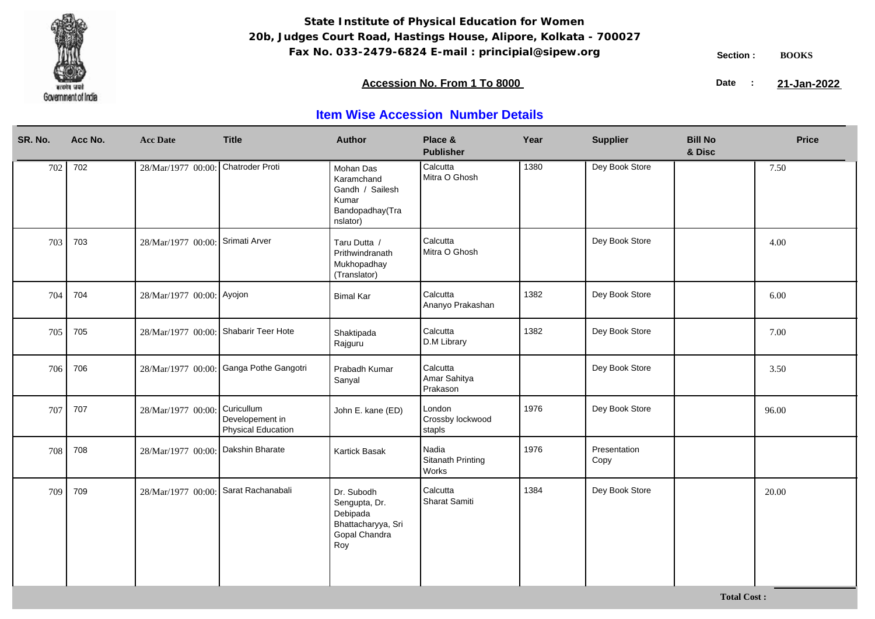

### **Accession No. From 1 To 8000 21-January 2008 21-January 2008 21-January 2008 21-January 2009**

21-Jan-2022

| SR. No. | Acc No. | <b>Acc Date</b>                       | <b>Title</b>                                               | <b>Author</b>                                                                         | Place &<br><b>Publisher</b>          | Year | <b>Supplier</b>      | <b>Bill No</b><br>& Disc | <b>Price</b> |
|---------|---------|---------------------------------------|------------------------------------------------------------|---------------------------------------------------------------------------------------|--------------------------------------|------|----------------------|--------------------------|--------------|
| 702     | 702     | 28/Mar/1977 00:00:                    | Chatroder Proti                                            | Mohan Das<br>Karamchand<br>Gandh / Sailesh<br>Kumar<br>Bandopadhay(Tra<br>nslator)    | Calcutta<br>Mitra O Ghosh            | 1380 | Dey Book Store       |                          | 7.50         |
| 703     | 703     | 28/Mar/1977 00:00:                    | Srimati Arver                                              | Taru Dutta /<br>Prithwindranath<br>Mukhopadhay<br>(Translator)                        | Calcutta<br>Mitra O Ghosh            |      | Dey Book Store       |                          | 4.00         |
| 704     | 704     | 28/Mar/1977 00:00: Ayojon             |                                                            | <b>Bimal Kar</b>                                                                      | Calcutta<br>Ananyo Prakashan         | 1382 | Dey Book Store       |                          | 6.00         |
| 705     | 705     | 28/Mar/1977 00:00: Shabarir Teer Hote |                                                            | Shaktipada<br>Rajguru                                                                 | Calcutta<br>D.M Library              | 1382 | Dey Book Store       |                          | 7.00         |
| 706     | 706     |                                       | 28/Mar/1977 00:00: Ganga Pothe Gangotri                    | Prabadh Kumar<br>Sanyal                                                               | Calcutta<br>Amar Sahitya<br>Prakason |      | Dey Book Store       |                          | 3.50         |
| 707     | 707     | 28/Mar/1977 00:00:                    | Curicullum<br>Developement in<br><b>Physical Education</b> | John E. kane (ED)                                                                     | London<br>Crossby lockwood<br>stapls | 1976 | Dey Book Store       |                          | 96.00        |
| 708     | 708     | 28/Mar/1977 00:00:                    | Dakshin Bharate                                            | Kartick Basak                                                                         | Nadia<br>Sitanath Printing<br>Works  | 1976 | Presentation<br>Copy |                          |              |
| 709     | 709     | 28/Mar/1977 00:00: Sarat Rachanabali  |                                                            | Dr. Subodh<br>Sengupta, Dr.<br>Debipada<br>Bhattacharyya, Sri<br>Gopal Chandra<br>Roy | Calcutta<br>Sharat Samiti            | 1384 | Dey Book Store       |                          | 20.00        |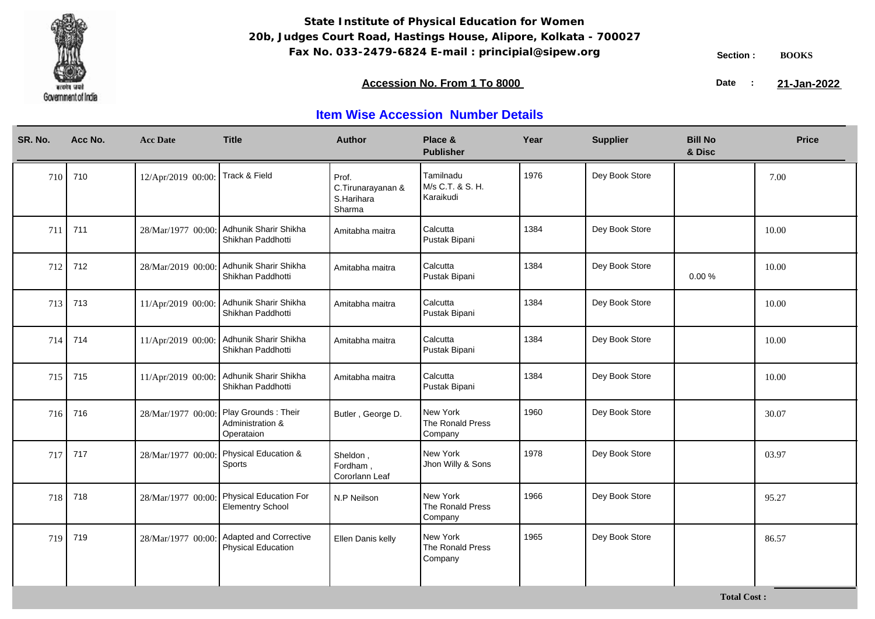

### **Accession No. From 1 To 8000 21-January 2008 21-January 2008 21-January 2008 21-January 2009**

21-Jan-2022

| SR. No. | Acc No. | <b>Acc Date</b>                  | <b>Title</b>                                                         | <b>Author</b>                                      | Place &<br><b>Publisher</b>                | Year | <b>Supplier</b> | <b>Bill No</b><br>& Disc | <b>Price</b> |
|---------|---------|----------------------------------|----------------------------------------------------------------------|----------------------------------------------------|--------------------------------------------|------|-----------------|--------------------------|--------------|
| 710     | 710     | 12/Apr/2019 00:00: Track & Field |                                                                      | Prof.<br>C.Tirunarayanan &<br>S.Harihara<br>Sharma | Tamilnadu<br>M/s C.T. & S. H.<br>Karaikudi | 1976 | Dey Book Store  |                          | 7.00         |
| 711     | 711     | 28/Mar/1977 00:00:               | Adhunik Sharir Shikha<br>Shikhan Paddhotti                           | Amitabha maitra                                    | Calcutta<br>Pustak Bipani                  | 1384 | Dey Book Store  |                          | 10.00        |
| 712     | 712     | 28/Mar/2019 00:00:               | Adhunik Sharir Shikha<br>Shikhan Paddhotti                           | Amitabha maitra                                    | Calcutta<br>Pustak Bipani                  | 1384 | Dey Book Store  | $0.00 \%$                | 10.00        |
| 713     | 713     | 11/Apr/2019 00:00:               | Adhunik Sharir Shikha<br>Shikhan Paddhotti                           | Amitabha maitra                                    | Calcutta<br>Pustak Bipani                  | 1384 | Dey Book Store  |                          | 10.00        |
| 714     | 714     | 11/Apr/2019 00:00:               | Adhunik Sharir Shikha<br>Shikhan Paddhotti                           | Amitabha maitra                                    | Calcutta<br>Pustak Bipani                  | 1384 | Dey Book Store  |                          | 10.00        |
| 715     | 715     | 11/Apr/2019 00:00:               | Adhunik Sharir Shikha<br>Shikhan Paddhotti                           | Amitabha maitra                                    | Calcutta<br>Pustak Bipani                  | 1384 | Dey Book Store  |                          | 10.00        |
| 716     | 716     | 28/Mar/1977 00:00:               | Play Grounds: Their<br>Administration &<br>Operataion                | Butler, George D.                                  | New York<br>The Ronald Press<br>Company    | 1960 | Dey Book Store  |                          | 30.07        |
| 717     | 717     |                                  | 28/Mar/1977 00:00: Physical Education &<br>Sports                    | Sheldon,<br>Fordham.<br>Cororlann Leaf             | New York<br>Jhon Willy & Sons              | 1978 | Dey Book Store  |                          | 03.97        |
| 718     | 718     |                                  | 28/Mar/1977 00:00: Physical Education For<br><b>Elementry School</b> | N.P Neilson                                        | New York<br>The Ronald Press<br>Company    | 1966 | Dey Book Store  |                          | 95.27        |
| 719     | 719     | 28/Mar/1977 00:00                | Adapted and Corrective<br><b>Physical Education</b>                  | Ellen Danis kelly                                  | New York<br>The Ronald Press<br>Company    | 1965 | Dey Book Store  |                          | 86.57        |
|         |         |                                  |                                                                      |                                                    |                                            |      |                 |                          |              |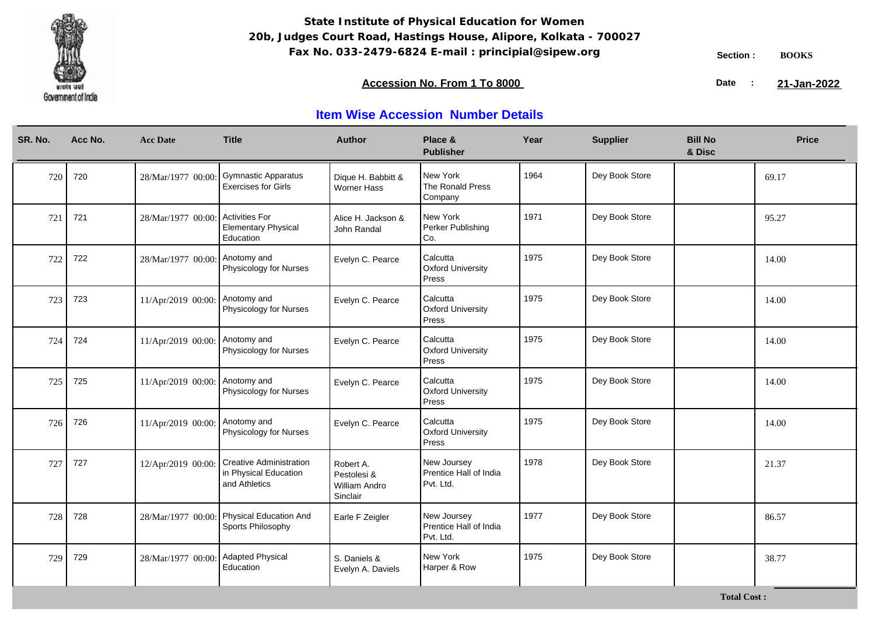

**Total Cost :**

### **Accession No. From 1 To 8000 21-January 2008 21-January 2008 21-January 2008 21-January 2009**

21-Jan-2022

| SR. No. | Acc No. | <b>Acc Date</b>                | <b>Title</b>                                                             | <b>Author</b>                                                | Place &<br><b>Publisher</b>                        | Year | <b>Supplier</b> | <b>Bill No</b><br>& Disc | <b>Price</b> |
|---------|---------|--------------------------------|--------------------------------------------------------------------------|--------------------------------------------------------------|----------------------------------------------------|------|-----------------|--------------------------|--------------|
| 720     | 720     | 28/Mar/1977 00:00              | Gymnastic Apparatus<br><b>Exercises for Girls</b>                        | Dique H. Babbitt &<br><b>Worner Hass</b>                     | New York<br>The Ronald Press<br>Company            | 1964 | Dey Book Store  |                          | 69.17        |
| 721     | 721     | 28/Mar/1977 00:00:             | <b>Activities For</b><br><b>Elementary Physical</b><br>Education         | Alice H. Jackson &<br>John Randal                            | New York<br>Perker Publishing<br>Co.               | 1971 | Dey Book Store  |                          | 95.27        |
| 722     | 722     | 28/Mar/1977 00:00: Anotomy and | Physicology for Nurses                                                   | Evelyn C. Pearce                                             | Calcutta<br><b>Oxford University</b><br>Press      | 1975 | Dey Book Store  |                          | 14.00        |
| 723     | 723     | 11/Apr/2019 00:00:             | Anotomy and<br>Physicology for Nurses                                    | Evelyn C. Pearce                                             | Calcutta<br><b>Oxford University</b><br>Press      | 1975 | Dey Book Store  |                          | 14.00        |
| 724     | 724     | 11/Apr/2019 00:00:             | Anotomy and<br>Physicology for Nurses                                    | Evelyn C. Pearce                                             | Calcutta<br><b>Oxford University</b><br>Press      | 1975 | Dey Book Store  |                          | 14.00        |
| 725     | 725     | 11/Apr/2019 00:00: Anotomy and | Physicology for Nurses                                                   | Evelyn C. Pearce                                             | Calcutta<br><b>Oxford University</b><br>Press      | 1975 | Dey Book Store  |                          | 14.00        |
| 726     | 726     | 11/Apr/2019 00:00:             | Anotomy and<br>Physicology for Nurses                                    | Evelyn C. Pearce                                             | Calcutta<br><b>Oxford University</b><br>Press      | 1975 | Dey Book Store  |                          | 14.00        |
| 727     | 727     | 12/Apr/2019 00:00:             | <b>Creative Administration</b><br>in Physical Education<br>and Athletics | Robert A.<br>Pestolesi &<br><b>William Andro</b><br>Sinclair | New Joursey<br>Prentice Hall of India<br>Pvt. Ltd. | 1978 | Dey Book Store  |                          | 21.37        |
| 728     | 728     |                                | 28/Mar/1977 00:00: Physical Education And<br>Sports Philosophy           | Earle F Zeigler                                              | New Joursey<br>Prentice Hall of India<br>Pvt. Ltd. | 1977 | Dey Book Store  |                          | 86.57        |
| 729     | 729     | 28/Mar/1977 00:00              | <b>Adapted Physical</b><br>Education                                     | S. Daniels &<br>Evelyn A. Daviels                            | New York<br>Harper & Row                           | 1975 | Dey Book Store  |                          | 38.77        |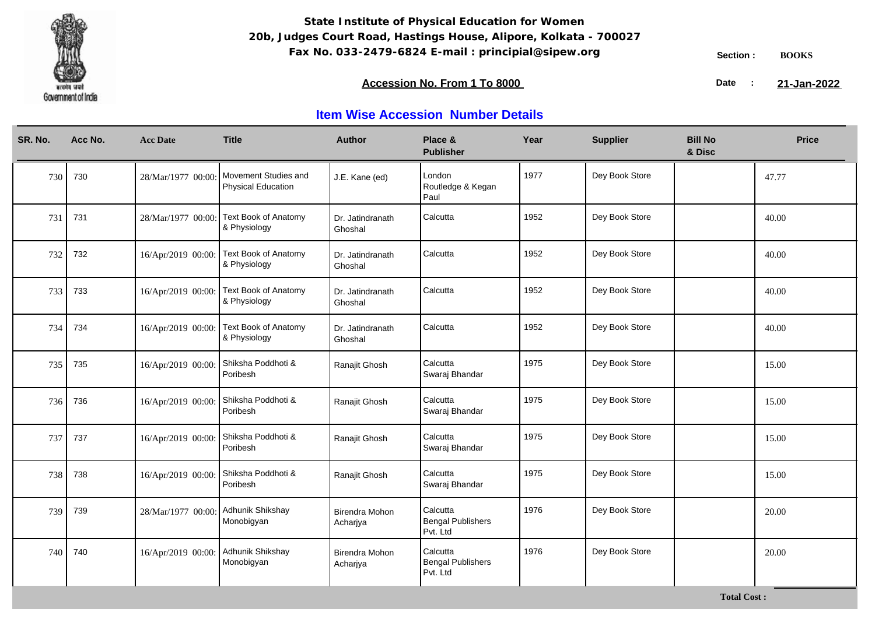

### **Accession No. From 1 To 8000 21-January 2008 21-January 2008 21-January 2008 21-January 2009**

21-Jan-2022

| SR. No. | Acc No. | <b>Acc Date</b>                       | <b>Title</b>                                      | <b>Author</b>               | Place &<br><b>Publisher</b>                      | Year | <b>Supplier</b> | <b>Bill No</b><br>& Disc | <b>Price</b> |
|---------|---------|---------------------------------------|---------------------------------------------------|-----------------------------|--------------------------------------------------|------|-----------------|--------------------------|--------------|
| 730     | 730     | 28/Mar/1977 00:00:                    | Movement Studies and<br><b>Physical Education</b> | J.E. Kane (ed)              | London<br>Routledge & Kegan<br>Paul              | 1977 | Dey Book Store  |                          | 47.77        |
| 731     | 731     | 28/Mar/1977 00:00:                    | <b>Text Book of Anatomy</b><br>& Physiology       | Dr. Jatindranath<br>Ghoshal | Calcutta                                         | 1952 | Dey Book Store  |                          | 40.00        |
| 732     | 732     | 16/Apr/2019 00:00:                    | <b>Text Book of Anatomy</b><br>& Physiology       | Dr. Jatindranath<br>Ghoshal | Calcutta                                         | 1952 | Dey Book Store  |                          | 40.00        |
| 733     | 733     | 16/Apr/2019 00:00:                    | Text Book of Anatomy<br>& Physiology              | Dr. Jatindranath<br>Ghoshal | Calcutta                                         | 1952 | Dey Book Store  |                          | 40.00        |
| 734     | 734     | 16/Apr/2019 00:00:                    | Text Book of Anatomy<br>& Physiology              | Dr. Jatindranath<br>Ghoshal | Calcutta                                         | 1952 | Dey Book Store  |                          | 40.00        |
| 735     | 735     | 16/Apr/2019 00:00:                    | Shiksha Poddhoti &<br>Poribesh                    | Ranajit Ghosh               | Calcutta<br>Swaraj Bhandar                       | 1975 | Dey Book Store  |                          | 15.00        |
| 736     | 736     | 16/Apr/2019 00:00:                    | Shiksha Poddhoti &<br>Poribesh                    | Ranajit Ghosh               | Calcutta<br>Swaraj Bhandar                       | 1975 | Dey Book Store  |                          | 15.00        |
| 737     | 737     | 16/Apr/2019 00:00:                    | Shiksha Poddhoti &<br>Poribesh                    | Ranajit Ghosh               | Calcutta<br>Swaraj Bhandar                       | 1975 | Dey Book Store  |                          | 15.00        |
| 738     | 738     | 16/Apr/2019 00:00: Shiksha Poddhoti & | Poribesh                                          | Ranajit Ghosh               | Calcutta<br>Swaraj Bhandar                       | 1975 | Dey Book Store  |                          | 15.00        |
| 739     | 739     | 28/Mar/1977 00:00:                    | Adhunik Shikshay<br>Monobigyan                    | Birendra Mohon<br>Acharjya  | Calcutta<br><b>Bengal Publishers</b><br>Pvt. Ltd | 1976 | Dey Book Store  |                          | 20.00        |
| 740     | 740     | 16/Apr/2019 00:00:                    | Adhunik Shikshay<br>Monobigyan                    | Birendra Mohon<br>Acharjya  | Calcutta<br><b>Bengal Publishers</b><br>Pvt. Ltd | 1976 | Dey Book Store  |                          | 20.00        |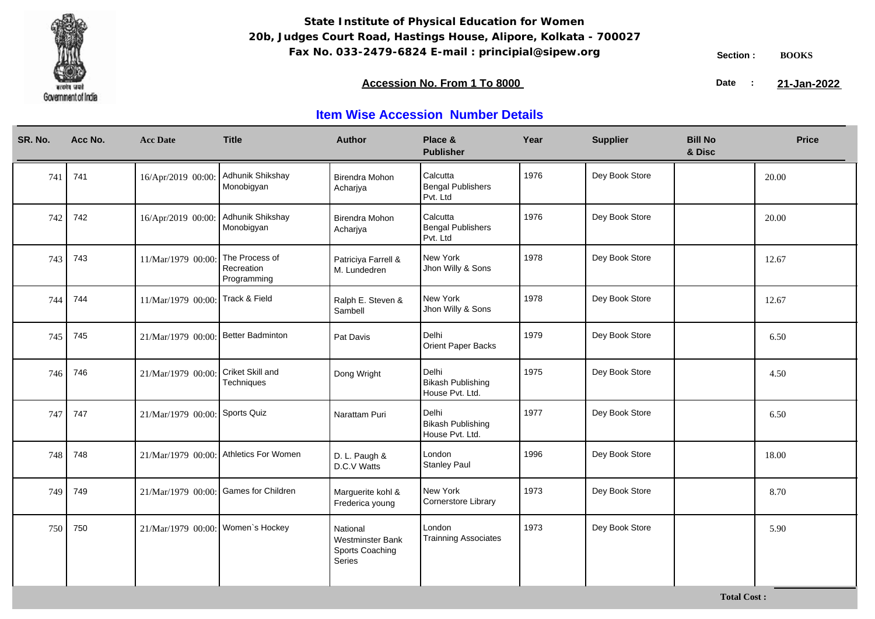

**Total Cost :**

### **Accession No. From 1 To 8000 21-January 2008 21-January 2008 21-January 2008 21-January 2009**

21-Jan-2022

| SR. No. | Acc No. | <b>Acc Date</b>                       | <b>Title</b>                                | <b>Author</b>                                                    | Place &<br><b>Publisher</b>                          | Year | <b>Supplier</b> | <b>Bill No</b><br>& Disc | <b>Price</b> |
|---------|---------|---------------------------------------|---------------------------------------------|------------------------------------------------------------------|------------------------------------------------------|------|-----------------|--------------------------|--------------|
| 741     | 741     | 16/Apr/2019 00:00:                    | Adhunik Shikshay<br>Monobigyan              | <b>Birendra Mohon</b><br>Acharjya                                | Calcutta<br><b>Bengal Publishers</b><br>Pvt. Ltd     | 1976 | Dey Book Store  |                          | 20.00        |
| 742     | 742     | 16/Apr/2019 00:00:                    | Adhunik Shikshay<br>Monobigyan              | <b>Birendra Mohon</b><br>Acharjya                                | Calcutta<br><b>Bengal Publishers</b><br>Pvt. Ltd     | 1976 | Dey Book Store  |                          | 20.00        |
| 743     | 743     | 11/Mar/1979 00:00:                    | The Process of<br>Recreation<br>Programming | Patriciya Farrell &<br>M. Lundedren                              | New York<br>Jhon Willy & Sons                        | 1978 | Dey Book Store  |                          | 12.67        |
| 744     | 744     | 11/Mar/1979 00:00:                    | Track & Field                               | Ralph E. Steven &<br>Sambell                                     | New York<br>Jhon Willy & Sons                        | 1978 | Dey Book Store  |                          | 12.67        |
| 745     | 745     | 21/Mar/1979 00:00:                    | Better Badminton                            | Pat Davis                                                        | Delhi<br>Orient Paper Backs                          | 1979 | Dey Book Store  |                          | 6.50         |
| 746     | 746     | 21/Mar/1979 00:00                     | Criket Skill and<br>Techniques              | Dong Wright                                                      | Delhi<br><b>Bikash Publishing</b><br>House Pvt. Ltd. | 1975 | Dey Book Store  |                          | 4.50         |
| 747     | 747     | 21/Mar/1979 00:00: Sports Quiz        |                                             | Narattam Puri                                                    | Delhi<br><b>Bikash Publishing</b><br>House Pvt. Ltd. | 1977 | Dey Book Store  |                          | 6.50         |
| 748     | 748     |                                       | 21/Mar/1979 00:00: Athletics For Women      | D. L. Paugh &<br>D.C.V Watts                                     | London<br><b>Stanley Paul</b>                        | 1996 | Dey Book Store  |                          | 18.00        |
| 749     | 749     | 21/Mar/1979 00:00: Games for Children |                                             | Marguerite kohl &<br>Frederica young                             | New York<br>Cornerstore Library                      | 1973 | Dey Book Store  |                          | 8.70         |
| 750     | 750     | 21/Mar/1979 00:00: Women's Hockey     |                                             | National<br><b>Westminster Bank</b><br>Sports Coaching<br>Series | London<br><b>Trainning Associates</b>                | 1973 | Dey Book Store  |                          | 5.90         |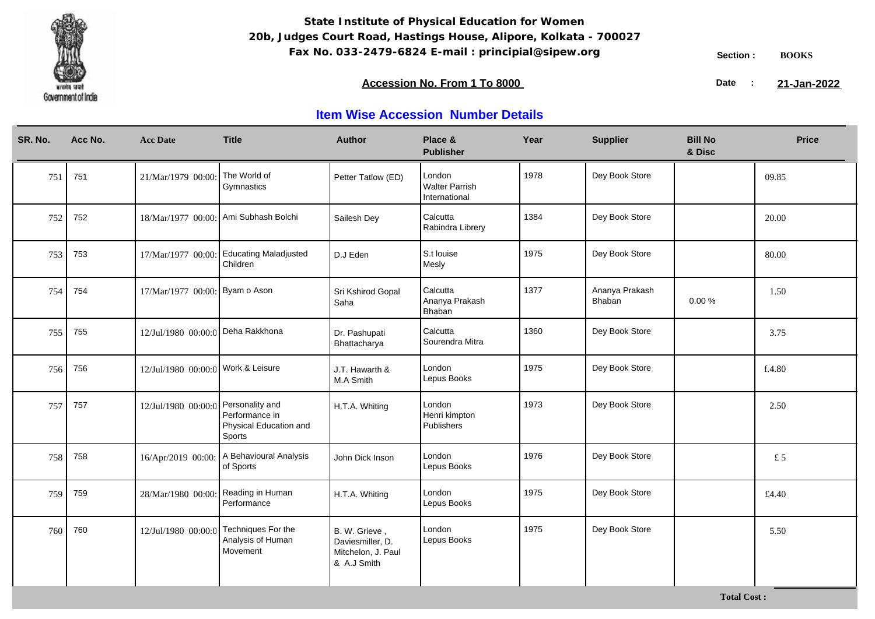

**Total Cost :**

### **Accession No. From 1 To 8000 21-January 2008 21-January 2008 21-January 2008 21-January 2009**

21-Jan-2022

| SR. No. | Acc No. | <b>Acc Date</b>                    | <b>Title</b>                                                          | <b>Author</b>                                                          | Place &<br><b>Publisher</b>                      | Year | <b>Supplier</b>          | <b>Bill No</b><br>& Disc | <b>Price</b> |
|---------|---------|------------------------------------|-----------------------------------------------------------------------|------------------------------------------------------------------------|--------------------------------------------------|------|--------------------------|--------------------------|--------------|
| 751     | 751     | 21/Mar/1979 00:00                  | The World of<br>Gymnastics                                            | Petter Tatlow (ED)                                                     | London<br><b>Walter Parrish</b><br>International | 1978 | Dey Book Store           |                          | 09.85        |
| 752     | 752     |                                    | 18/Mar/1977 00:00: Ami Subhash Bolchi                                 | Sailesh Dey                                                            | Calcutta<br>Rabindra Librery                     | 1384 | Dey Book Store           |                          | 20.00        |
| 753     | 753     | 17/Mar/1977 00:00:                 | <b>Educating Maladjusted</b><br>Children                              | D.J Eden                                                               | S.t louise<br>Mesly                              | 1975 | Dey Book Store           |                          | 80.00        |
| 754     | 754     | 17/Mar/1977 00:00: Byam o Ason     |                                                                       | Sri Kshirod Gopal<br>Saha                                              | Calcutta<br>Ananya Prakash<br>Bhaban             | 1377 | Ananya Prakash<br>Bhaban | 0.00%                    | 1.50         |
| 755     | 755     | 12/Jul/1980 00:00:0 Deha Rakkhona  |                                                                       | Dr. Pashupati<br>Bhattacharya                                          | Calcutta<br>Sourendra Mitra                      | 1360 | Dey Book Store           |                          | 3.75         |
| 756     | 756     | 12/Jul/1980 00:00:0 Work & Leisure |                                                                       | J.T. Hawarth &<br>M.A Smith                                            | London<br>Lepus Books                            | 1975 | Dey Book Store           |                          | f.4.80       |
| 757     | 757     | 12/Jul/1980 00:00:0                | Personality and<br>Performance in<br>Physical Education and<br>Sports | H.T.A. Whiting                                                         | London<br>Henri kimpton<br>Publishers            | 1973 | Dey Book Store           |                          | 2.50         |
| 758     | 758     |                                    | 16/Apr/2019 00:00: A Behavioural Analysis<br>of Sports                | John Dick Inson                                                        | London<br>Lepus Books                            | 1976 | Dey Book Store           |                          | £5           |
| 759     | 759     | 28/Mar/1980 00:00:                 | Reading in Human<br>Performance                                       | H.T.A. Whiting                                                         | London<br>Lepus Books                            | 1975 | Dey Book Store           |                          | £4.40        |
| 760     | 760     | 12/Jul/1980 00:00:0                | Techniques For the<br>Analysis of Human<br>Movement                   | B. W. Grieve,<br>Daviesmiller, D.<br>Mitchelon, J. Paul<br>& A.J Smith | London<br>Lepus Books                            | 1975 | Dey Book Store           |                          | 5.50         |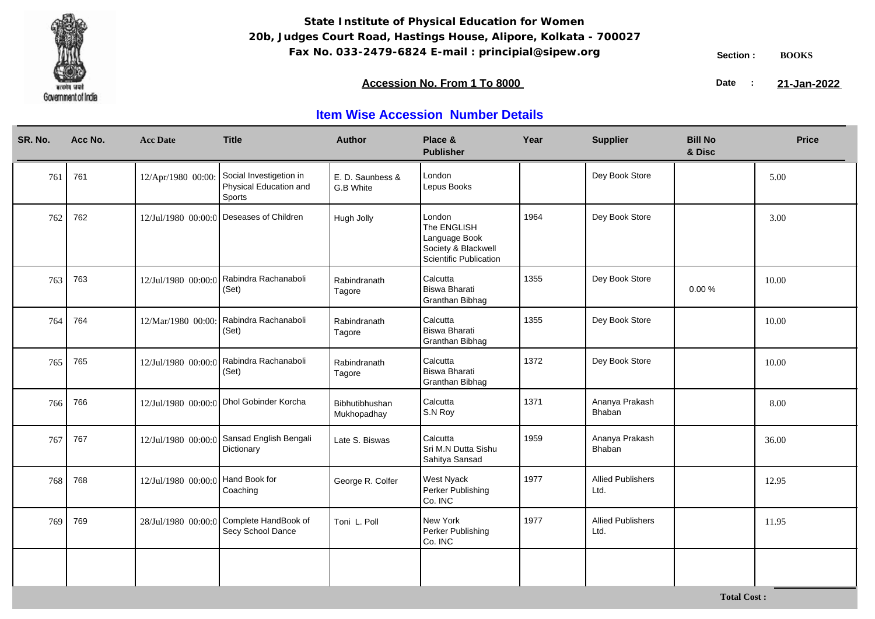

### **Accession No. From 1 To 8000 21-January 2008 21-January 2008 21-January 2008 21-January 2009**

21-Jan-2022

| SR. No. | Acc No. | <b>Acc Date</b>                   | <b>Title</b>                                                | <b>Author</b>                 | Place &<br><b>Publisher</b>                                                                    | Year | <b>Supplier</b>                  | <b>Bill No</b><br>& Disc | <b>Price</b> |
|---------|---------|-----------------------------------|-------------------------------------------------------------|-------------------------------|------------------------------------------------------------------------------------------------|------|----------------------------------|--------------------------|--------------|
| 761     | 761     | 12/Apr/1980 00:00:                | Social Investigetion in<br>Physical Education and<br>Sports | E.D. Saunbess &<br>G.B White  | London<br>Lepus Books                                                                          |      | Dey Book Store                   |                          | 5.00         |
| 762     | 762     | 12/Jul/1980 00:00:0               | Deseases of Children                                        | Hugh Jolly                    | London<br>The ENGLISH<br>Language Book<br>Society & Blackwell<br><b>Scientific Publication</b> | 1964 | Dey Book Store                   |                          | 3.00         |
| 763     | 763     | 12/Jul/1980 00:00:0               | Rabindra Rachanaboli<br>(Set)                               | Rabindranath<br>Tagore        | Calcutta<br><b>Biswa Bharati</b><br>Granthan Bibhag                                            | 1355 | Dey Book Store                   | 0.00%                    | 10.00        |
| 764     | 764     | 12/Mar/1980 00:00:                | Rabindra Rachanaboli<br>(Set)                               | Rabindranath<br>Tagore        | Calcutta<br><b>Biswa Bharati</b><br>Granthan Bibhag                                            | 1355 | Dey Book Store                   |                          | 10.00        |
| 765     | 765     | 12/Jul/1980 00:00:0               | Rabindra Rachanaboli<br>(Set)                               | Rabindranath<br>Tagore        | Calcutta<br><b>Biswa Bharati</b><br>Granthan Bibhag                                            | 1372 | Dey Book Store                   |                          | 10.00        |
| 766     | 766     | 12/Jul/1980 00:00:0               | Dhol Gobinder Korcha                                        | Bibhutibhushan<br>Mukhopadhay | Calcutta<br>S.N Roy                                                                            | 1371 | Ananya Prakash<br>Bhaban         |                          | 8.00         |
| 767     | 767     | 12/Jul/1980 00:00:0               | Sansad English Bengali<br>Dictionary                        | Late S. Biswas                | Calcutta<br>Sri M.N Dutta Sishu<br>Sahitya Sansad                                              | 1959 | Ananya Prakash<br>Bhaban         |                          | 36.00        |
| 768     | 768     | 12/Jul/1980 00:00:0 Hand Book for | Coaching                                                    | George R. Colfer              | West Nyack<br>Perker Publishing<br>Co. INC                                                     | 1977 | <b>Allied Publishers</b><br>Ltd. |                          | 12.95        |
| 769     | 769     | 28/Jul/1980 00:00:0               | Complete HandBook of<br>Secy School Dance                   | Toni L. Poll                  | New York<br>Perker Publishing<br>Co. INC                                                       | 1977 | <b>Allied Publishers</b><br>Ltd. |                          | 11.95        |
|         |         |                                   |                                                             |                               |                                                                                                |      |                                  |                          |              |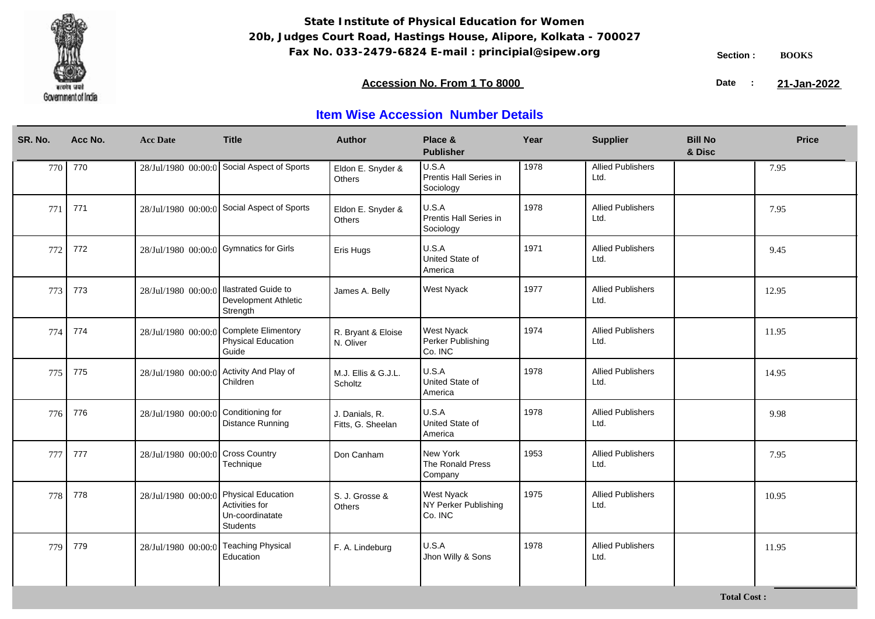

### **Accession No. From 1 To 8000 21-January 2008 21-January 2008 21-January 2008 21-January 2009**

21-Jan-2022

| Acc No.    | <b>Acc Date</b>     | <b>Title</b>                                                               | <b>Author</b>                                                                                                 | Place &<br><b>Publisher</b>                          | Year | <b>Supplier</b>                  | <b>Bill No</b><br>& Disc | <b>Price</b> |
|------------|---------------------|----------------------------------------------------------------------------|---------------------------------------------------------------------------------------------------------------|------------------------------------------------------|------|----------------------------------|--------------------------|--------------|
| 770<br>770 | 28/Jul/1980 00:00:0 | Social Aspect of Sports                                                    | Eldon E. Snyder &<br>Others                                                                                   | U.S.A<br>Prentis Hall Series in<br>Sociology         | 1978 | <b>Allied Publishers</b><br>Ltd. |                          | 7.95         |
| 771        |                     |                                                                            | Eldon E. Snyder &<br>Others                                                                                   | U.S.A<br>Prentis Hall Series in<br>Sociology         | 1978 | <b>Allied Publishers</b><br>Ltd. |                          | 7.95         |
| 772<br>772 |                     |                                                                            | Eris Hugs                                                                                                     | U.S.A<br>United State of<br>America                  | 1971 | <b>Allied Publishers</b><br>Ltd. |                          | 9.45         |
| 773<br>773 | 28/Jul/1980 00:00:0 | <b>Ilastrated Guide to</b><br>Development Athletic<br>Strength             | James A. Belly                                                                                                | West Nyack                                           | 1977 | <b>Allied Publishers</b><br>Ltd. |                          | 12.95        |
| 774<br>774 | 28/Jul/1980 00:00:0 | <b>Physical Education</b><br>Guide                                         | R. Bryant & Eloise<br>N. Oliver                                                                               | West Nyack<br>Perker Publishing<br>Co. INC           | 1974 | <b>Allied Publishers</b><br>Ltd. |                          | 11.95        |
| 775<br>775 | 28/Jul/1980 00:00:0 | Activity And Play of<br>Children                                           | M.J. Ellis & G.J.L.<br>Scholtz                                                                                | U.S.A<br>United State of<br>America                  | 1978 | <b>Allied Publishers</b><br>Ltd. |                          | 14.95        |
| 776<br>776 | 28/Jul/1980 00:00:0 | Conditioning for<br><b>Distance Running</b>                                | J. Danials, R.<br>Fitts, G. Sheelan                                                                           | U.S.A<br>United State of<br>America                  | 1978 | <b>Allied Publishers</b><br>Ltd. |                          | 9.98         |
| 777        | 28/Jul/1980 00:00:0 | Cross Country<br>Technique                                                 | Don Canham                                                                                                    | New York<br>The Ronald Press<br>Company              | 1953 | <b>Allied Publishers</b><br>Ltd. |                          | 7.95         |
| 778<br>778 | 28/Jul/1980 00:00:0 | <b>Physical Education</b><br>Activities for<br>Un-coordinatate<br>Students | S. J. Grosse &<br>Others                                                                                      | <b>West Nyack</b><br>NY Perker Publishing<br>Co. INC | 1975 | <b>Allied Publishers</b><br>Ltd. |                          | 10.95        |
| 779<br>779 | 28/Jul/1980 00:00:0 | <b>Teaching Physical</b><br>Education                                      | F. A. Lindeburg                                                                                               | U.S.A<br>Jhon Willy & Sons                           | 1978 | <b>Allied Publishers</b><br>Ltd. |                          | 11.95        |
|            |                     |                                                                            | 28/Jul/1980 00:00:0 Social Aspect of Sports<br>28/Jul/1980 00:00:0 Gymnatics for Girls<br>Complete Elimentory |                                                      |      |                                  |                          |              |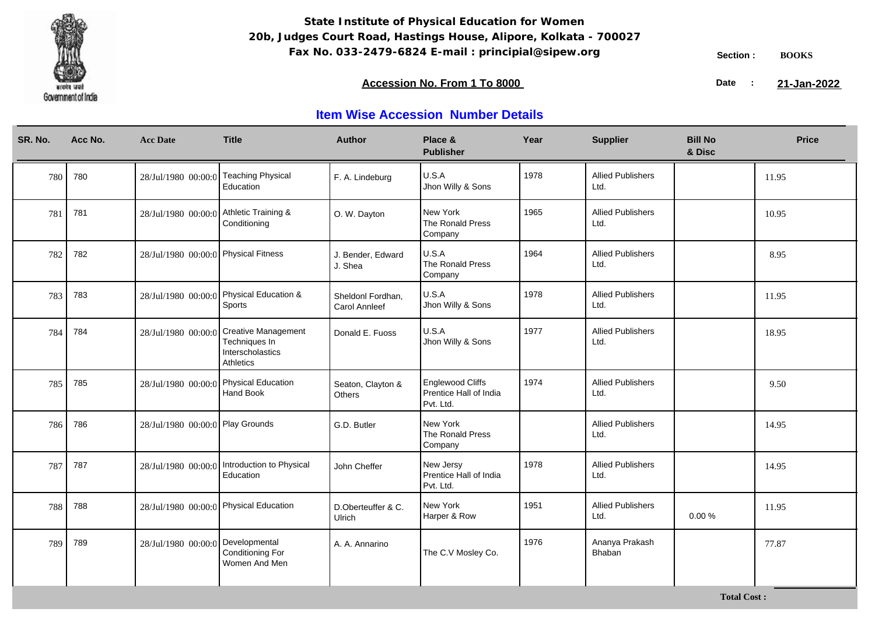

### **Accession No. From 1 To 8000 21-January 2008 21-January 2008 21-January 2008 21-January 2009**

21-Jan-2022

| SR. No. | Acc No. | <b>Acc Date</b>                        | <b>Title</b>                                                                 | <b>Author</b>                             | Place &<br><b>Publisher</b>                             | Year | <b>Supplier</b>                  | <b>Bill No</b><br>& Disc | <b>Price</b> |
|---------|---------|----------------------------------------|------------------------------------------------------------------------------|-------------------------------------------|---------------------------------------------------------|------|----------------------------------|--------------------------|--------------|
| 780     | 780     | 28/Jul/1980 00:00:0                    | <b>Teaching Physical</b><br>Education                                        | F. A. Lindeburg                           | U.S.A<br>Jhon Willy & Sons                              | 1978 | <b>Allied Publishers</b><br>Ltd. |                          | 11.95        |
| 781     | 781     | 28/Jul/1980 00:00:0                    | Athletic Training &<br>Conditioning                                          | O. W. Dayton                              | New York<br>The Ronald Press<br>Company                 | 1965 | <b>Allied Publishers</b><br>Ltd. |                          | 10.95        |
| 782     | 782     | 28/Jul/1980 00:00:0 Physical Fitness   |                                                                              | J. Bender, Edward<br>J. Shea              | U.S.A<br>The Ronald Press<br>Company                    | 1964 | <b>Allied Publishers</b><br>Ltd. |                          | 8.95         |
| 783     | 783     |                                        | 28/Jul/1980 00:00:0 Physical Education &<br>Sports                           | Sheldonl Fordhan.<br><b>Carol Annleef</b> | U.S.A<br>Jhon Willy & Sons                              | 1978 | <b>Allied Publishers</b><br>Ltd. |                          | 11.95        |
| 784     | 784     | 28/Jul/1980 00:00:0                    | <b>Creative Management</b><br>Techniques In<br>Interscholastics<br>Athletics | Donald E. Fuoss                           | U.S.A<br>Jhon Willy & Sons                              | 1977 | <b>Allied Publishers</b><br>Ltd. |                          | 18.95        |
| 785     | 785     | 28/Jul/1980 00:00:0                    | <b>Physical Education</b><br><b>Hand Book</b>                                | Seaton, Clayton &<br><b>Others</b>        | Englewood Cliffs<br>Prentice Hall of India<br>Pvt. Ltd. | 1974 | <b>Allied Publishers</b><br>Ltd. |                          | 9.50         |
| 786     | 786     | 28/Jul/1980 00:00:0 Play Grounds       |                                                                              | G.D. Butler                               | New York<br>The Ronald Press<br>Company                 |      | <b>Allied Publishers</b><br>Ltd. |                          | 14.95        |
| 787     | 787     | 28/Jul/1980 00:00:0                    | Introduction to Physical<br>Education                                        | John Cheffer                              | New Jersy<br>Prentice Hall of India<br>Pvt. Ltd.        | 1978 | <b>Allied Publishers</b><br>Ltd. |                          | 14.95        |
| 788     | 788     | 28/Jul/1980 00:00:0 Physical Education |                                                                              | D.Oberteuffer & C.<br>Ulrich              | New York<br>Harper & Row                                | 1951 | <b>Allied Publishers</b><br>Ltd. | 0.00%                    | 11.95        |
| 789     | 789     | 28/Jul/1980 00:00:0                    | Developmental<br><b>Conditioning For</b><br>Women And Men                    | A. A. Annarino                            | The C.V Mosley Co.                                      | 1976 | Ananya Prakash<br>Bhaban         |                          | 77.87        |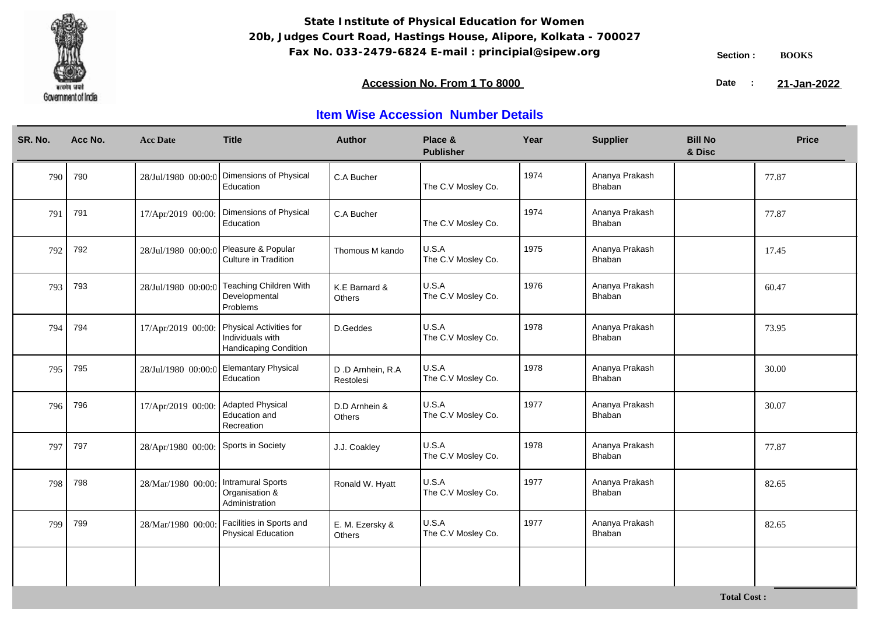

**Total Cost :**

### **Accession No. From 1 To 8000 21-January 2008 21-January 2008 21-January 2008 21-January 2009**

21-Jan-2022

| SR. No. | Acc No. | <b>Acc Date</b>                     | <b>Title</b>                                                                | <b>Author</b>                  | Place &<br><b>Publisher</b> | Year | <b>Supplier</b>          | <b>Bill No</b><br>& Disc | <b>Price</b> |
|---------|---------|-------------------------------------|-----------------------------------------------------------------------------|--------------------------------|-----------------------------|------|--------------------------|--------------------------|--------------|
| 790     | 790     | 28/Jul/1980 00:00:0                 | Dimensions of Physical<br>Education                                         | C.A Bucher                     | The C.V Mosley Co.          | 1974 | Ananya Prakash<br>Bhaban |                          | 77.87        |
| 791     | 791     | 17/Apr/2019 00:00:                  | Dimensions of Physical<br>Education                                         | C.A Bucher                     | The C.V Mosley Co.          | 1974 | Ananya Prakash<br>Bhaban |                          | 77.87        |
| 792     | 792     | 28/Jul/1980 00:00:0                 | Pleasure & Popular<br>Culture in Tradition                                  | Thomous M kando                | U.S.A<br>The C.V Mosley Co. | 1975 | Ananya Prakash<br>Bhaban |                          | 17.45        |
| 793     | 793     | 28/Jul/1980 00:00:0                 | <b>Teaching Children With</b><br>Developmental<br>Problems                  | K.E Barnard &<br>Others        | U.S.A<br>The C.V Mosley Co. | 1976 | Ananya Prakash<br>Bhaban |                          | 60.47        |
| 794     | 794     | 17/Apr/2019 00:00:                  | Physical Activities for<br>Individuals with<br><b>Handicaping Condition</b> | D.Geddes                       | U.S.A<br>The C.V Mosley Co. | 1978 | Ananya Prakash<br>Bhaban |                          | 73.95        |
| 795     | 795     |                                     | 28/Jul/1980 00:00:0 Elemantary Physical<br>Education                        | D.D Arnhein, R.A.<br>Restolesi | U.S.A<br>The C.V Mosley Co. | 1978 | Ananya Prakash<br>Bhaban |                          | 30.00        |
| 796     | 796     | 17/Apr/2019 00:00: Adapted Physical | Education and<br>Recreation                                                 | D.D Arnhein &<br>Others        | U.S.A<br>The C.V Mosley Co. | 1977 | Ananya Prakash<br>Bhaban |                          | 30.07        |
| 797     | 797     | 28/Apr/1980 00:00:                  | Sports in Society                                                           | J.J. Coakley                   | U.S.A<br>The C.V Mosley Co. | 1978 | Ananya Prakash<br>Bhaban |                          | 77.87        |
| 798     | 798     | 28/Mar/1980 00:00:                  | <b>Intramural Sports</b><br>Organisation &<br>Administration                | Ronald W. Hyatt                | U.S.A<br>The C.V Mosley Co. | 1977 | Ananya Prakash<br>Bhaban |                          | 82.65        |
| 799     | 799     | 28/Mar/1980 00:00:                  | Facilities in Sports and<br>Physical Education                              | E. M. Ezersky &<br>Others      | U.S.A<br>The C.V Mosley Co. | 1977 | Ananya Prakash<br>Bhaban |                          | 82.65        |
|         |         |                                     |                                                                             |                                |                             |      |                          |                          |              |